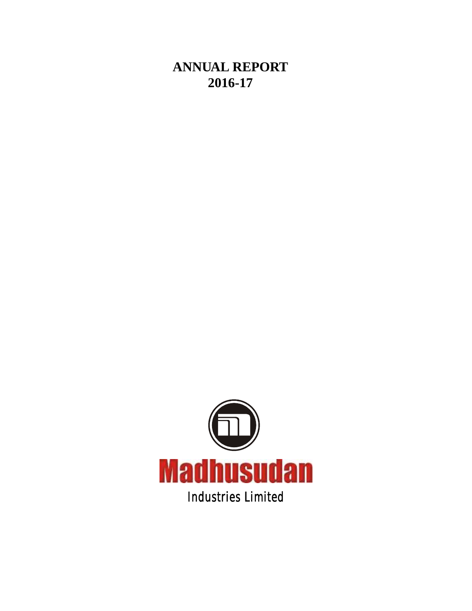**ANNUAL REPORT 2016-17**

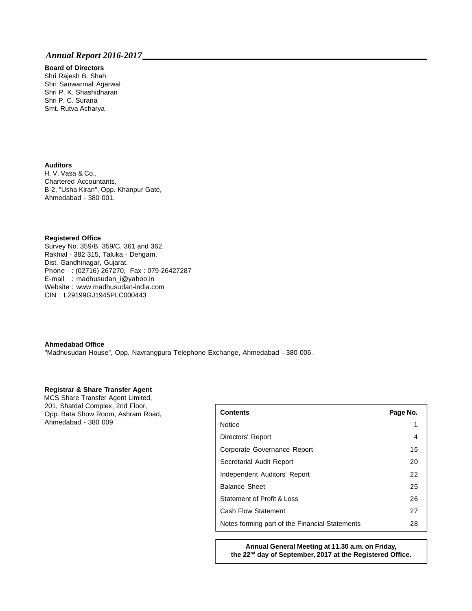## **Board of Directors**

Shri Rajesh B. Shah Shri Sanwarmal Agarwal Shri P. K. Shashidharan Shri P. C. Surana Smt. Rutva Acharya

### **Auditors**

H. V. Vasa & Co., Chartered Accountants, B-2, "Usha Kiran", Opp. Khanpur Gate, Ahmedabad - 380 001.

#### **Registered Office**

Survey No. 359/B, 359/C, 361 and 362, Rakhial - 382 315, Taluka - Dehgam, Dist. Gandhinagar, Gujarat. Phone : (02716) 267270, Fax : 079-26427287 E-mail : madhusudan\_i@yahoo.in Website : www.madhusudan-india.com CIN : L29199GJ1945PLC000443

#### **Ahmedabad Office**

"Madhusudan House", Opp. Navrangpura Telephone Exchange, Ahmedabad - 380 006.

#### **Registrar & Share Transfer Agent**

MCS Share Transfer Agent Limited, 201, Shatdal Complex, 2nd Floor, Opp. Bata Show Room, Ashram Road, Ahmedabad - 380 009.

| <b>Contents</b>                                | Page No. |
|------------------------------------------------|----------|
| <b>Notice</b>                                  | 1        |
| Directors' Report                              | 4        |
| Corporate Governance Report                    | 15       |
| Secretarial Audit Report                       | 20       |
| Independent Auditors' Report                   | 22       |
| <b>Balance Sheet</b>                           | 25       |
| Statement of Profit & Loss                     | 26       |
| <b>Cash Flow Statement</b>                     | 27       |
| Notes forming part of the Financial Statements | 28       |

**Annual General Meeting at 11.30 a.m. on Friday,** the 22<sup>nd</sup> day of September, 2017 at the Registered Office.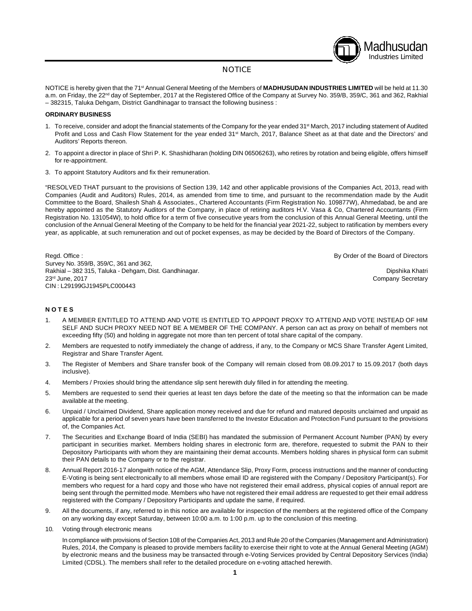# Madhusudan Industries Limited

### **NOTICE**

NOTICE is hereby given that the 71<sup>st</sup> Annual General Meeting of the Members of **MADHUSUDAN INDUSTRIES LIMITED** will be held at 11.30 a.m. on Friday, the 22<sup>nd</sup> day of September, 2017 at the Registered Office of the Company at Survey No. 359/B, 359/C, 361 and 362, Rakhial – 382315, Taluka Dehgam, District Gandhinagar to transact the following business :

#### **ORDINARY BUSINESS**

- 1. To receive, consider and adopt the financial statements of the Company for the year ended 31<sup>st</sup> March, 2017 including statement of Audited Profit and Loss and Cash Flow Statement for the year ended 31<sup> March</sup>, 2017, Balance Sheet as at that date and the Directors' and Auditors' Reports thereon.
- 2. To appoint a director in place of Shri P. K. Shashidharan (holding DIN 06506263), who retires by rotation and being eligible, offers himself for re-appointment.
- 3. To appoint Statutory Auditors and fix their remuneration.

"RESOLVED THAT pursuant to the provisions of Section 139, 142 and other applicable provisions of the Companies Act, 2013, read with Companies (Audit and Auditors) Rules, 2014, as amended from time to time, and pursuant to the recommendation made by the Audit Committee to the Board, Shailesh Shah & Associates., Chartered Accountants (Firm Registration No. 109877W), Ahmedabad, be and are hereby appointed as the Statutory Auditors of the Company, in place of retiring auditors H.V. Vasa & Co, Chartered Accountants (Firm Registration No. 131054W), to hold office for a term of five consecutive years from the conclusion of this Annual General Meeting, until the conclusion of the Annual General Meeting of the Company to be held for the financial year 2021-22, subject to ratification by members every year, as applicable, at such remuneration and out of pocket expenses, as may be decided by the Board of Directors of the Company.

Regd. Office : **By Order of the Board of Directors By Order of the Board of Directors** Survey No. 359/B, 359/C, 361 and 362, Rakhial – 382 315, Taluka - Dehgam, Dist. Gandhinagar. Dipshika Khatri 23<sup>rd</sup> June, 2017 **Company Secretary** 23<sup>rd</sup> June, 2017 CIN : L29199GJ1945PLC000443

#### **N O T E S**

- 1. A MEMBER ENTITLED TO ATTEND AND VOTE IS ENTITLED TO APPOINT PROXY TO ATTEND AND VOTE INSTEAD OF HIM SELF AND SUCH PROXY NEED NOT BE A MEMBER OF THE COMPANY. A person can act as proxy on behalf of members not exceeding fifty (50) and holding in aggregate not more than ten percent of total share capital of the company.
- 2. Members are requested to notify immediately the change of address, if any, to the Company or MCS Share Transfer Agent Limited, Registrar and Share Transfer Agent.
- 3. The Register of Members and Share transfer book of the Company will remain closed from 08.09.2017 to 15.09.2017 (both days inclusive).
- 4. Members / Proxies should bring the attendance slip sent herewith duly filled in for attending the meeting.
- 5. Members are requested to send their queries at least ten days before the date of the meeting so that the information can be made available at the meeting.
- 6. Unpaid / Unclaimed Dividend, Share application money received and due for refund and matured deposits unclaimed and unpaid as applicable for a period of seven years have been transferred to the Investor Education and Protection Fund pursuant to the provisions of, the Companies Act.
- 7. The Securities and Exchange Board of India (SEBI) has mandated the submission of Permanent Account Number (PAN) by every participant in securities market. Members holding shares in electronic form are, therefore, requested to submit the PAN to their Depository Participants with whom they are maintaining their demat accounts. Members holding shares in physical form can submit their PAN details to the Company or to the registrar.
- 8. Annual Report 2016-17 alongwith notice of the AGM, Attendance Slip, Proxy Form, process instructions and the manner of conducting E-Voting is being sent electronically to all members whose email ID are registered with the Company / Depository Participant(s). For members who request for a hard copy and those who have not registered their email address, physical copies of annual report are being sent through the permitted mode. Members who have not registered their email address are requested to get their email address registered with the Company / Depository Participants and update the same, if required.
- 9. All the documents, if any, referred to in this notice are available for inspection of the members at the registered office of the Company on any working day except Saturday, between 10:00 a.m. to 1:00 p.m. up to the conclusion of this meeting.
- 10. Voting through electronic means

In compliance with provisions of Section 108 of the Companies Act, 2013 and Rule 20 of the Companies (Management and Administration) Rules, 2014, the Company is pleased to provide members facility to exercise their right to vote at the Annual General Meeting (AGM) by electronic means and the business may be transacted through e-Voting Services provided by Central Depository Services (India) Limited (CDSL). The members shall refer to the detailed procedure on e-voting attached herewith.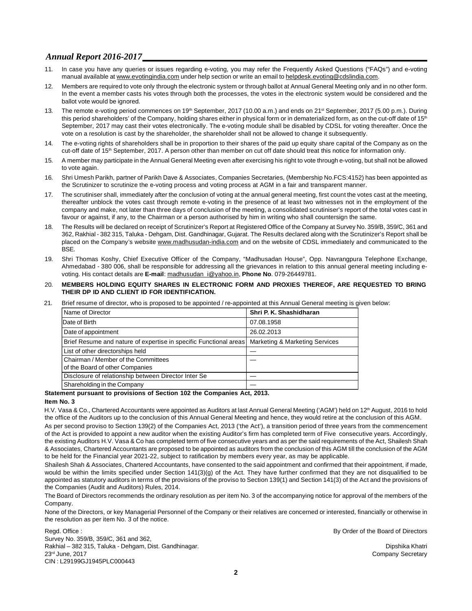- 11. In case you have any queries or issues regarding e-voting, you may refer the Frequently Asked Questions ("FAQs") and e-voting manual available at www.evotingindia.com under help section or write an email to helpdesk.evoting@cdslindia.com.
- 12. Members are required to vote only through the electronic system or through ballot at Annual General Meeting only and in no other form. In the event a member casts his votes through both the processes, the votes in the electronic system would be considered and the ballot vote would be ignored.
- 13. The remote e-voting period commences on 19<sup>th</sup> September, 2017 (10.00 a.m.) and ends on 21<sup>st</sup> September, 2017 (5.00 p.m.). During th this period shareholders' of the Company, holding shares either in physical form or in dematerialized form, as on the cut-off date of 15 September, 2017 may cast their votes electronically. The e-voting module shall be disabled by CDSL for voting thereafter. Once the vote on a resolution is cast by the shareholder, the shareholder shall not be allowed to change it subsequently.
- 14. The e-voting rights of shareholders shall be in proportion to their shares of the paid up equity share capital of the Company as on the cut-off date of 15<sup>th</sup> September, 2017. A person other than member on cut off date should treat this notice for information only.
- 15. A member may participate in the Annual General Meeting even after exercising his right to vote through e-voting, but shall not be allowed to vote again.
- 16. Shri Umesh Parikh, partner of Parikh Dave & Associates, Companies Secretaries, (Membership No.FCS:4152) has been appointed as the Scrutinizer to scrutinize the e-voting process and voting process at AGM in a fair and transparent manner.
- 17. The scrutiniser shall, immediately after the conclusion of voting at the annual general meeting, first count the votes cast at the meeting, thereafter unblock the votes cast through remote e-voting in the presence of at least two witnesses not in the employment of the company and make, not later than three days of conclusion of the meeting, a consolidated scrutiniser's report of the total votes cast in favour or against, if any, to the Chairman or a person authorised by him in writing who shall countersign the same.
- 18. The Results will be declared on receipt of Scrutinizer's Report at Registered Office of the Company at Survey No. 359/B, 359/C, 361 and 362, Rakhial - 382 315, Taluka - Dehgam, Dist. Gandhinagar, Gujarat. The Results declared along with the Scrutinizer's Report shall be placed on the Company's website www.madhusudan-india.com and on the website of CDSL immediately and communicated to the BSE.
- 19. Shri Thomas Koshy, Chief Executive Officer of the Company, "Madhusadan House", Opp. Navrangpura Telephone Exchange, Ahmedabad - 380 006, shall be responsible for addressing all the grievances in relation to this annual general meeting including evoting. His contact details are **E-mail**: madhusudan\_i@yahoo.in, **Phone No**. 079-26449781.

#### 20. **MEMBERS HOLDING EQUITY SHARES IN ELECTRONIC FORM AND PROXIES THEREOF, ARE REQUESTED TO BRING THEIR DP ID AND CLIENT ID FOR IDENTIFICATION.**

21. Brief resume of director, who is proposed to be appointed / re-appointed at this Annual General meeting is given below:

| Name of Director                                                                                   | Shri P. K. Shashidharan |
|----------------------------------------------------------------------------------------------------|-------------------------|
| Date of Birth                                                                                      | 07.08.1958              |
| Date of appointment                                                                                | 26.02.2013              |
| Brief Resume and nature of expertise in specific Functional areas   Marketing & Marketing Services |                         |
| List of other directorships held                                                                   |                         |
| Chairman / Member of the Committees<br>of the Board of other Companies                             |                         |
| Disclosure of relationship between Director Inter Se                                               |                         |
| Shareholding in the Company                                                                        |                         |

## **Statement pursuant to provisions of Section 102 the Companies Act, 2013.**

**Item No. 3**

H.V. Vasa & Co., Chartered Accountants were appointed as Auditors at last Annual General Meeting ('AGM') held on 12<sup>th</sup> August, 2016 to hold the office of the Auditors up to the conclusion of this Annual General Meeting and hence, they would retire at the conclusion of this AGM. As per second proviso to Section 139(2) of the Companies Act, 2013 ('the Act'), a transition period of three years from the commencement of the Act is provided to appoint a new auditor when the existing Auditor's firm has completed term of Five consecutive years. Accordingly,

the existing Auditors H.V. Vasa & Co has completed term of five consecutive years and as per the said requirements of the Act, Shailesh Shah & Associates, Chartered Accountants are proposed to be appointed as auditors from the conclusion of this AGM till the conclusion of the AGM to be held for the Financial year 2021-22, subject to ratification by members every year, as may be applicable.

Shailesh Shah & Associates, Chartered Accountants, have consented to the said appointment and confirmed that their appointment, if made, would be within the limits specified under Section 141(3)(g) of the Act. They have further confirmed that they are not disqualified to be appointed as statutory auditors in terms of the provisions of the proviso to Section 139(1) and Section 141(3) of the Act and the provisions of the Companies (Audit and Auditors) Rules, 2014.

The Board of Directors recommends the ordinary resolution as per item No. 3 of the accompanying notice for approval of the members of the Company.

None of the Directors, or key Managerial Personnel of the Company or their relatives are concerned or interested, financially or otherwise in the resolution as per item No. 3 of the notice.

Regd. Office : **By Order of the Board of Directors By Order of the Board of Directors** Survey No. 359/B, 359/C, 361 and 362, Rakhial – 382 315, Taluka - Dehgam, Dist. Gandhinagar. Dipshika Khatri 23<sup>rd</sup> June, 2017 **Company Secretary** 23<sup>rd</sup> June, 2017 CIN : L29199GJ1945PLC000443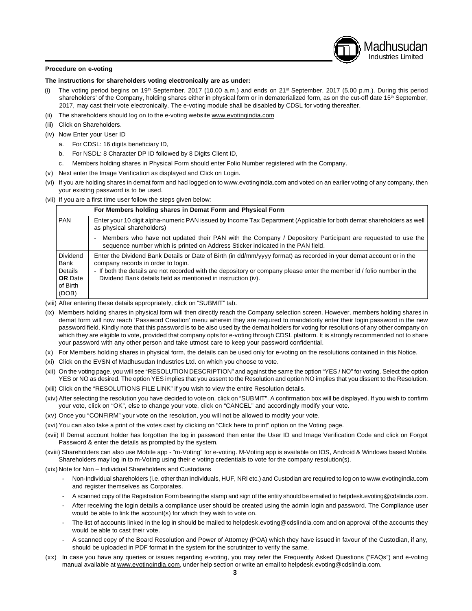## Madhusudan Industries Limited

#### **Procedure on e-voting**

#### **The instructions for shareholders voting electronically are as under:**

- (i) The voting period begins on 19<sup>th</sup> September, 2017 (10.00 a.m.) and ends on 21<sup>st</sup> September, 2017 (5.00 p.m.). During this period shareholders' of the Company, holding shares either in physical form or in dematerialized form, as on the cut-off date 15<sup>th</sup> September, 2017, may cast their vote electronically. The e-voting module shall be disabled by CDSL for voting thereafter.
- (ii) The shareholders should log on to the e-voting website www.evotingindia.com
- (iii) Click on Shareholders.
- (iv) Now Enter your User ID
	- a. For CDSL: 16 digits beneficiary ID,
	- b. For NSDL: 8 Character DP ID followed by 8 Digits Client ID,
	- c. Members holding shares in Physical Form should enter Folio Number registered with the Company.
- (v) Next enter the Image Verification as displayed and Click on Login.
- (vi) If you are holding shares in demat form and had logged on to www.evotingindia.com and voted on an earlier voting of any company, then your existing password is to be used.
- (vii) If you are a first time user follow the steps given below:

|                                                                    | For Members holding shares in Demat Form and Physical Form                                                                                                                                                                                                                                                                                           |
|--------------------------------------------------------------------|------------------------------------------------------------------------------------------------------------------------------------------------------------------------------------------------------------------------------------------------------------------------------------------------------------------------------------------------------|
| <b>PAN</b>                                                         | Enter your 10 digit alpha-numeric PAN issued by Income Tax Department (Applicable for both demat shareholders as well<br>as physical shareholders)                                                                                                                                                                                                   |
|                                                                    | Members who have not updated their PAN with the Company / Depository Participant are requested to use the<br>sequence number which is printed on Address Sticker indicated in the PAN field.                                                                                                                                                         |
| Dividend<br>Bank<br>Details<br><b>OR</b> Date<br>of Birth<br>(DOB) | Enter the Dividend Bank Details or Date of Birth (in dd/mm/yyyy format) as recorded in your demat account or in the<br>company records in order to login.<br>- If both the details are not recorded with the depository or company please enter the member id / folio number in the<br>Dividend Bank details field as mentioned in instruction (iv). |

- (viii) After entering these details appropriately, click on "SUBMIT" tab.
- (ix) Members holding shares in physical form will then directly reach the Company selection screen. However, members holding shares in demat form will now reach 'Password Creation' menu wherein they are required to mandatorily enter their login password in the new password field. Kindly note that this password is to be also used by the demat holders for voting for resolutions of any other company on which they are eligible to vote, provided that company opts for e-voting through CDSL platform. It is strongly recommended not to share your password with any other person and take utmost care to keep your password confidential.
- (x) For Members holding shares in physical form, the details can be used only for e-voting on the resolutions contained in this Notice.
- (xi) Click on the EVSN of Madhusudan Industries Ltd. on which you choose to vote.
- (xii) On the voting page, you will see "RESOLUTION DESCRIPTION" and against the same the option "YES / NO" for voting. Select the option YES or NO as desired. The option YES implies that you assent to the Resolution and option NO implies that you dissent to the Resolution.
- (xiii) Click on the "RESOLUTIONS FILE LINK" if you wish to view the entire Resolution details.
- (xiv) After selecting the resolution you have decided to vote on, click on "SUBMIT". A confirmation box will be displayed. If you wish to confirm your vote, click on "OK", else to change your vote, click on "CANCEL" and accordingly modify your vote.
- (xv) Once you "CONFIRM" your vote on the resolution, you will not be allowed to modify your vote.
- (xvi) You can also take a print of the votes cast by clicking on "Click here to print" option on the Voting page.
- (xvii) If Demat account holder has forgotten the log in password then enter the User ID and Image Verification Code and click on Forgot Password & enter the details as prompted by the system.
- (xviii) Shareholders can also use Mobile app "m-Voting" for e-voting. M-Voting app is available on IOS, Android & Windows based Mobile. Shareholders may log in to m-Voting using their e voting credentials to vote for the company resolution(s).
- (xix) Note for Non Individual Shareholders and Custodians
	- Non-Individual shareholders (i.e. other than Individuals, HUF, NRI etc.) and Custodian are required to log on to www.evotingindia.com and register themselves as Corporates.
	- A scanned copy of the Registration Form bearing the stamp and sign of the entity should be emailed to helpdesk.evoting@cdslindia.com.
	- After receiving the login details a compliance user should be created using the admin login and password. The Compliance user would be able to link the account(s) for which they wish to vote on.
	- The list of accounts linked in the log in should be mailed to helpdesk.evoting@cdslindia.com and on approval of the accounts they would be able to cast their vote.
	- A scanned copy of the Board Resolution and Power of Attorney (POA) which they have issued in favour of the Custodian, if any, should be uploaded in PDF format in the system for the scrutinizer to verify the same.
- (xx) In case you have any queries or issues regarding e-voting, you may refer the Frequently Asked Questions ("FAQs") and e-voting manual available at www.evotingindia.com, under help section or write an email to helpdesk.evoting@cdslindia.com.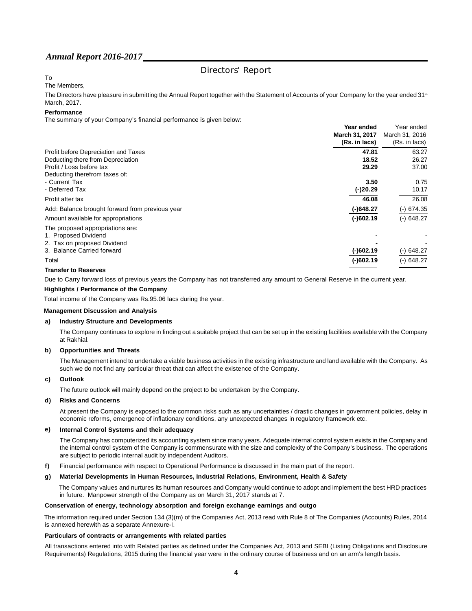## Directors' Report

## To

The Members,

The Directors have pleasure in submitting the Annual Report together with the Statement of Accounts of your Company for the year ended 31<sup>st</sup> March, 2017.

#### **Performance**

The summary of your Company's financial performance is given below:

| Year ended                                                   | Year ended      |
|--------------------------------------------------------------|-----------------|
| March 31, 2017                                               | March 31, 2016  |
| (Rs. in lacs)                                                | (Rs. in lacs)   |
| 47.81<br>Profit before Depreciation and Taxes                | 63.27           |
| 18.52<br>Deducting there from Depreciation                   | 26.27           |
| Profit / Loss before tax<br>29.29                            | 37.00           |
| Deducting therefrom taxes of:                                |                 |
| - Current Tax<br>3.50                                        | 0.75            |
| - Deferred Tax<br>$(-)20.29$                                 | 10.17           |
| 46.08<br>Profit after tax                                    | 26.08           |
| (-)648.27<br>Add: Balance brought forward from previous year | 674.35<br>$(-)$ |
| $(-)602.19$<br>Amount available for appropriations           | $(-)$ 648.27    |
| The proposed appropriations are:                             |                 |
| 1. Proposed Dividend                                         |                 |
| 2. Tax on proposed Dividend                                  |                 |
| 3. Balance Carried forward<br>$(-)602.19$                    | 648.27<br>$(-)$ |
| $(-)602.19$<br>Total                                         | $(-)$ 648.27    |

#### **Transfer to Reserves**

Due to Carry forward loss of previous years the Company has not transferred any amount to General Reserve in the current year.

#### **Highlights / Performance of the Company**

Total income of the Company was Rs.95.06 lacs during the year.

#### **Management Discussion and Analysis**

#### **a) Industry Structure and Developments**

The Company continues to explore in finding out a suitable project that can be set up in the existing facilities available with the Company at Rakhial.

#### **b) Opportunities and Threats**

The Management intend to undertake a viable business activities in the existing infrastructure and land available with the Company. As such we do not find any particular threat that can affect the existence of the Company.

#### **c) Outlook**

The future outlook will mainly depend on the project to be undertaken by the Company.

#### **d) Risks and Concerns**

At present the Company is exposed to the common risks such as any uncertainties / drastic changes in government policies, delay in economic reforms, emergence of inflationary conditions, any unexpected changes in regulatory framework etc.

#### **e) Internal Control Systems and their adequacy**

The Company has computerized its accounting system since many years. Adequate internal control system exists in the Company and the internal control system of the Company is commensurate with the size and complexity of the Company's business. The operations are subject to periodic internal audit by independent Auditors.

**f)** Financial performance with respect to Operational Performance is discussed in the main part of the report.

#### **g) Material Developments in Human Resources, Industrial Relations, Environment, Health & Safety**

The Company values and nurtures its human resources and Company would continue to adopt and implement the best HRD practices in future. Manpower strength of the Company as on March 31, 2017 stands at 7.

#### **Conservation of energy, technology absorption and foreign exchange earnings and outgo**

The information required under Section 134 (3)(m) of the Companies Act, 2013 read with Rule 8 of The Companies (Accounts) Rules, 2014 is annexed herewith as a separate Annexure-I.

#### **Particulars of contracts or arrangements with related parties**

All transactions entered into with Related parties as defined under the Companies Act, 2013 and SEBI (Listing Obligations and Disclosure Requirements) Regulations, 2015 during the financial year were in the ordinary course of business and on an arm's length basis.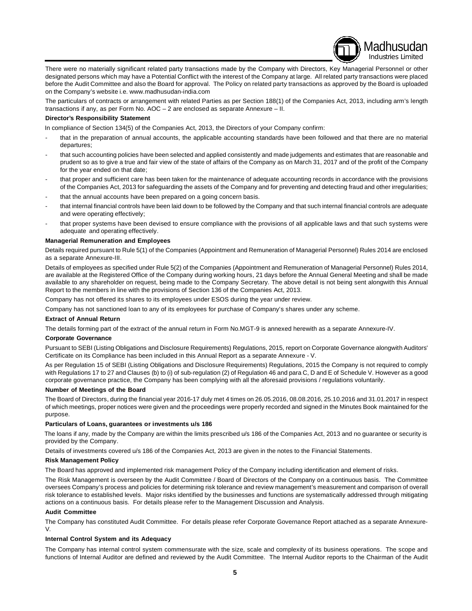There were no materially significant related party transactions made by the Company with Directors, Key Managerial Personnel or other designated persons which may have a Potential Conflict with the interest of the Company at large. All related party transactions were placed before the Audit Committee and also the Board for approval. The Policy on related party transactions as approved by the Board is uploaded on the Company's website i.e. www.madhusudan-india.com

Madhusudan Industries Limited

The particulars of contracts or arrangement with related Parties as per Section 188(1) of the Companies Act, 2013, including arm's length transactions if any, as per Form No. AOC – 2 are enclosed as separate Annexure – II.

#### **Director's Responsibility Statement**

In compliance of Section 134(5) of the Companies Act, 2013, the Directors of your Company confirm:

- that in the preparation of annual accounts, the applicable accounting standards have been followed and that there are no material departures;
- that such accounting policies have been selected and applied consistently and made judgements and estimates that are reasonable and prudent so as to give a true and fair view of the state of affairs of the Company as on March 31, 2017 and of the profit of the Company for the year ended on that date;
- that proper and sufficient care has been taken for the maintenance of adequate accounting records in accordance with the provisions of the Companies Act, 2013 for safeguarding the assets of the Company and for preventing and detecting fraud and other irregularities;
- that the annual accounts have been prepared on a going concern basis.
- that internal financial controls have been laid down to be followed by the Company and that such internal financial controls are adequate and were operating effectively;
- that proper systems have been devised to ensure compliance with the provisions of all applicable laws and that such systems were adequate and operating effectively.

#### **Managerial Remuneration and Employees**

Details required pursuant to Rule 5(1) of the Companies (Appointment and Remuneration of Managerial Personnel) Rules 2014 are enclosed as a separate Annexure-III.

Details of employees as specified under Rule 5(2) of the Companies (Appointment and Remuneration of Managerial Personnel) Rules 2014, are available at the Registered Office of the Company during working hours, 21 days before the Annual General Meeting and shall be made available to any shareholder on request, being made to the Company Secretary. The above detail is not being sent alongwith this Annual Report to the members in line with the provisions of Section 136 of the Companies Act, 2013.

Company has not offered its shares to its employees under ESOS during the year under review.

Company has not sanctioned loan to any of its employees for purchase of Company's shares under any scheme.

#### **Extract of Annual Return**

The details forming part of the extract of the annual return in Form No.MGT-9 is annexed herewith as a separate Annexure-IV.

#### **Corporate Governance**

Pursuant to SEBI (Listing Obligations and Disclosure Requirements) Regulations, 2015, report on Corporate Governance alongwith Auditors' Certificate on its Compliance has been included in this Annual Report as a separate Annexure - V.

As per Regulation 15 of SEBI (Listing Obligations and Disclosure Requirements) Regulations, 2015 the Company is not required to comply with Regulations 17 to 27 and Clauses (b) to (i) of sub-regulation (2) of Regulation 46 and para C, D and E of Schedule V. However as a good corporate governance practice, the Company has been complying with all the aforesaid provisions / regulations voluntarily.

#### **Number of Meetings of the Board**

The Board of Directors, during the financial year 2016-17 duly met 4 times on 26.05.2016, 08.08.2016, 25.10.2016 and 31.01.2017 in respect of which meetings, proper notices were given and the proceedings were properly recorded and signed in the Minutes Book maintained for the purpose.

#### **Particulars of Loans, guarantees or investments u/s 186**

The loans if any, made by the Company are within the limits prescribed u/s 186 of the Companies Act, 2013 and no guarantee or security is provided by the Company.

Details of investments covered u/s 186 of the Companies Act, 2013 are given in the notes to the Financial Statements.

#### **Risk Management Policy**

The Board has approved and implemented risk management Policy of the Company including identification and element of risks.

The Risk Management is overseen by the Audit Committee / Board of Directors of the Company on a continuous basis. The Committee oversees Company's process and policies for determining risk tolerance and review management's measurement and comparison of overall risk tolerance to established levels. Major risks identified by the businesses and functions are systematically addressed through mitigating actions on a continuous basis. For details please refer to the Management Discussion and Analysis.

#### **Audit Committee**

The Company has constituted Audit Committee. For details please refer Corporate Governance Report attached as a separate Annexure-V.

#### **Internal Control System and its Adequacy**

The Company has internal control system commensurate with the size, scale and complexity of its business operations. The scope and functions of Internal Auditor are defined and reviewed by the Audit Committee. The Internal Auditor reports to the Chairman of the Audit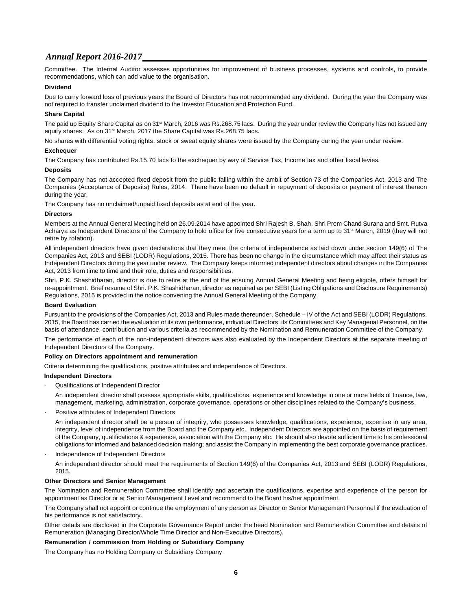Committee. The Internal Auditor assesses opportunities for improvement of business processes, systems and controls, to provide recommendations, which can add value to the organisation.

#### **Dividend**

Due to carry forward loss of previous years the Board of Directors has not recommended any dividend. During the year the Company was not required to transfer unclaimed dividend to the Investor Education and Protection Fund.

#### **Share Capital**

The paid up Equity Share Capital as on 31<sup>st</sup> March, 2016 was Rs.268.75 lacs. During the year under review the Company has not issued any equity shares. As on 31<sup>st</sup> March, 2017 the Share Capital was Rs.268.75 lacs.

No shares with differential voting rights, stock or sweat equity shares were issued by the Company during the year under review.

#### **Exchequer**

The Company has contributed Rs.15.70 lacs to the exchequer by way of Service Tax, Income tax and other fiscal levies.

#### **Deposits**

The Company has not accepted fixed deposit from the public falling within the ambit of Section 73 of the Companies Act, 2013 and The Companies (Acceptance of Deposits) Rules, 2014. There have been no default in repayment of deposits or payment of interest thereon during the year.

The Company has no unclaimed/unpaid fixed deposits as at end of the year.

#### **Directors**

Members at the Annual General Meeting held on 26.09.2014 have appointed Shri Rajesh B. Shah, Shri Prem Chand Surana and Smt. Rutva Acharya as Independent Directors of the Company to hold office for five consecutive years for a term up to 31<sup>st</sup> March, 2019 (they will not retire by rotation).

All independent directors have given declarations that they meet the criteria of independence as laid down under section 149(6) of The Companies Act, 2013 and SEBI (LODR) Regulations, 2015. There has been no change in the circumstance which may affect their status as Independent Directors during the year under review. The Company keeps informed independent directors about changes in the Companies Act, 2013 from time to time and their role, duties and responsibilities.

Shri. P.K. Shashidharan, director is due to retire at the end of the ensuing Annual General Meeting and being eligible, offers himself for re-appointment. Brief resume of Shri. P.K. Shashidharan, director as required as per SEBI (Listing Obligations and Disclosure Requirements) Regulations, 2015 is provided in the notice convening the Annual General Meeting of the Company.

#### **Board Evaluation**

Pursuant to the provisions of the Companies Act, 2013 and Rules made thereunder, Schedule – IV of the Act and SEBI (LODR) Regulations, 2015, the Board has carried the evaluation of its own performance, individual Directors, its Committees and Key Managerial Personnel, on the basis of attendance, contribution and various criteria as recommended by the Nomination and Remuneration Committee of the Company.

The performance of each of the non-independent directors was also evaluated by the Independent Directors at the separate meeting of Independent Directors of the Company.

#### **Policy on Directors appointment and remuneration**

Criteria determining the qualifications, positive attributes and independence of Directors.

#### **Independent Directors**

· Qualifications of Independent Director

An independent director shall possess appropriate skills, qualifications, experience and knowledge in one or more fields of finance, law, management, marketing, administration, corporate governance, operations or other disciplines related to the Company's business.

· Positive attributes of Independent Directors

An independent director shall be a person of integrity, who possesses knowledge, qualifications, experience, expertise in any area, integrity, level of independence from the Board and the Company etc. Independent Directors are appointed on the basis of requirement of the Company, qualifications & experience, association with the Company etc. He should also devote sufficient time to his professional obligations for informed and balanced decision making; and assist the Company in implementing the best corporate governance practices.

Independence of Independent Directors An independent director should meet the requirements of Section 149(6) of the Companies Act, 2013 and SEBI (LODR) Regulations, 2015.

#### **Other Directors and Senior Management**

The Nomination and Remuneration Committee shall identify and ascertain the qualifications, expertise and experience of the person for appointment as Director or at Senior Management Level and recommend to the Board his/her appointment.

The Company shall not appoint or continue the employment of any person as Director or Senior Management Personnel if the evaluation of his performance is not satisfactory.

Other details are disclosed in the Corporate Governance Report under the head Nomination and Remuneration Committee and details of Remuneration (Managing Director/Whole Time Director and Non-Executive Directors).

#### **Remuneration / commission from Holding or Subsidiary Company**

The Company has no Holding Company or Subsidiary Company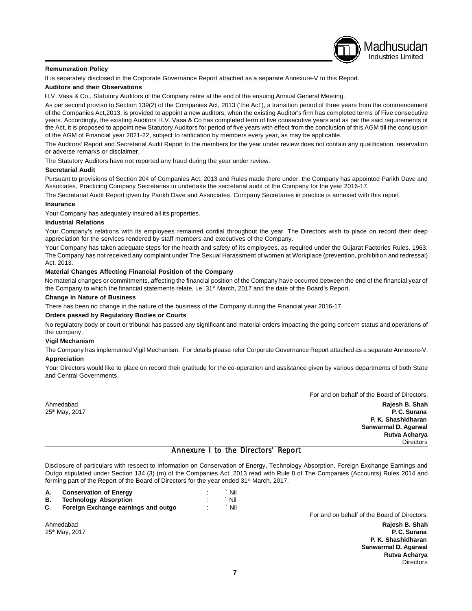#### **Remuneration Policy**

It is separately disclosed in the Corporate Governance Report attached as a separate Annexure-V to this Report.

#### **Auditors and their Observations**

H.V. Vasa & Co., Statutory Auditors of the Company retire at the end of the ensuing Annual General Meeting.

As per second proviso to Section 139(2) of the Companies Act, 2013 ('the Act'), a transition period of three years from the commencement of the Companies Act,2013, is provided to appoint a new auditors, when the existing Auditor's firm has completed terms of Five consecutive years. Accordingly, the existing Auditors H.V. Vasa & Co has completed term of five consecutive years and as per the said requirements of the Act, it is proposed to appoint new Statutory Auditors for period of five years with effect from the conclusion of this AGM till the conclusion of the AGM of Financial year 2021-22, subject to ratification by members every year, as may be applicable.

The Auditors' Report and Secretarial Audit Report to the members for the year under review does not contain any qualification, reservation or adverse remarks or disclaimer.

The Statutory Auditors have not reported any fraud during the year under review.

#### **Secretarial Audit**

Pursuant to provisions of Section 204 of Companies Act, 2013 and Rules made there under, the Company has appointed Parikh Dave and Associates, Practicing Company Secretaries to undertake the secretarial audit of the Company for the year 2016-17.

The Secretarial Audit Report given by Parikh Dave and Associates, Company Secretaries in practice is annexed with this report.

#### **Insurance**

Your Company has adequately insured all its properties.

#### **Industrial Relations**

Your Company's relations with its employees remained cordial throughout the year. The Directors wish to place on record their deep appreciation for the services rendered by staff members and executives of the Company.

Your Company has taken adequate steps for the health and safety of its employees, as required under the Gujarat Factories Rules, 1963. The Company has not received any complaint under The Sexual Harassment of women at Workplace (prevention, prohibition and redressal) Act, 2013.

#### **Material Changes Affecting Financial Position of the Company**

No material changes or commitments, affecting the financial position of the Company have occurred between the end of the financial year of the Company to which the financial statements relate, i.e. 31<sup>st</sup> March, 2017 and the date of the Board's Report.

#### **Change in Nature of Business**

There has been no change in the nature of the business of the Company during the Financial year 2016-17.

#### **Orders passed by Regulatory Bodies or Courts**

No regulatory body or court or tribunal has passed any significant and material orders impacting the going concern status and operations of the company.

#### **Vigil Mechanism**

The Company has implemented Vigil Mechanism. For details please refer Corporate Governance Report attached as a separate Annexure-V. **Appreciation**

Your Directors would like to place on record their gratitude for the co-operation and assistance given by various departments of both State and Central Governments.

For and on behalf of the Board of Directors, Ahmedabad **Rajesh B. Shah** th 25 May, 2017 **P. C. Surana P. K. Shashidharan Sanwarmal D. Agarwal Rutva Acharya** Directors

Madhusudan Industries Limited

### Annexure I to the Directors' Report

Disclosure of particulars with respect to Information on Conservation of Energy, Technology Absorption, Foreign Exchange Earnings and Outgo stipulated under Section 134 (3) (m) of the Companies Act, 2013 read with Rule 8 of The Companies (Accounts) Rules 2014 and forming part of the Report of the Board of Directors for the year ended 31<sup>st</sup> March, 2017.

| А. | <b>Conservation of Energy</b>       |   | Nil |
|----|-------------------------------------|---|-----|
| В. | <b>Technology Absorption</b>        |   | Nil |
| C. | Foreign Exchange earnings and outgo | ٠ | Nil |

For and on behalf of the Board of Directors,

Ahmedabad **Rajesh B. Shah** th 25 May, 2017 **P. C. Surana P. K. Shashidharan Sanwarmal D. Agarwal Rutva Acharya Directors**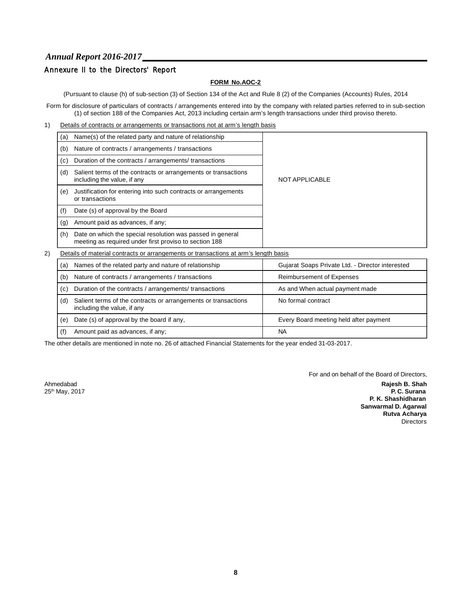## Annexure II to the Directors' Report

## **FORM No.AOC-2**

(Pursuant to clause (h) of sub-section (3) of Section 134 of the Act and Rule 8 (2) of the Companies (Accounts) Rules, 2014

Form for disclosure of particulars of contracts / arrangements entered into by the company with related parties referred to in sub-section (1) of section 188 of the Companies Act, 2013 including certain arm's length transactions under third proviso thereto.

1) Details of contracts or arrangements or transactions not at arm's length basis

|    | (a)                                                      |                                                                                                                      |                                                  |  |  |
|----|----------------------------------------------------------|----------------------------------------------------------------------------------------------------------------------|--------------------------------------------------|--|--|
|    | Nature of contracts / arrangements / transactions<br>(b) |                                                                                                                      |                                                  |  |  |
|    | (c)                                                      | Duration of the contracts / arrangements/ transactions                                                               |                                                  |  |  |
|    | (d)                                                      | Salient terms of the contracts or arrangements or transactions<br>including the value, if any                        | NOT APPLICABLE                                   |  |  |
|    | (e)                                                      | Justification for entering into such contracts or arrangements<br>or transactions                                    |                                                  |  |  |
|    | (f)                                                      | Date (s) of approval by the Board                                                                                    |                                                  |  |  |
|    | (g)                                                      | Amount paid as advances, if any;                                                                                     |                                                  |  |  |
|    | (h)                                                      | Date on which the special resolution was passed in general<br>meeting as required under first proviso to section 188 |                                                  |  |  |
| 2) |                                                          | Details of material contracts or arrangements or transactions at arm's length basis                                  |                                                  |  |  |
|    | (a)                                                      | Names of the related party and nature of relationship                                                                | Gujarat Soaps Private Ltd. - Director interested |  |  |
|    |                                                          |                                                                                                                      |                                                  |  |  |

| (a) | Names of the related party and nature of relationship                                         | Gujarat Soaps Private Ltd. - Director Interested |
|-----|-----------------------------------------------------------------------------------------------|--------------------------------------------------|
| (b) | Nature of contracts / arrangements / transactions                                             | <b>Reimbursement of Expenses</b>                 |
| (c) | Duration of the contracts / arrangements/ transactions                                        | As and When actual payment made                  |
| (d) | Salient terms of the contracts or arrangements or transactions<br>including the value, if any | No formal contract                               |
| (e) | Date (s) of approval by the board if any,                                                     | Every Board meeting held after payment           |
| (f) | Amount paid as advances, if any:                                                              | <b>NA</b>                                        |

The other details are mentioned in note no. 26 of attached Financial Statements for the year ended 31-03-2017.

For and on behalf of the Board of Directors,

Ahmedabad **Rajesh B. Shah** th 25 May, 2017 **P. C. Surana P. K. Shashidharan Sanwarmal D. Agarwal Rutva Acharya Directors**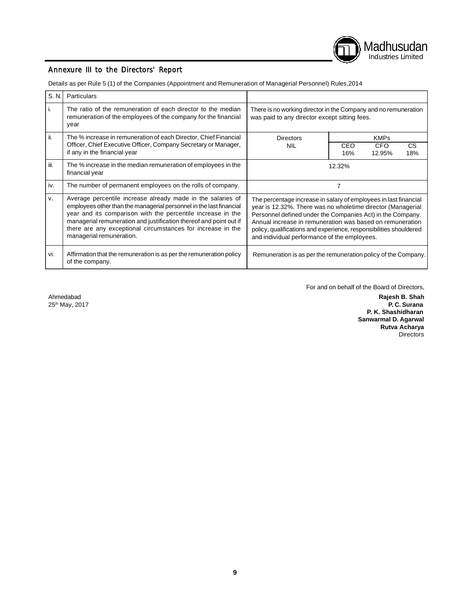

## Annexure III to the Directors' Report

Details as per Rule 5 (1) of the Companies (Appointment and Remuneration of Managerial Personnel) Rules,2014

| S. N. | Particulars                                                                                                                                                                                                                                                                                                                                                        |                                                                                                                                                                                                                                                                                                                                                                                  |            |               |            |
|-------|--------------------------------------------------------------------------------------------------------------------------------------------------------------------------------------------------------------------------------------------------------------------------------------------------------------------------------------------------------------------|----------------------------------------------------------------------------------------------------------------------------------------------------------------------------------------------------------------------------------------------------------------------------------------------------------------------------------------------------------------------------------|------------|---------------|------------|
|       | The ratio of the remuneration of each director to the median<br>remuneration of the employees of the company for the financial<br>year                                                                                                                                                                                                                             | There is no working director in the Company and no remuneration<br>was paid to any director except sitting fees.                                                                                                                                                                                                                                                                 |            |               |            |
| ii.   | The % increase in remuneration of each Director, Chief Financial                                                                                                                                                                                                                                                                                                   | <b>Directors</b>                                                                                                                                                                                                                                                                                                                                                                 |            | <b>KMPs</b>   |            |
|       | Officer, Chief Executive Officer, Company Secretary or Manager,<br>if any in the financial year                                                                                                                                                                                                                                                                    | NIL                                                                                                                                                                                                                                                                                                                                                                              | CEO<br>16% | CFO<br>12.95% | CS.<br>18% |
| iii.  | The % increase in the median remuneration of employees in the<br>financial year                                                                                                                                                                                                                                                                                    |                                                                                                                                                                                                                                                                                                                                                                                  | 12.32%     |               |            |
| iv.   | The number of permanent employees on the rolls of company.                                                                                                                                                                                                                                                                                                         |                                                                                                                                                                                                                                                                                                                                                                                  | 7          |               |            |
| V.    | Average percentile increase already made in the salaries of<br>employees other than the managerial personnel in the last financial<br>year and its comparison with the percentile increase in the<br>managerial remuneration and justification thereof and point out if<br>there are any exceptional circumstances for increase in the<br>managerial remuneration. | The percentage increase in salary of employees in last financial<br>year is 12.32%. There was no wholetime director (Managerial<br>Personnel defined under the Companies Act) in the Company.<br>Annual increase in remuneration was based on remuneration<br>policy, qualifications and experience, responsibilities shouldered<br>and individual performance of the employees. |            |               |            |
| vi.   | Affirmation that the remuneration is as per the remuneration policy<br>of the company.                                                                                                                                                                                                                                                                             | Remuneration is as per the remuneration policy of the Company.                                                                                                                                                                                                                                                                                                                   |            |               |            |

 $25<sup>th</sup>$  May, 2017

For and on behalf of the Board of Directors,

Ahmedabad **Rajesh B. Shah P. K. Shashidharan Sanwarmal D. Agarwal Rutva Acharya Directors**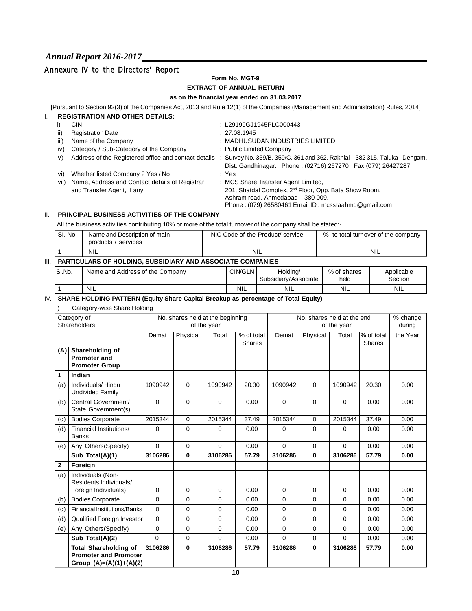## Annexure IV to the Directors' Report

## **Form No. MGT-9**

## **EXTRACT OF ANNUAL RETURN**

#### **as on the financial year ended on 31.03.2017**

[Pursuant to Section 92(3) of the Companies Act, 2013 and Rule 12(1) of the Companies (Management and Administration) Rules, 2014] I. **REGISTRATION AND OTHER DETAILS:**

|      | <b>CIN</b>                                                                   |                                    | : L29199GJ1945PLC000443                                                                                                                                                                               |
|------|------------------------------------------------------------------------------|------------------------------------|-------------------------------------------------------------------------------------------------------------------------------------------------------------------------------------------------------|
| ii)  | <b>Registration Date</b>                                                     |                                    | : 27.08.1945                                                                                                                                                                                          |
| iii) | Name of the Company                                                          |                                    | : MADHUSUDAN INDUSTRIES LIMITED                                                                                                                                                                       |
| iv)  | Category / Sub-Category of the Company                                       |                                    | : Public Limited Company                                                                                                                                                                              |
| V)   |                                                                              |                                    | Address of the Registered office and contact details : Survey No. 359/B, 359/C, 361 and 362, Rakhial - 382 315, Taluka - Dehgam,<br>Dist. Gandhinagar. Phone: (02716) 267270  Fax (079) 26427287      |
| Vi)  | Whether listed Company ? Yes / No                                            |                                    |                                                                                                                                                                                                       |
| Vii) | Name, Address and Contact details of Registrar<br>and Transfer Agent, if any |                                    | : MCS Share Transfer Agent Limited,<br>201, Shatdal Complex, 2 <sup>nd</sup> Floor, Opp. Bata Show Room,<br>Ashram road, Ahmedabad - 380 009.<br>Phone: (079) 26580461 Email ID: mcsstaahmd@gmail.com |
|      |                                                                              | 1129811181108.882 0111211 DETAILS. | : Yes                                                                                                                                                                                                 |

## II. **PRINCIPAL BUSINESS ACTIVITIES OF THE COMPANY**

All the business activities contributing 10% or more of the total turnover of the company shall be stated:-

| ' SI. No. | Name and Description of main<br>products /<br>' services | NIC Code of the Product/ service | % to total turnover of the company |
|-----------|----------------------------------------------------------|----------------------------------|------------------------------------|
|           | <b>NIL</b>                                               | <b>NIL</b>                       | <b>NIL</b>                         |

### III. **PARTICULARS OF HOLDING, SUBSIDIARY AND ASSOCIATE COMPANIES**

| ISI.No. | Name and Address of the Company | <b>CIN/GLN</b> | Holdina/<br>Subsidiary/Associate | % of shares<br>held | Applicable<br>Section |
|---------|---------------------------------|----------------|----------------------------------|---------------------|-----------------------|
|         | <b>NIL</b>                      | <b>NIL</b>     | <b>NIL</b>                       | <b>NIL</b>          | <b>NIL</b>            |

#### IV. **SHARE HOLDING PATTERN (Equity Share Capital Breakup as percentage of Total Equity)**

| i) | Category-wise Share Holding |  |
|----|-----------------------------|--|
|----|-----------------------------|--|

|              | Category of<br>Shareholders                                                             |                |              | No. shares held at the beginning<br>of the year |                             |          | No. shares held at the end | of the year |                             | % change<br>during |
|--------------|-----------------------------------------------------------------------------------------|----------------|--------------|-------------------------------------------------|-----------------------------|----------|----------------------------|-------------|-----------------------------|--------------------|
|              |                                                                                         | Demat          | Physical     | Total                                           | % of total<br><b>Shares</b> | Demat    | Physical                   | Total       | % of total<br><b>Shares</b> | the Year           |
| (A)          | Shareholding of<br><b>Promoter and</b><br><b>Promoter Group</b>                         |                |              |                                                 |                             |          |                            |             |                             |                    |
| 1            | Indian                                                                                  |                |              |                                                 |                             |          |                            |             |                             |                    |
| (a)          | Individuals/Hindu<br><b>Undivided Family</b>                                            | 1090942        | $\Omega$     | 1090942                                         | 20.30                       | 1090942  | $\Omega$                   | 1090942     | 20.30                       | 0.00               |
| (b)          | Central Government/<br>State Government(s)                                              | $\Omega$       | $\mathbf 0$  | $\Omega$                                        | 0.00                        | $\Omega$ | $\mathbf 0$                | $\mathbf 0$ | 0.00                        | 0.00               |
| (c)          | <b>Bodies Corporate</b>                                                                 | 2015344        | $\mathbf 0$  | 2015344                                         | 37.49                       | 2015344  | $\overline{0}$             | 2015344     | 37.49                       | 0.00               |
| (d)          | Financial Institutions/<br><b>Banks</b>                                                 | 0              | $\mathbf 0$  | $\Omega$                                        | 0.00                        | 0        | $\mathbf 0$                | 0           | 0.00                        | 0.00               |
| (e)          | Any Others (Specify)                                                                    | $\Omega$       | $\Omega$     | $\Omega$                                        | 0.00                        | $\Omega$ | $\mathbf 0$                | $\Omega$    | 0.00                        | 0.00               |
|              | Sub Total(A)(1)                                                                         | 3106286        | $\mathbf{0}$ | 3106286                                         | 57.79                       | 3106286  | $\mathbf{0}$               | 3106286     | 57.79                       | 0.00               |
| $\mathbf{2}$ | Foreign                                                                                 |                |              |                                                 |                             |          |                            |             |                             |                    |
| (a)          | Individuals (Non-<br>Residents Individuals/                                             |                |              |                                                 |                             |          |                            |             |                             |                    |
|              | Foreign Individuals)                                                                    | 0              | 0            | $\mathbf 0$                                     | 0.00                        | 0        | $\mathbf 0$                | 0           | 0.00                        | 0.00               |
| (b)          | <b>Bodies Corporate</b>                                                                 | $\Omega$       | $\Omega$     | $\Omega$                                        | 0.00                        | 0        | $\Omega$                   | 0           | 0.00                        | 0.00               |
| (c)          | <b>Financial Institutions/Banks</b>                                                     | 0              | $\mathbf 0$  | $\Omega$                                        | 0.00                        | 0        | $\mathbf 0$                | 0           | 0.00                        | 0.00               |
| (d)          | <b>Qualified Foreign Investor</b>                                                       | 0              | $\mathbf 0$  | $\mathbf 0$                                     | 0.00                        | 0        | $\mathbf 0$                | $\mathbf 0$ | 0.00                        | 0.00               |
| (e)          | Any Others (Specify)                                                                    | $\mathbf 0$    | $\mathbf 0$  | $\mathbf 0$                                     | 0.00                        | 0        | $\mathbf 0$                | 0           | 0.00                        | 0.00               |
|              | Sub Total(A)(2)                                                                         | $\overline{0}$ | $\mathbf 0$  | $\Omega$                                        | 0.00                        | $\Omega$ | $\mathbf 0$                | 0           | 0.00                        | 0.00               |
|              | <b>Total Shareholding of</b><br><b>Promoter and Promoter</b><br>Group (A)=(A)(1)+(A)(2) | 3106286        | $\mathbf{0}$ | 3106286                                         | 57.79                       | 3106286  | $\mathbf{0}$               | 3106286     | 57.79                       | 0.00               |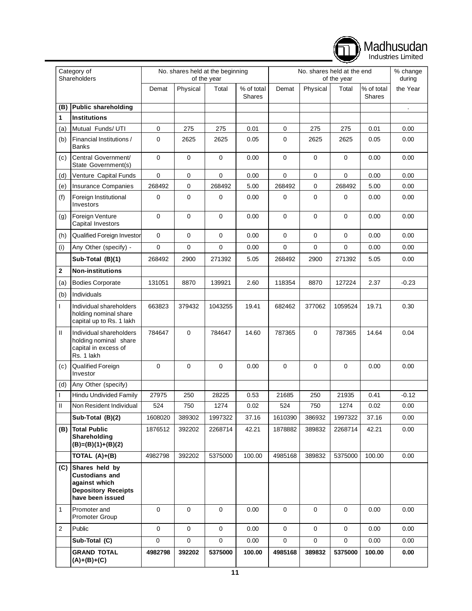|                |                                                                                                                |             |             |                                                 |                      |             |                            |             |                             | Industries Limited   |
|----------------|----------------------------------------------------------------------------------------------------------------|-------------|-------------|-------------------------------------------------|----------------------|-------------|----------------------------|-------------|-----------------------------|----------------------|
|                | Category of<br>Shareholders                                                                                    |             |             | No. shares held at the beginning<br>of the year |                      |             | No. shares held at the end | of the year |                             | % change<br>during   |
|                |                                                                                                                | Demat       | Physical    | Total                                           | % of total<br>Shares | Demat       | Physical                   | Total       | % of total<br><b>Shares</b> | the Year             |
| (B)            | <b>Public shareholding</b>                                                                                     |             |             |                                                 |                      |             |                            |             |                             | $\ddot{\phantom{a}}$ |
| 1              | <b>Institutions</b>                                                                                            |             |             |                                                 |                      |             |                            |             |                             |                      |
| (a)            | Mutual Funds/ UTI                                                                                              | 0           | 275         | 275                                             | 0.01                 | 0           | 275                        | 275         | 0.01                        | 0.00                 |
| (b)            | Financial Institutions /<br><b>Banks</b>                                                                       | 0           | 2625        | 2625                                            | 0.05                 | 0           | 2625                       | 2625        | 0.05                        | 0.00                 |
| (c)            | Central Government/<br>State Government(s)                                                                     | $\mathbf 0$ | $\mathbf 0$ | 0                                               | 0.00                 | $\mathbf 0$ | 0                          | 0           | 0.00                        | 0.00                 |
| (d)            | Venture Capital Funds                                                                                          | $\mathbf 0$ | $\mathbf 0$ | 0                                               | 0.00                 | $\pmb{0}$   | $\mathbf 0$                | 0           | 0.00                        | 0.00                 |
| (e)            | <b>Insurance Companies</b>                                                                                     | 268492      | $\mathbf 0$ | 268492                                          | 5.00                 | 268492      | 0                          | 268492      | 5.00                        | 0.00                 |
| (f)            | Foreign Institutional<br>Investors                                                                             | 0           | $\mathbf 0$ | 0                                               | 0.00                 | 0           | 0                          | 0           | 0.00                        | 0.00                 |
| (g)            | Foreign Venture<br>Capital Investors                                                                           | 0           | $\mathbf 0$ | 0                                               | 0.00                 | $\mathbf 0$ | $\mathbf 0$                | $\mathbf 0$ | 0.00                        | 0.00                 |
| (h)            | Qualified Foreign Investor                                                                                     | $\mathbf 0$ | $\mathbf 0$ | 0                                               | 0.00                 | $\mathbf 0$ | $\mathbf 0$                | $\mathbf 0$ | 0.00                        | 0.00                 |
| (i)            | Any Other (specify) -                                                                                          | 0           | $\mathbf 0$ | 0                                               | 0.00                 | $\mathbf 0$ | 0                          | $\mathbf 0$ | 0.00                        | 0.00                 |
|                | Sub-Total (B)(1)                                                                                               | 268492      | 2900        | 271392                                          | 5.05                 | 268492      | 2900                       | 271392      | 5.05                        | 0.00                 |
| 2              | <b>Non-institutions</b>                                                                                        |             |             |                                                 |                      |             |                            |             |                             |                      |
| (a)            | <b>Bodies Corporate</b>                                                                                        | 131051      | 8870        | 139921                                          | 2.60                 | 118354      | 8870                       | 127224      | 2.37                        | -0.23                |
| (b)            | Individuals                                                                                                    |             |             |                                                 |                      |             |                            |             |                             |                      |
| T              | Individual shareholders<br>holding nominal share<br>capital up to Rs. 1 lakh                                   | 663823      | 379432      | 1043255                                         | 19.41                | 682462      | 377062                     | 1059524     | 19.71                       | 0.30                 |
| Ш              | Individual shareholders<br>holding nominal share<br>capital in excess of<br>Rs. 1 lakh                         | 784647      | $\mathbf 0$ | 784647                                          | 14.60                | 787365      | $\mathbf 0$                | 787365      | 14.64                       | 0.04                 |
| (c)            | Qualified Foreign<br>Investor                                                                                  | 0           | $\mathbf 0$ | 0                                               | 0.00                 | 0           | 0                          | $\mathbf 0$ | 0.00                        | 0.00                 |
| (d)            | Any Other (specify)                                                                                            |             |             |                                                 |                      |             |                            |             |                             |                      |
|                | <b>Hindu Undivided Family</b>                                                                                  | 27975       | 250         | 28225                                           | 0.53                 | 21685       | 250                        | 21935       | 0.41                        | $-0.12$              |
| Ш              | Non Resident Individual                                                                                        | 524         | 750         | 1274                                            | 0.02                 | 524         | 750                        | 1274        | 0.02                        | 0.00                 |
|                | Sub-Total (B)(2)                                                                                               | 1608020     | 389302      | 1997322                                         | 37.16                | 1610390     | 386932                     | 1997322     | 37.16                       | 0.00                 |
| (B)            | <b>Total Public</b><br>Shareholding<br>$(B)=(B)(1)+(B)(2)$                                                     | 1876512     | 392202      | 2268714                                         | 42.21                | 1878882     | 389832                     | 2268714     | 42.21                       | 0.00                 |
|                | TOTAL (A)+(B)                                                                                                  | 4982798     | 392202      | 5375000                                         | 100.00               | 4985168     | 389832                     | 5375000     | 100.00                      | 0.00                 |
|                | (C) Shares held by<br><b>Custodians and</b><br>against which<br><b>Depository Receipts</b><br>have been issued |             |             |                                                 |                      |             |                            |             |                             |                      |
| 1              | Promoter and<br><b>Promoter Group</b>                                                                          | 0           | $\mathbf 0$ | 0                                               | 0.00                 | 0           | 0                          | 0           | 0.00                        | 0.00                 |
| $\overline{2}$ | Public                                                                                                         | $\mathbf 0$ | $\mathbf 0$ | $\mathbf 0$                                     | 0.00                 | $\mathbf 0$ | $\mathbf 0$                | $\mathbf 0$ | 0.00                        | 0.00                 |
|                | Sub-Total (C)                                                                                                  | $\mathbf 0$ | $\mathbf 0$ | $\mathbf 0$                                     | 0.00                 | $\pmb{0}$   | $\mathbf 0$                | $\mathbf 0$ | 0.00                        | 0.00                 |
|                | <b>GRAND TOTAL</b><br>$(A)+(B)+(C)$                                                                            | 4982798     | 392202      | 5375000                                         | 100.00               | 4985168     | 389832                     | 5375000     | 100.00                      | 0.00                 |

Madhusudan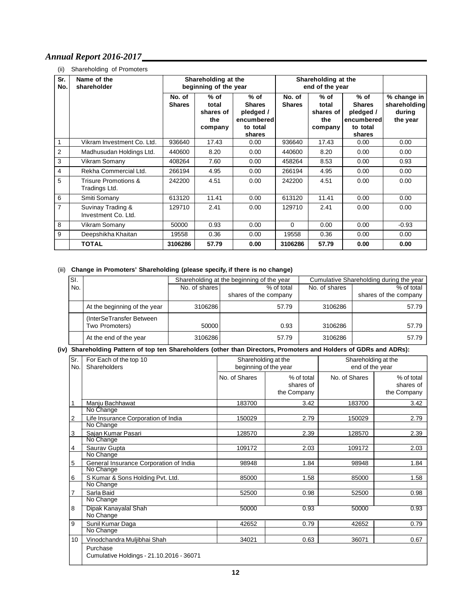## (ii) Shareholding of Promoters

| Sr.<br>No.     | Name of the<br>shareholder               | Shareholding at the<br>Shareholding at the<br>beginning of the year<br>end of the year |                                              |                                                                          |                         |                                                |                                                                          |                                                   |
|----------------|------------------------------------------|----------------------------------------------------------------------------------------|----------------------------------------------|--------------------------------------------------------------------------|-------------------------|------------------------------------------------|--------------------------------------------------------------------------|---------------------------------------------------|
|                |                                          | No. of<br><b>Shares</b>                                                                | % of<br>total<br>shares of<br>the<br>company | $%$ of<br><b>Shares</b><br>pledged /<br>encumbered<br>to total<br>shares | No. of<br><b>Shares</b> | $%$ of<br>total<br>shares of<br>the<br>company | $%$ of<br><b>Shares</b><br>pledged /<br>encumbered<br>to total<br>shares | % change in<br>shareholding<br>during<br>the year |
|                | Vikram Investment Co. Ltd.               | 936640                                                                                 | 17.43                                        | 0.00                                                                     | 936640                  | 17.43                                          | 0.00                                                                     | 0.00                                              |
| 2              | Madhusudan Holdings Ltd.                 | 440600                                                                                 | 8.20                                         | 0.00                                                                     | 440600                  | 8.20                                           | 0.00                                                                     | 0.00                                              |
| 3              | Vikram Somany                            | 408264                                                                                 | 7.60                                         | 0.00                                                                     | 458264                  | 8.53                                           | 0.00                                                                     | 0.93                                              |
| $\overline{4}$ | Rekha Commercial Ltd.                    | 266194                                                                                 | 4.95                                         | 0.00                                                                     | 266194                  | 4.95                                           | 0.00                                                                     | 0.00                                              |
| 5              | Trisure Promotions &<br>Tradings Ltd.    | 242200                                                                                 | 4.51                                         | 0.00                                                                     | 242200                  | 4.51                                           | 0.00                                                                     | 0.00                                              |
| 6              | Smiti Somany                             | 613120                                                                                 | 11.41                                        | 0.00                                                                     | 613120                  | 11.41                                          | 0.00                                                                     | 0.00                                              |
| $\overline{7}$ | Suvinay Trading &<br>Investment Co. Ltd. | 129710                                                                                 | 2.41                                         | 0.00                                                                     | 129710                  | 2.41                                           | 0.00                                                                     | 0.00                                              |
| 8              | Vikram Somany                            | 50000                                                                                  | 0.93                                         | 0.00                                                                     | $\Omega$                | 0.00                                           | 0.00                                                                     | $-0.93$                                           |
| 9              | Deepshikha Khaitan                       | 19558                                                                                  | 0.36                                         | 0.00                                                                     | 19558                   | 0.36                                           | 0.00                                                                     | 0.00                                              |
|                | <b>TOTAL</b>                             | 3106286                                                                                | 57.79                                        | 0.00                                                                     | 3106286                 | 57.79                                          | 0.00                                                                     | 0.00                                              |

### (iii) **Change in Promoters' Shareholding (please specify, if there is no change)**

| $\overline{\mathsf{SI}}$ . |                              |               | Shareholding at the beginning of the year |               | Cumulative Shareholding during the year |  |  |
|----------------------------|------------------------------|---------------|-------------------------------------------|---------------|-----------------------------------------|--|--|
| No.                        |                              | No. of shares | % of total                                | No. of shares | % of total                              |  |  |
|                            |                              |               | shares of the company                     |               | shares of the company                   |  |  |
|                            | At the beginning of the year | 3106286       | 57.79                                     | 3106286       | 57.79                                   |  |  |
|                            | (InterSeTransfer Between)    |               |                                           |               |                                         |  |  |
|                            | Two Promoters)               | 50000         | 0.93                                      | 3106286       | 57.79                                   |  |  |
|                            | At the end of the year       | 3106286       | 57.79                                     | 3106286       | 57.79                                   |  |  |

### **(iv) Shareholding Pattern of top ten Shareholders (other than Directors, Promoters and Holders of GDRs and ADRs):**

| Sr.<br>No.              | For Each of the top 10<br>Shareholders               | Shareholding at the<br>beginning of the year |                                        | Shareholding at the<br>end of the year |                                        |  |
|-------------------------|------------------------------------------------------|----------------------------------------------|----------------------------------------|----------------------------------------|----------------------------------------|--|
|                         |                                                      | No. of Shares                                | % of total<br>shares of<br>the Company | No. of Shares                          | % of total<br>shares of<br>the Company |  |
|                         | Manju Bachhawat                                      | 183700                                       | 3.42                                   | 183700                                 | 3.42                                   |  |
|                         | No Change                                            |                                              |                                        |                                        |                                        |  |
| $\overline{\mathbf{c}}$ | Life Insurance Corporation of India                  | 150029                                       | 2.79                                   | 150029                                 | 2.79                                   |  |
|                         | No Change                                            |                                              |                                        |                                        |                                        |  |
| 3                       | Sajan Kumar Pasari                                   | 128570                                       | 2.39                                   | 128570                                 | 2.39                                   |  |
|                         | No Change                                            |                                              |                                        |                                        |                                        |  |
| 4                       | Saurav Gupta                                         | 109172                                       | 2.03                                   | 109172                                 | 2.03                                   |  |
|                         | No Change                                            |                                              |                                        |                                        |                                        |  |
| $\mathbf 5$             | General Insurance Corporation of India               | 98948                                        | 1.84                                   | 98948                                  | 1.84                                   |  |
|                         | No Change                                            |                                              |                                        |                                        |                                        |  |
| 6                       | S Kumar & Sons Holding Pvt. Ltd.                     | 85000                                        | 1.58                                   | 85000                                  | 1.58                                   |  |
|                         | No Change                                            |                                              |                                        |                                        |                                        |  |
| 7                       | Sarla Baid                                           | 52500                                        | 0.98                                   | 52500                                  | 0.98                                   |  |
|                         | No Change                                            |                                              |                                        |                                        |                                        |  |
| 8                       | Dipak Kanayalal Shah                                 | 50000                                        | 0.93                                   | 50000                                  | 0.93                                   |  |
|                         | No Change                                            |                                              |                                        |                                        |                                        |  |
| 9                       | Sunil Kumar Daga                                     | 42652                                        | 0.79                                   | 42652                                  | 0.79                                   |  |
|                         | No Change                                            |                                              |                                        |                                        |                                        |  |
| 10                      | Vinodchandra Muljibhai Shah                          | 34021                                        | 0.63                                   | 36071                                  | 0.67                                   |  |
|                         | Purchase<br>Cumulative Holdings - 21.10.2016 - 36071 |                                              |                                        |                                        |                                        |  |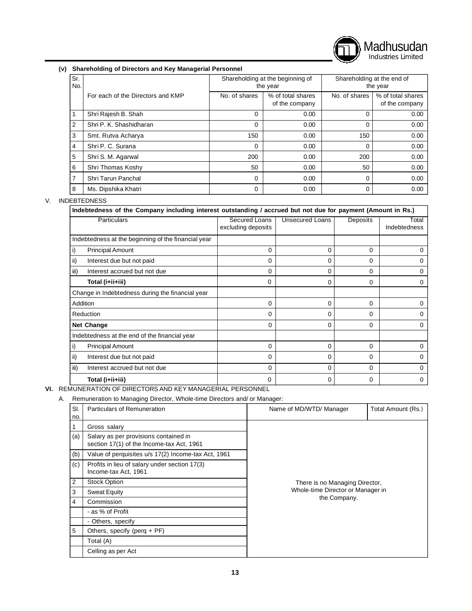

### **(v) Shareholding of Directors and Key Managerial Personnel**

| Sr.<br>No.     |                                   |               | Shareholding at the beginning of<br>the year | Shareholding at the end of<br>the year |                                     |  |
|----------------|-----------------------------------|---------------|----------------------------------------------|----------------------------------------|-------------------------------------|--|
|                | For each of the Directors and KMP | No. of shares | % of total shares<br>of the company          | No. of shares                          | % of total shares<br>of the company |  |
| 1              | Shri Rajesh B. Shah               | $\Omega$      | 0.00                                         | 0                                      | 0.00                                |  |
| 2              | Shri P. K. Shashidharan           | 0             | 0.00                                         | 0                                      | 0.00                                |  |
| 3              | Smt. Rutva Acharya                | 150           | 0.00                                         | 150                                    | 0.00                                |  |
| 4              | Shri P. C. Surana                 | $\Omega$      | 0.00                                         | 0                                      | 0.00                                |  |
| 5              | Shri S. M. Agarwal                | 200           | 0.00                                         | 200                                    | 0.00                                |  |
| 6              | Shri Thomas Koshy                 | 50            | 0.00                                         | 50                                     | 0.00                                |  |
| $\overline{7}$ | Shri Tarun Panchal                | $\Omega$      | 0.00                                         | 0                                      | 0.00                                |  |
| 8              | Ms. Dipshika Khatri               | 0             | 0.00                                         | 0                                      | 0.00                                |  |

### V. INDEBTEDNESS

| <b>Particulars</b>                                  | Secured Loans      | Unsecured Loans | Deposits | Total        |
|-----------------------------------------------------|--------------------|-----------------|----------|--------------|
|                                                     | excluding deposits |                 |          | Indebtedness |
| Indebtedness at the beginning of the financial year |                    |                 |          |              |
| <b>Principal Amount</b><br>I)                       | 0                  | 0               | $\Omega$ | 0            |
| ii)<br>Interest due but not paid                    | 0                  | 0               | $\Omega$ | O            |
| Interest accrued but not due<br>iii)                | 0                  | 0               | 0        | 0            |
| Total (i+ii+iii)                                    | 0                  | 0               | 0        | 0            |
| Change in Indebtedness during the financial year    |                    |                 |          |              |
| Addition                                            | $\Omega$           | 0               | 0        | 0            |
| Reduction                                           | $\Omega$           | 0               | $\Omega$ |              |
| <b>Net Change</b>                                   | 0                  | 0               | $\Omega$ | 0            |
| Indebtedness at the end of the financial year       |                    |                 |          |              |
| <b>Principal Amount</b>                             | 0                  | 0               | 0        | 0            |
| ii)<br>Interest due but not paid                    | $\Omega$           | 0               | $\Omega$ | O            |
| iii)<br>Interest accrued but not due                | $\Omega$           | 0               | $\Omega$ | 0            |
| Total (i+ii+iii)                                    | 0                  | 0               | $\Omega$ | 0            |

**VI.** REMUNERATION OF DIRECTORS AND KEY MANAGERIAL PERSONNEL

A. Remuneration to Managing Director, Whole-time Directors and/ or Manager:

| SI.<br>no. | Particulars of Remuneration                                                        | Name of MD/WTD/ Manager           | Total Amount (Rs.) |  |  |  |  |
|------------|------------------------------------------------------------------------------------|-----------------------------------|--------------------|--|--|--|--|
|            | Gross salary                                                                       |                                   |                    |  |  |  |  |
| (a)        | Salary as per provisions contained in<br>section 17(1) of the Income-tax Act, 1961 |                                   |                    |  |  |  |  |
| (b)        | Value of perquisites u/s 17(2) Income-tax Act, 1961                                |                                   |                    |  |  |  |  |
| (c)        | Profits in lieu of salary under section 17(3)<br>Income-tax Act, 1961              |                                   |                    |  |  |  |  |
| 2          | <b>Stock Option</b>                                                                | There is no Managing Director,    |                    |  |  |  |  |
| 3          | <b>Sweat Equity</b>                                                                | Whole-time Director or Manager in |                    |  |  |  |  |
| 4          | Commission                                                                         | the Company.                      |                    |  |  |  |  |
|            | - as % of Profit                                                                   |                                   |                    |  |  |  |  |
|            | - Others, specify                                                                  |                                   |                    |  |  |  |  |
| 5          | Others, specify (perq $+$ PF)                                                      |                                   |                    |  |  |  |  |
|            | Total (A)                                                                          |                                   |                    |  |  |  |  |
|            | Celling as per Act                                                                 |                                   |                    |  |  |  |  |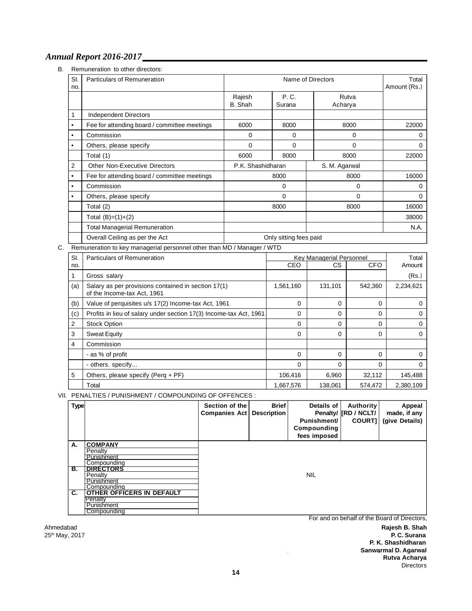B. Remuneration to other directors:

| SI.<br>no. | <b>Particulars of Remuneration</b>           |                        | Name of Directors |                  |       |  |  |
|------------|----------------------------------------------|------------------------|-------------------|------------------|-------|--|--|
|            |                                              | Rajesh<br>B. Shah      | P. C.<br>Surana   | Rutva<br>Acharya |       |  |  |
| 1          | <b>Independent Directors</b>                 |                        |                   |                  |       |  |  |
| ٠          | Fee for attending board / committee meetings | 6000                   | 8000              | 8000             | 22000 |  |  |
| ٠          | Commission                                   | 0                      | 0                 | 0                | O     |  |  |
| ٠          | Others, please specify                       | 0                      | $\Omega$          | 0                | O     |  |  |
|            | Total (1)                                    | 6000                   | 8000              | 8000             | 22000 |  |  |
| 2          | <b>Other Non-Executive Directors</b>         | P.K. Shashidharan      |                   | S. M. Agarwal    |       |  |  |
| ٠          | Fee for attending board / committee meetings |                        | 8000              | 8000             | 16000 |  |  |
| $\bullet$  | Commission                                   |                        | $\Omega$          | 0                | 0     |  |  |
| ٠          | Others, please specify                       |                        | $\Omega$          | 0                | 0     |  |  |
|            | Total (2)                                    |                        | 8000              | 8000             | 16000 |  |  |
|            | Total $(B)=(1)+(2)$                          |                        |                   |                  | 38000 |  |  |
|            | <b>Total Managerial Remuneration</b>         |                        |                   |                  | N.A.  |  |  |
|            | Overall Ceiling as per the Act               | Only sitting fees paid |                   |                  |       |  |  |

## C. Remuneration to key managerial personnel other than MD / Manager / WTD

| SI.            | Particulars of Remuneration                                                        |           | Key Managerial Personnel |            | Total     |
|----------------|------------------------------------------------------------------------------------|-----------|--------------------------|------------|-----------|
| no.            |                                                                                    | CEO       | CS.                      | <b>CFO</b> | Amount    |
|                | Gross salary                                                                       |           |                          |            | (Rs.)     |
| (a)            | Salary as per provisions contained in section 17(1)<br>of the Income-tax Act, 1961 | 1,561,160 | 131,101                  | 542,360    | 2,234,621 |
| (b)            | Value of perquisites u/s 17(2) Income-tax Act, 1961                                | 0         | $\Omega$                 | 0          | 0         |
| (c)            | Profits in lieu of salary under section 17(3) Income-tax Act, 1961                 | 0         | 0                        | 0          | 0         |
| $\overline{2}$ | <b>Stock Option</b>                                                                | 0         | 0                        | 0          | 0         |
| 3              | <b>Sweat Equity</b>                                                                | 0         | 0                        | 0          | $\Omega$  |
| 4              | Commission                                                                         |           |                          |            |           |
|                | - as % of profit                                                                   | $\Omega$  | $\Omega$                 | 0          | 0         |
|                | - others. specify                                                                  | 0         | 0                        | 0          | 0         |
| 5              | Others, please specify (Perg + PF)                                                 | 106,416   | 6,960                    | 32,112     | 145,488   |
|                | Total                                                                              | 1.667.576 | 138.061                  | 574.472    | 2.380.109 |

VII. PENALTIES / PUNISHMENT / COMPOUNDING OF OFFENCES :

| <b>Type</b> |                           | Section of the<br><b>Companies Act</b> | <b>Brief</b><br><b>Description</b> | Details of<br><b>Punishment</b><br>Compounding<br>fees imposed | Authority<br>Penalty/ [RD / NCLT/<br><b>COURT1</b> | Appeal<br>made, if any<br>(give Details) |  |
|-------------|---------------------------|----------------------------------------|------------------------------------|----------------------------------------------------------------|----------------------------------------------------|------------------------------------------|--|
| А.          | <b>COMPANY</b><br>Penalty |                                        |                                    |                                                                |                                                    |                                          |  |
|             | Punishment<br>Compounding |                                        |                                    |                                                                |                                                    |                                          |  |
| В.          | <b>DIRECTORS</b>          |                                        |                                    |                                                                |                                                    |                                          |  |
|             | Penalty                   |                                        |                                    | <b>NIL</b>                                                     |                                                    |                                          |  |
|             | Punishment                |                                        |                                    |                                                                |                                                    |                                          |  |
|             | Compounding               |                                        |                                    |                                                                |                                                    |                                          |  |
| C.          | OTHER OFFICERS IN DEFAULT |                                        |                                    |                                                                |                                                    |                                          |  |
|             | Penalty                   |                                        |                                    |                                                                |                                                    |                                          |  |
|             | Punishment                |                                        |                                    |                                                                |                                                    |                                          |  |
|             | Compounding               |                                        |                                    |                                                                |                                                    |                                          |  |

 $25<sup>th</sup>$  May, 2017

For and on behalf of the Board of Directors,

 $\hat{\mathcal{A}}$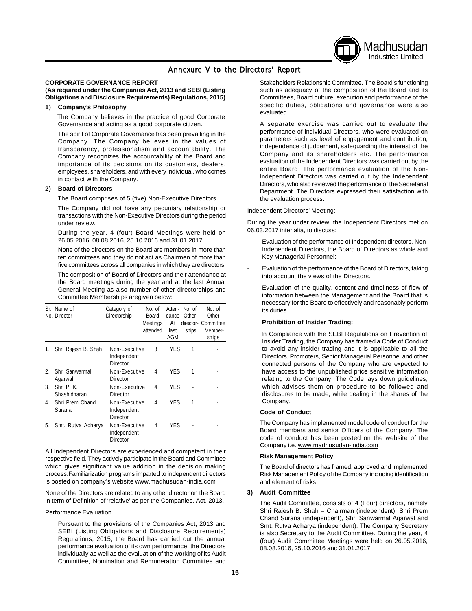## Annexure V to the Directors' Report

#### **CORPORATE GOVERNANCE REPORT**

#### **(As required under the Companies Act, 2013 and SEBI (Listing Obligations and Disclosure Requirements) Regulations, 2015)**

#### **1) Company's Philosophy**

The Company believes in the practice of good Corporate Governance and acting as a good corporate citizen.

The spirit of Corporate Governance has been prevailing in the Company. The Company believes in the values of transparency, professionalism and accountability. The Company recognizes the accountability of the Board and importance of its decisions on its customers, dealers, employees, shareholders, and with every individual, who comes in contact with the Company.

#### **2) Board of Directors**

The Board comprises of 5 (five) Non-Executive Directors.

The Company did not have any pecuniary relationship or transactions with the Non-Executive Directors during the period under review.

During the year, 4 (four) Board Meetings were held on 26.05.2016, 08.08.2016, 25.10.2016 and 31.01.2017.

None of the directors on the Board are members in more than ten committees and they do not act as Chairmen of more than five committees across all companies in which they are directors.

The composition of Board of Directors and their attendance at the Board meetings during the year and at the last Annual General Meeting as also number of other directorships and Committee Memberships aregiven below:

|    | Sr. Name of<br>No. Director | Category of<br>Directorship                     | No. of<br>Board<br>Meetings<br>attended | Atten-<br>dance<br>At<br>last<br>AGM | No. of<br>Other<br>ships | No. of<br>Other<br>director- Committee<br>Member-<br>ships |
|----|-----------------------------|-------------------------------------------------|-----------------------------------------|--------------------------------------|--------------------------|------------------------------------------------------------|
| 1. | Shri Rajesh B. Shah         | Non-Executive<br>Independent<br>Director        | 3                                       | <b>YES</b>                           | 1                        |                                                            |
| 2. | Shri Sanwarmal<br>Agarwal   | Non-Executive<br>Director                       | 4                                       | <b>YES</b>                           | 1                        |                                                            |
| 3. | Shri P.K.<br>Shashidharan   | Non-Executive<br>Director                       | 4                                       | <b>YES</b>                           |                          |                                                            |
| 4. | Shri Prem Chand<br>Surana   | Non-Executive<br>Independent<br>Director        | 4                                       | <b>YES</b>                           | 1                        |                                                            |
| 5. | Smt. Rutva Acharya          | Non-Executive<br>Independent<br><b>Director</b> | 4                                       | <b>YES</b>                           |                          |                                                            |

All Independent Directors are experienced and competent in their respective field. They actively participate in the Board and Committee which gives significant value addition in the decision making process.Familiarization programs imparted to independent directors is posted on company's website www.madhusudan-india.com

None of the Directors are related to any other director on the Board in term of Definition of 'relative' as per the Companies, Act, 2013.

#### Performance Evaluation

Pursuant to the provisions of the Companies Act, 2013 and SEBI (Listing Obligations and Disclosure Requirements) Regulations, 2015, the Board has carried out the annual performance evaluation of its own performance, the Directors individually as well as the evaluation of the working of its Audit Committee, Nomination and Remuneration Committee and

Stakeholders Relationship Committee. The Board's functioning such as adequacy of the composition of the Board and its Committees, Board culture, execution and performance of the specific duties, obligations and governance were also evaluated.

Madhusudan Industries Limited

A separate exercise was carried out to evaluate the performance of individual Directors, who were evaluated on parameters such as level of engagement and contribution, independence of judgement, safeguarding the interest of the Company and its shareholders etc. The performance evaluation of the Independent Directors was carried out by the entire Board. The performance evaluation of the Non-Independent Directors was carried out by the Independent Directors, who also reviewed the performance of the Secretarial Department. The Directors expressed their satisfaction with the evaluation process.

#### Independent Directors' Meeting:

During the year under review, the Independent Directors met on 06.03.2017 inter alia, to discuss:

- Evaluation of the performance of Independent directors, Non-Independent Directors, the Board of Directors as whole and Key Managerial Personnel;
- Evaluation of the performance of the Board of Directors, taking into account the views of the Directors.
- Evaluation of the quality, content and timeliness of flow of information between the Management and the Board that is necessary for the Board to effectively and reasonably perform its duties.

#### **Prohibition of Insider Trading:**

In Compliance with the SEBI Regulations on Prevention of Insider Trading, the Company has framed a Code of Conduct to avoid any insider trading and it is applicable to all the Directors, Promoters, Senior Managerial Personnel and other connected persons of the Company who are expected to have access to the unpublished price sensitive information relating to the Company. The Code lays down guidelines, which advises them on procedure to be followed and disclosures to be made, while dealing in the shares of the Company.

#### **Code of Conduct**

The Company has implemented model code of conduct for the Board members and senior Officers of the Company. The code of conduct has been posted on the website of the Company i.e. www.madhusudan-india.com

#### **Risk Management Policy**

The Board of directors has framed, approved and implemented Risk Management Policy of the Company including identification and element of risks.

#### **3) Audit Committee**

The Audit Committee, consists of 4 (Four) directors, namely Shri Rajesh B. Shah – Chairman (independent), Shri Prem Chand Surana (independent), Shri Sanwarmal Agarwal and Smt. Rutva Acharya (independent). The Company Secretary is also Secretary to the Audit Committee. During the year, 4 (four) Audit Committee Meetings were held on 26.05.2016, 08.08.2016, 25.10.2016 and 31.01.2017.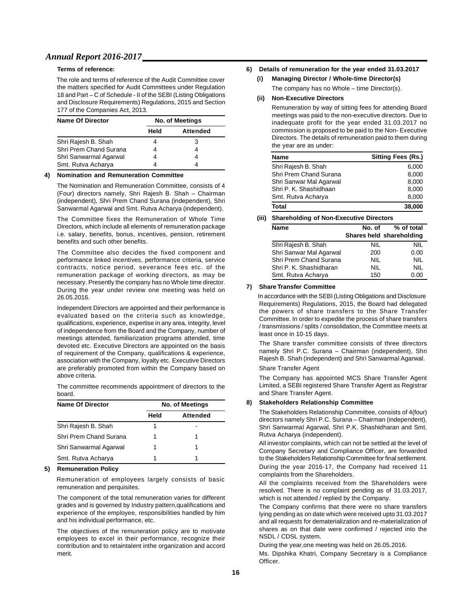#### **Terms of reference:**

The role and terms of reference of the Audit Committee cover the matters specified for Audit Committees under Regulation 18 and Part – C of Schedule - II of the SEBI (Listing Obligations and Disclosure Requirements) Regulations, 2015 and Section 177 of the Companies Act, 2013.

| <b>Name Of Director</b> | <b>No. of Meetings</b> |                 |  |  |
|-------------------------|------------------------|-----------------|--|--|
|                         | Held                   | <b>Attended</b> |  |  |
| Shri Rajesh B. Shah     |                        | 3               |  |  |
| Shri Prem Chand Surana  | 4                      |                 |  |  |
| Shri Sanwarmal Agarwal  | 4                      | 4               |  |  |
| Smt. Rutva Acharya      |                        |                 |  |  |

#### **4) Nomination and Remuneration Committee**

The Nomination and Remuneration Committee, consists of 4 (Four) directors namely, Shri Rajesh B. Shah – Chairman (independent), Shri Prem Chand Surana (independent), Shri Sanwarmal Agarwal and Smt. Rutva Acharya (independent).

The Committee fixes the Remuneration of Whole Time Directors, which include all elements of remuneration package i.e. salary, benefits, bonus, incentives, pension, retirement benefits and such other benefits.

The Committee also decides the fixed component and performance linked incentives, performance criteria, service contracts, notice period, severance fees etc. of the remuneration package of working directors, as may be necessary. Presently the company has no Whole time director. During the year under review one meeting was held on 26.05.2016.

Independent Directors are appointed and their performance is evaluated based on the criteria such as knowledge, qualifications, experience, expertise in any area, integrity, level of independence from the Board and the Company, number of meetings attended, familiarization programs attended, time devoted etc. Executive Directors are appointed on the basis of requirement of the Company, qualifications & experience, association with the Company, loyalty etc. Executive Directors are preferably promoted from within the Company based on above criteria.

The committee recommends appointment of directors to the board.

| <b>Name Of Director</b> | <b>No. of Meetings</b> |          |  |  |
|-------------------------|------------------------|----------|--|--|
|                         | Held                   | Attended |  |  |
| Shri Rajesh B. Shah     |                        |          |  |  |
| Shri Prem Chand Surana  |                        |          |  |  |
| Shri Sanwarmal Agarwal  |                        | 1        |  |  |
| Smt. Rutva Acharya      |                        |          |  |  |

#### **5) Remuneration Policy**

Remuneration of employees largely consists of basic remuneration and perquisites.

The component of the total remuneration varies for different grades and is governed by Industry pattern,qualifications and experience of the employee, responsibilities handled by him and his individual performance, etc.

The objectives of the remuneration policy are to motivate employees to excel in their performance, recognize their contribution and to retaintalent inthe organization and accord merit.

#### **6) Details of remuneration for the year ended 31.03.2017**

#### **(i) Managing Director / Whole-time Director(s)**

The company has no Whole – time Director(s).

#### **(ii) Non-Executive Directors**

Remuneration by way of sitting fees for attending Board meetings was paid to the non-executive directors. Due to inadequate profit for the year ended 31.03.2017 no commission is proposed to be paid to the Non- Executive Directors. The details of remuneration paid to them during the year are as under:

| <b>Name</b>             | <b>Sitting Fees (Rs.)</b> |
|-------------------------|---------------------------|
| Shri Rajesh B. Shah     | 6.000                     |
| Shri Prem Chand Surana  | 8,000                     |
| Shri Sanwar Mal Agarwal | 8,000                     |
| Shri P. K. Shashidhaan  | 8,000                     |
| Smt. Rutva Acharya      | 8,000                     |
| Total                   | 38,000                    |

#### **(iii) Shareholding of Non-Executive Directors**

| Name                    | No. of     | % of total               |
|-------------------------|------------|--------------------------|
|                         |            | Shares held shareholding |
| Shri Rajesh B. Shah     | NIL        | NIL                      |
| Shri Sanwar Mal Agarwal | 200        | 0.00                     |
| Shri Prem Chand Surana  | <b>NIL</b> | <b>NIL</b>               |
| Shri P. K. Shashidharan | <b>NIL</b> | NII.                     |
| Smt. Rutva Acharya      | 150        | 0.00                     |

#### **7) Share Transfer Committee**

In accordance with the SEBI (Listing Obligations and Disclosure Requirements) Regulations, 2015, the Board had delegated the powers of share transfers to the Share Transfer Committee. In order to expedite the process of share transfers / transmissions / splits / consolidation, the Committee meets at least once in 10-15 days.

The Share transfer committee consists of three directors namely Shri P.C. Surana – Chairman (independent), Shri Rajesh B. Shah (independent) and Shri Sanwarmal Agarwal. Share Transfer Agent

The Company has appointed MCS Share Transfer Agent Limited, a SEBI registered Share Transfer Agent as Registrar and Share Transfer Agent.

#### **8) Stakeholders Relationship Committee**

The Stakeholders Relationship Committee, consists of 4(four) directors namely Shri P.C. Surana – Chairman (independent), Shri Sanwarmal Agarwal, Shri P.K. Shashidharan and Smt. Rutva Acharya (independent).

All investor complaints, which can not be settled at the level of Company Secretary and Compliance Officer, are forwarded to the Stakeholders Relationship Committee for final settlement. During the year 2016-17, the Company had received 11 complaints from the Shareholders.

All the complaints received from the Shareholders were resolved. There is no complaint pending as of 31.03.2017, which is not attended / replied by the Company.

The Company confirms that there were no share transfers lying pending as on date which were received upto 31.03.2017 and all requests for dematerialization and re-materialization of shares as on that date were confirmed / rejected into the NSDL / CDSL system.

During the year,one meeting was held on 26.05.2016.

Ms. Dipshika Khatri, Company Secretary is a Compliance Officer.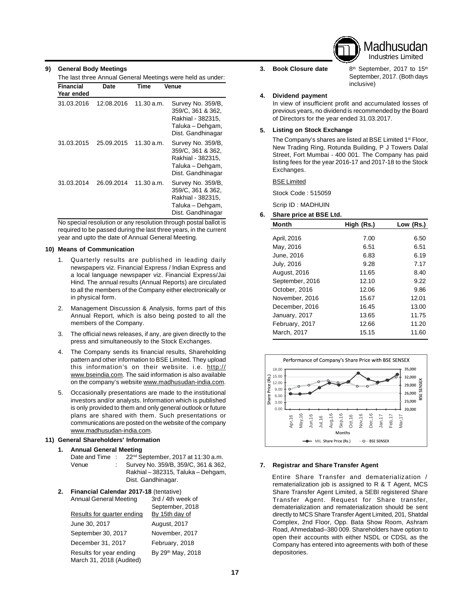

**9) General Body Meetings**

| <b>Financial</b> | Date       | Time       | Venue                                                                                                |
|------------------|------------|------------|------------------------------------------------------------------------------------------------------|
| Year ended       |            |            |                                                                                                      |
| 31.03.2016       | 12.08.2016 | 11.30 a.m. | Survey No. 359/B.<br>359/C, 361 & 362,<br>Rakhial - 382315,<br>Taluka – Dehgam,<br>Dist. Gandhinagar |
| 31.03.2015       | 25.09.2015 | 11.30 a.m. | Survey No. 359/B,<br>359/C, 361 & 362,<br>Rakhial - 382315,<br>Taluka – Dehgam,<br>Dist. Gandhinagar |
| 31.03.2014       | 26.09.2014 | 11.30 a.m. | Survey No. 359/B,<br>359/C, 361 & 362,<br>Rakhial - 382315,<br>Taluka – Dehgam,<br>Dist. Gandhinagar |

No special resolution or any resolution through postal ballot is required to be passed during the last three years, in the current year and upto the date of Annual General Meeting.

#### **10) Means of Communication**

- 1. Quarterly results are published in leading daily newspapers viz. Financial Express / Indian Express and a local language newspaper viz. Financial Express/Jai Hind. The annual results (Annual Reports) are circulated to all the members of the Company either electronically or in physical form.
- 2. Management Discussion & Analysis, forms part of this Annual Report, which is also being posted to all the members of the Company.
- 3. The official news releases, if any, are given directly to the press and simultaneously to the Stock Exchanges.
- 4. The Company sends its financial results, Shareholding pattern and other information to BSE Limited. They upload this information's on their website. i.e. http:// www.bseindia.com. The said information is also available on the company's website www.madhusudan-india.com.
- 5. Occasionally presentations are made to the institutional investors and/or analysts. Information which is published is only provided to them and only general outlook or future plans are shared with them. Such presentations or communications are posted on the website of the company www.madhusudan-india.com.

#### **11) General Shareholders' Information**

**1. Annual General Meeting**

| Date and Time : | 22 <sup>nd</sup> September, 2017 at 11:30 a.m.           |
|-----------------|----------------------------------------------------------|
| Venue           | Survey No. 359/B, 359/C, 361 & 362,                      |
|                 | Rakhial - 382315, Taluka - Dehgam,<br>Dist. Gandhinagar. |

| 2. | Financial Calendar 2017-18 (tentative)              |                               |  |  |  |
|----|-----------------------------------------------------|-------------------------------|--|--|--|
|    | <b>Annual General Meeting</b>                       | 3rd / 4th week of             |  |  |  |
|    |                                                     | September, 2018               |  |  |  |
|    | Results for quarter ending                          | By 15th day of                |  |  |  |
|    | June 30, 2017                                       | August, 2017                  |  |  |  |
|    | September 30, 2017                                  | November, 2017                |  |  |  |
|    | December 31, 2017                                   | February, 2018                |  |  |  |
|    | Results for year ending<br>March 31, 2018 (Audited) | By 29 <sup>th</sup> May, 2018 |  |  |  |

#### **3.**

**Book Closure date** 8<sup>th</sup> September, 2017 to 15<sup>th</sup> September, 2017. (Both days inclusive)

#### **4. Dividend payment**

In view of insufficient profit and accumulated losses of previous years, no dividend is recommended by the Board of Directors for the year ended 31.03.2017.

#### **5. Listing on Stock Exchange**

The Company's shares are listed at BSE Limited 1<sup>st</sup> Floor, New Trading Ring, Rotunda Building, P J Towers Dalal Street, Fort Mumbai - 400 001. The Company has paid listing fees for the year 2016-17 and 2017-18 to the Stock Exchanges.

#### BSE Limited

Stock Code : 515059

Scrip ID : MADHUIN

### **6. Share price at BSE Ltd. Month High (Rs.) Low (Rs.)** April, 2016 7.00 6.50 May, 2016 6.51 6.51 6.51 June, 2016 6.83 6.19 July, 2016 9.28 7.17 August, 2016 11.65 8.40 September, 2016 12.10 9.22 October, 2016 12.06 9.86 November, 2016 15.67 12.01 December, 2016 16.45 13.00 January, 2017 13.65 11.75 February, 2017 12.66 11.20 March, 2017 15.15 11.60



#### **7. Registrar and Share Transfer Agent**

Entire Share Transfer and dematerialization / rematerialization job is assigned to R & T Agent, MCS Share Transfer Agent Limited, a SEBI registered Share Transfer Agent. Request for Share transfer, dematerialization and rematerialization should be sent directly to MCS Share TransferAgent Limited, 201, Shatdal Complex, 2nd Floor, Opp. Bata Show Room, Ashram Road, Ahmedabad–380 009. Shareholders have option to open their accounts with either NSDL or CDSL as the Company has entered into agreements with both of these **Example 18 May 19 May 19 May 19 May 19 May 19 May 19 May 19 May 19 May 19 May 19 May 19 May 19 May 19 May 19 May 19 May 19 May 19 May 19 May 19 May 19 May 19 May 19 May 19 May 19 May 19 May 19 May 19 May 19 May 19 May 19**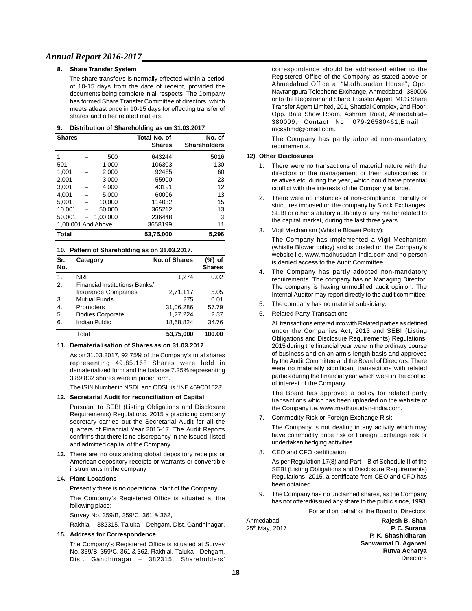#### **8. Share Transfer System**

The share transfer/s is normally effected within a period of 10-15 days from the date of receipt, provided the documents being complete in all respects. The Company has formed Share Transfer Committee of directors, which meets atleast once in 10-15 days for effecting transfer of shares and other related matters.

| 9. |  | Distribution of Shareholding as on 31.03.2017 |  |  |  |
|----|--|-----------------------------------------------|--|--|--|
|----|--|-----------------------------------------------|--|--|--|

| <b>Shares</b>      |          | <b>Total No. of</b><br><b>Shares</b> | No. of<br><b>Shareholders</b> |
|--------------------|----------|--------------------------------------|-------------------------------|
| 1                  | 500      | 643244                               | 5016                          |
| 501                | 1.000    | 106303                               | 130                           |
| 1,001              | 2,000    | 92465                                | 60                            |
| 2,001              | 3,000    | 55900                                | 23                            |
| 3.001              | 4.000    | 43191                                | 12                            |
| 4.001              | 5.000    | 60006                                | 13                            |
| 5.001              | 10,000   | 114032                               | 15                            |
| 10.001             | 50.000   | 365212                               | 13                            |
| 50.001             | 1.00.000 | 236448                               | 3                             |
| 1,00,001 And Above |          | 3658199                              | 11                            |
| Total              |          | 53.75.000                            | 5.296                         |

#### **10. Pattern of Shareholding as on 31.03.2017.**

| Sr.<br>No. | Category                      | <b>No. of Shares</b> | (%) of<br><b>Shares</b> |
|------------|-------------------------------|----------------------|-------------------------|
| 1.         | <b>NRI</b>                    | 1.274                | 0.02                    |
| 2.         | Financial Institutions/Banks/ |                      |                         |
|            | <b>Insurance Companies</b>    | 2,71,117             | 5.05                    |
| 3.         | <b>Mutual Funds</b>           | 275                  | 0.01                    |
| 4.         | Promoters                     | 31,06,286            | 57.79                   |
| 5.         | <b>Bodies Corporate</b>       | 1.27.224             | 2.37                    |
| 6.         | Indian Public                 | 18,68,824            | 34.76                   |
|            | Total                         | 53.75.000            | 100.00                  |

#### **11. Dematerialisation of Shares as on 31.03.2017**

As on 31.03.2017, 92.75% of the Company's total shares representing 49,85,168 Shares were held in dematerialized form and the balance 7.25% representing 3,89,832 shares were in paper form.

The ISIN Number in NSDL and CDSL is "INE 469C01023".

#### **12. Secretarial Audit for reconciliation of Capital**

Pursuant to SEBI (Listing Obligations and Disclosure Requirements) Regulations, 2015 a practicing company secretary carried out the Secretarial Audit for all the quarters of Financial Year 2016-17. The Audit Reports confirms that there is no discrepancy in the issued, listed and admitted capital of the Company.

**13.** There are no outstanding global depository receipts or American depository receipts or warrants or convertible instruments in the company

#### **14. Plant Locations**

Presently there is no operational plant of the Company.

The Company's Registered Office is situated at the following place:

Survey No. 359/B, 359/C, 361 & 362,

Rakhial – 382315, Taluka – Dehgam, Dist. Gandhinagar.

#### **15. Address for Correspondence**

The Company's Registered Office is situated at Survey No. 359/B, 359/C, 361 & 362, Rakhial, Taluka – Dehgam, Dist. Gandhinagar – 382315. Shareholders'

correspondence should be addressed either to the Registered Office of the Company as stated above or Ahmedabad Office at "Madhusudan House", Opp. Navrangpura Telephone Exchange, Ahmedabad - 380006 or to the Registrar and Share Transfer Agent, MCS Share Transfer Agent Limited, 201, Shatdal Complex, 2nd Floor, Opp. Bata Show Room, Ashram Road, Ahmedabad– 380009, Contact No. 079-26580461,Email : mcsahmd@gmail.com.

The Company has partly adopted non-mandatory requirements.

#### **12) Other Disclosures**

- 1. There were no transactions of material nature with the directors or the management or their subsidiaries or relatives etc. during the year, which could have potential conflict with the interests of the Company at large.
- 2. There were no instances of non-compliance, penalty or strictures imposed on the company by Stock Exchanges, SEBI or other statutory authority of any matter related to the capital market, during the last three years.
- 3. Vigil Mechanism (Whistle Blower Policy):

The Company has implemented a Vigil Mechanism (whistle Blower policy) and is posted on the Company's website i.e. www.madhusudan-india.com and no person is denied access to the Audit Committee.

- 4. The Company has partly adopted non-mandatory requirements. The company has no Managing Director. The company is having unmodified audit opinion. The Internal Auditor may report directly to the audit committee.
- 5. The company has no material subsidiary.
- 6. Related Party Transactions

All transactions entered into with Related parties as defined under the Companies Act, 2013 and SEBI (Listing Obligations and Disclosure Requirements) Regulations, 2015 during the financial year were in the ordinary course of business and on an arm's length basis and approved by the Audit Committee and the Board of Directors. There were no materially significant transactions with related parties during the financial year which were in the conflict of interest of the Company.

The Board has approved a policy for related party transactions which has been uploaded on the website of the Company i.e. www.madhusudan-india.com.

7. Commodity Risk or Foreign Exchange Risk

The Company is not dealing in any activity which may have commodity price risk or Foreign Exchange risk or undertaken hedging activities.

8. CEO and CFO certification

As per Regulation 17(8) and Part – B of Schedule II of the SEBI (Listing Obligations and Disclosure Requirements) Regulations, 2015, a certificate from CEO and CFO has been obtained.

9. The Company has no unclaimed shares, as the Company has not offered/issued any share to the public since, 1993.

For and on behalf of the Board of Directors,

Ahmedabad **Rajesh B. Shah** th 25 May, 2017 **P. C. Surana P. K. Shashidharan Sanwarmal D. Agarwal Rutva Acharya Directors**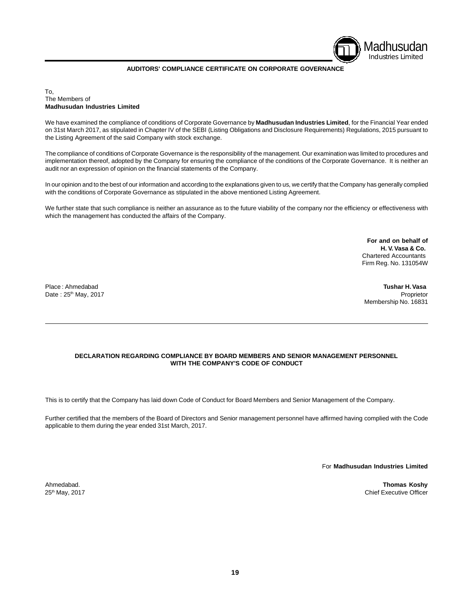

#### **AUDITORS' COMPLIANCE CERTIFICATE ON CORPORATE GOVERNANCE**

#### To, The Members of **Madhusudan Industries Limited**

We have examined the compliance of conditions of Corporate Governance by **Madhusudan Industries Limited**, for the Financial Year ended on 31st March 2017, as stipulated in Chapter IV of the SEBI (Listing Obligations and Disclosure Requirements) Regulations, 2015 pursuant to the Listing Agreement of the said Company with stock exchange.

The compliance of conditions of Corporate Governance is the responsibility of the management. Our examination was limited to procedures and implementation thereof, adopted by the Company for ensuring the compliance of the conditions of the Corporate Governance. It is neither an audit nor an expression of opinion on the financial statements of the Company.

In our opinion and to the best of our information and according to the explanations given to us, we certify that the Company has generally complied with the conditions of Corporate Governance as stipulated in the above mentioned Listing Agreement.

We further state that such compliance is neither an assurance as to the future viability of the company nor the efficiency or effectiveness with which the management has conducted the affairs of the Company.

> **For and on behalf of H. V.Vasa & Co.** Chartered Accountants Firm Reg. No. 131054W

Date : 25<sup>th</sup> May, 2017 **Proprietor Date : 25<sup>th</sup> May, 2017** 

Place : Ahmedabad **Tushar H.Vasa** Membership No. 16831

#### **DECLARATION REGARDING COMPLIANCE BY BOARD MEMBERS AND SENIOR MANAGEMENT PERSONNEL WITH THE COMPANY'S CODE OF CONDUCT**

This is to certify that the Company has laid down Code of Conduct for Board Members and Senior Management of the Company.

Further certified that the members of the Board of Directors and Senior management personnel have affirmed having complied with the Code applicable to them during the year ended 31st March, 2017.

For **Madhusudan Industries Limited**

Ahmedabad. **Thomas Koshy** 25<sup>th</sup> May, 2017 **Chief Executive Officer** Chief Executive Officer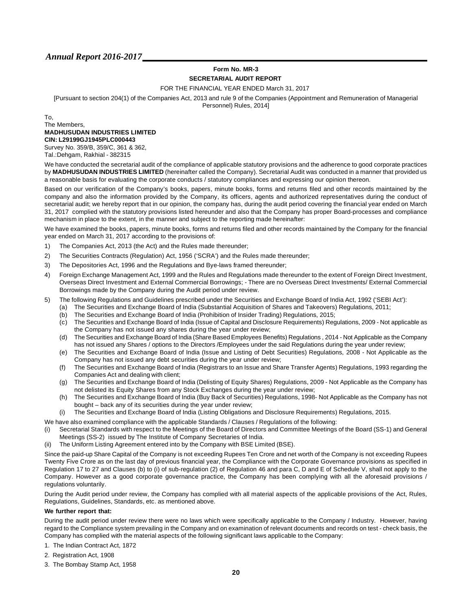## **Form No. MR-3 SECRETARIAL AUDIT REPORT**

FOR THE FINANCIAL YEAR ENDED March 31, 2017

[Pursuant to section 204(1) of the Companies Act, 2013 and rule 9 of the Companies (Appointment and Remuneration of Managerial

Personnel) Rules, 2014]

#### To, The Members, **MADHUSUDAN INDUSTRIES LIMITED CIN: L29199GJ1945PLC000443**

Survey No. 359/B, 359/C, 361 & 362, Tal.:Dehgam, Rakhial - 382315

We have conducted the secretarial audit of the compliance of applicable statutory provisions and the adherence to good corporate practices by **MADHUSUDAN INDUSTRIES LIMITED** (hereinafter called the Company). Secretarial Audit was conducted in a manner that provided us a reasonable basis for evaluating the corporate conducts / statutory compliances and expressing our opinion thereon.

Based on our verification of the Company's books, papers, minute books, forms and returns filed and other records maintained by the company and also the information provided by the Company, its officers, agents and authorized representatives during the conduct of secretarial audit; we hereby report that in our opinion, the company has, during the audit period covering the financial year ended on March 31, 2017 complied with the statutory provisions listed hereunder and also that the Company has proper Board-processes and compliance mechanism in place to the extent, in the manner and subject to the reporting made hereinafter:

We have examined the books, papers, minute books, forms and returns filed and other records maintained by the Company for the financial year ended on March 31, 2017 according to the provisions of:

- 1) The Companies Act, 2013 (the Act) and the Rules made thereunder;
- 2) The Securities Contracts (Regulation) Act, 1956 ('SCRA') and the Rules made thereunder;
- 3) The Depositories Act, 1996 and the Regulations and Bye-laws framed thereunder;
- 4) Foreign Exchange Management Act, 1999 and the Rules and Regulations made thereunder to the extent of Foreign Direct Investment, Overseas Direct Investment and External Commercial Borrowings; - There are no Overseas Direct Investments/ External Commercial Borrowings made by the Company during the Audit period under review.
- 5) The following Regulations and Guidelines prescribed under the Securities and Exchange Board of India Act, 1992 ('SEBI Act'):
	- (a) The Securities and Exchange Board of India (Substantial Acquisition of Shares and Takeovers) Regulations, 2011;
	- (b) The Securities and Exchange Board of India (Prohibition of Insider Trading) Regulations, 2015;
	- (c) The Securities and Exchange Board of India (Issue of Capital and Disclosure Requirements) Regulations, 2009 Not applicable as the Company has not issued any shares during the year under review;
	- (d) The Securities and Exchange Board of India (Share Based Employees Benefits) Regulations , 2014 Not Applicable as the Company has not issued any Shares / options to the Directors /Employees under the said Regulations during the year under review;
	- (e) The Securities and Exchange Board of India (Issue and Listing of Debt Securities) Regulations, 2008 Not Applicable as the Company has not issued any debt securities during the year under review;
	- (f) The Securities and Exchange Board of India (Registrars to an Issue and Share Transfer Agents) Regulations, 1993 regarding the Companies Act and dealing with client;
	- (g) The Securities and Exchange Board of India (Delisting of Equity Shares) Regulations, 2009 Not Applicable as the Company has not delisted its Equity Shares from any Stock Exchanges during the year under review;
	- (h) The Securities and Exchange Board of India (Buy Back of Securities) Regulations, 1998- Not Applicable as the Company has not bought – back any of its securities during the year under review;
	- (i) The Securities and Exchange Board of India (Listing Obligations and Disclosure Requirements) Regulations, 2015.

We have also examined compliance with the applicable Standards / Clauses / Regulations of the following:

- (i) Secretarial Standards with respect to the Meetings of the Board of Directors and Committee Meetings of the Board (SS-1) and General Meetings (SS-2) issued by The Institute of Company Secretaries of India.
- (ii) The Uniform Listing Agreement entered into by the Company with BSE Limited (BSE).

Since the paid-up Share Capital of the Company is not exceeding Rupees Ten Crore and net worth of the Company is not exceeding Rupees Twenty Five Crore as on the last day of previous financial year, the Compliance with the Corporate Governance provisions as specified in Regulation 17 to 27 and Clauses (b) to (i) of sub-regulation (2) of Regulation 46 and para C, D and E of Schedule V, shall not apply to the Company. However as a good corporate governance practice, the Company has been complying with all the aforesaid provisions / regulations voluntarily.

During the Audit period under review, the Company has complied with all material aspects of the applicable provisions of the Act, Rules, Regulations, Guidelines, Standards, etc. as mentioned above.

#### **We further report that:**

During the audit period under review there were no laws which were specifically applicable to the Company / Industry. However, having regard to the Compliance system prevailing in the Company and on examination of relevant documents and records on test - check basis, the Company has complied with the material aspects of the following significant laws applicable to the Company:

- 1. The Indian Contract Act, 1872
- 2. Registration Act, 1908
- 3. The Bombay Stamp Act, 1958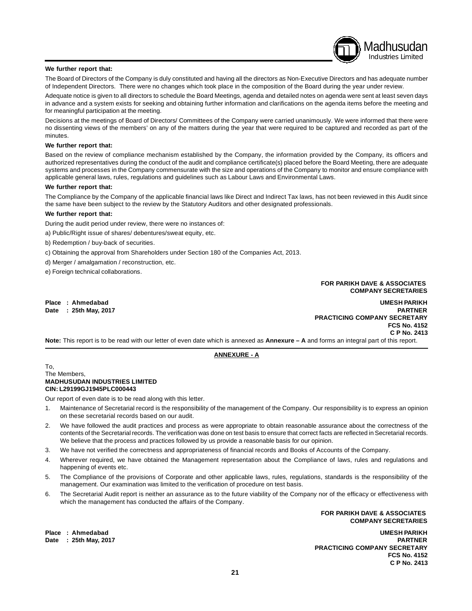#### **We further report that:**

The Board of Directors of the Company is duly constituted and having all the directors as Non-Executive Directors and has adequate number of Independent Directors. There were no changes which took place in the composition of the Board during the year under review.

Adequate notice is given to all directors to schedule the Board Meetings, agenda and detailed notes on agenda were sent at least seven days in advance and a system exists for seeking and obtaining further information and clarifications on the agenda items before the meeting and for meaningful participation at the meeting.

Decisions at the meetings of Board of Directors/ Committees of the Company were carried unanimously. We were informed that there were no dissenting views of the members' on any of the matters during the year that were required to be captured and recorded as part of the minutes.

#### **We further report that:**

Based on the review of compliance mechanism established by the Company, the information provided by the Company, its officers and authorized representatives during the conduct of the audit and compliance certificate(s) placed before the Board Meeting, there are adequate systems and processes in the Company commensurate with the size and operations of the Company to monitor and ensure compliance with applicable general laws, rules, regulations and guidelines such as Labour Laws and Environmental Laws.

#### **We further report that:**

The Compliance by the Company of the applicable financial laws like Direct and Indirect Tax laws, has not been reviewed in this Audit since the same have been subject to the review by the Statutory Auditors and other designated professionals.

#### **We further report that:**

During the audit period under review, there were no instances of:

a) Public/Right issue of shares/ debentures/sweat equity, etc.

b) Redemption / buy-back of securities.

c) Obtaining the approval from Shareholders under Section 180 of the Companies Act, 2013.

d) Merger / amalgamation / reconstruction, etc.

e) Foreign technical collaborations.

#### **FOR PARIKH DAVE & ASSOCIATES COMPANY SECRETARIES**

Madhusudan Industries Limited

 $Data : 25th May, 2017$ 

**Place : Ahmedabad UMESH PARIKH PRACTICING COMPANY SECRETARY FCS No. 4152 C P No. 2413**

**Note:** This report is to be read with our letter of even date which is annexed as **Annexure – A** and forms an integral part of this report.

#### **ANNEXURE - A**

To, The Members, **MADHUSUDAN INDUSTRIES LIMITED CIN: L29199GJ1945PLC000443**

Our report of even date is to be read along with this letter.

- 1. Maintenance of Secretarial record is the responsibility of the management of the Company. Our responsibility is to express an opinion on these secretarial records based on our audit.
- 2. We have followed the audit practices and process as were appropriate to obtain reasonable assurance about the correctness of the contents of the Secretarial records. The verification was done on test basis to ensure that correct facts are reflected in Secretarial records. We believe that the process and practices followed by us provide a reasonable basis for our opinion.
- 3. We have not verified the correctness and appropriateness of financial records and Books of Accounts of the Company.
- 4. Wherever required, we have obtained the Management representation about the Compliance of laws, rules and regulations and happening of events etc.
- 5. The Compliance of the provisions of Corporate and other applicable laws, rules, regulations, standards is the responsibility of the management. Our examination was limited to the verification of procedure on test basis.
- 6. The Secretarial Audit report is neither an assurance as to the future viability of the Company nor of the efficacy or effectiveness with which the management has conducted the affairs of the Company.

**FOR PARIKH DAVE & ASSOCIATES COMPANY SECRETARIES**

**Place : Ahmedabad UMESH PARIKH Date : 25th May, 2017 PARTNER PRACTICING COMPANY SECRETARY FCS No. 4152 C P No. 2413**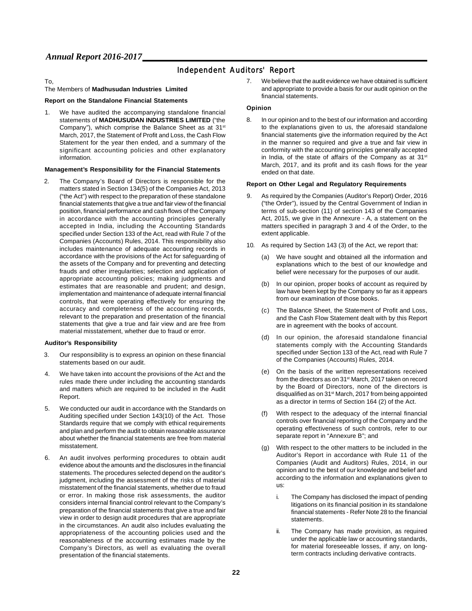## Independent Auditors' Report

#### To,

#### The Members of **Madhusudan Industries Limited**

#### **Report on the Standalone Financial Statements**

1. We have audited the accompanying standalone financial statements of **MADHUSUDAN INDUSTRIES LIMITED** ("the Company"), which comprise the Balance Sheet as at 31<sup>st</sup> March, 2017, the Statement of Profit and Loss, the Cash Flow Statement for the year then ended, and a summary of the significant accounting policies and other explanatory information.

#### **Management's Responsibility for the Financial Statements**

2. The Company's Board of Directors is responsible for the matters stated in Section 134(5) of the Companies Act, 2013 ("the Act") with respect to the preparation of these standalone financial statements that give a true and fair view of the financial position, financial performance and cash flows of the Company in accordance with the accounting principles generally accepted in India, including the Accounting Standards specified under Section 133 of the Act, read with Rule 7 of the Companies (Accounts) Rules, 2014. This responsibility also includes maintenance of adequate accounting records in accordance with the provisions of the Act for safeguarding of the assets of the Company and for preventing and detecting frauds and other irregularities; selection and application of appropriate accounting policies; making judgments and estimates that are reasonable and prudent; and design, implementation and maintenance of adequate internal financial controls, that were operating effectively for ensuring the accuracy and completeness of the accounting records, relevant to the preparation and presentation of the financial statements that give a true and fair view and are free from material misstatement, whether due to fraud or error.

#### **Auditor's Responsibility**

- 3. Our responsibility is to express an opinion on these financial statements based on our audit.
- 4. We have taken into account the provisions of the Act and the rules made there under including the accounting standards and matters which are required to be included in the Audit Report.
- 5. We conducted our audit in accordance with the Standards on Auditing specified under Section 143(10) of the Act. Those Standards require that we comply with ethical requirements and plan and perform the audit to obtain reasonable assurance about whether the financial statements are free from material misstatement.
- 6. An audit involves performing procedures to obtain audit evidence about the amounts and the disclosures in the financial statements. The procedures selected depend on the auditor's judgment, including the assessment of the risks of material misstatement of the financial statements, whether due to fraud or error. In making those risk assessments, the auditor considers internal financial control relevant to the Company's preparation of the financial statements that give a true and fair view in order to design audit procedures that are appropriate in the circumstances. An audit also includes evaluating the appropriateness of the accounting policies used and the reasonableness of the accounting estimates made by the Company's Directors, as well as evaluating the overall presentation of the financial statements.

7. Webelieve that the audit evidence we have obtained is sufficient and appropriate to provide a basis for our audit opinion on the financial statements.

#### **Opinion**

8. In our opinion and to the best of our information and according to the explanations given to us, the aforesaid standalone financial statements give the information required by the Act in the manner so required and give a true and fair view in conformity with the accounting principles generally accepted in India, of the state of affairs of the Company as at 31<sup>st</sup> March, 2017, and its profit and its cash flows for the year ended on that date.

#### **Report on Other Legal and Regulatory Requirements**

- 9. As required by the Companies (Auditor's Report) Order, 2016 ("the Order"), issued by the Central Government of Indian in terms of sub-section (11) of section 143 of the Companies Act, 2015, we give in the Annexure - A, a statement on the matters specified in paragraph 3 and 4 of the Order, to the extent applicable.
- 10. As required by Section 143 (3) of the Act, we report that:
	- (a) We have sought and obtained all the information and explanations which to the best of our knowledge and belief were necessary for the purposes of our audit.
	- (b) In our opinion, proper books of account as required by law have been kept by the Company so far as it appears from our examination of those books.
	- (c) The Balance Sheet, the Statement of Profit and Loss, and the Cash Flow Statement dealt with by this Report are in agreement with the books of account.
	- (d) In our opinion, the aforesaid standalone financial statements comply with the Accounting Standards specified under Section 133 of the Act, read with Rule 7 of the Companies (Accounts) Rules, 2014.
	- (e) On the basis of the written representations received from the directors as on 31<sup>st</sup> March, 2017 taken on record by the Board of Directors, none of the directors is disqualified as on 31<sup>st</sup> March, 2017 from being appointed as a director in terms of Section 164 (2) of the Act.
	- (f) With respect to the adequacy of the internal financial controls over financial reporting of the Company and the operating effectiveness of such controls, refer to our separate report in "Annexure B"; and
	- (g) With respect to the other matters to be included in the Auditor's Report in accordance with Rule 11 of the Companies (Audit and Auditors) Rules, 2014, in our opinion and to the best of our knowledge and belief and according to the information and explanations given to us:
		- i. The Company has disclosed the impact of pending litigations on its financial position in its standalone financial statements - Refer Note 28 to the financial statements.
		- ii. The Company has made provision, as required under the applicable law or accounting standards, for material foreseeable losses, if any, on longterm contracts including derivative contracts.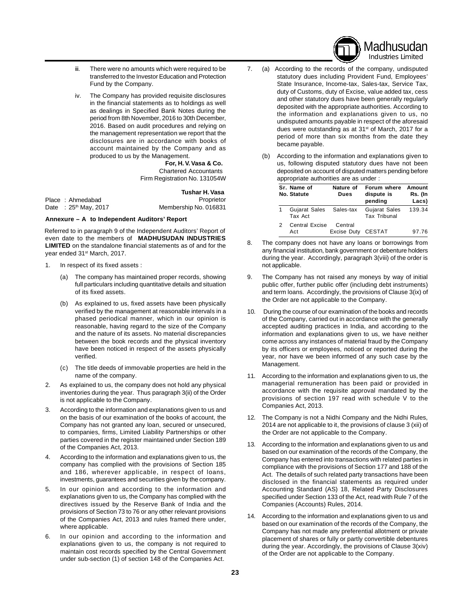

Madhusudan Industries Limited

- iii. There were no amounts which were required to be transferred to the Investor Education and Protection Fund by the Company.
- iv. The Company has provided requisite disclosures in the financial statements as to holdings as well as dealings in Specified Bank Notes during the period from 8th November, 2016 to 30th December, 2016. Based on audit procedures and relying on the management representation we report that the disclosures are in accordance with books of account maintained by the Company and as produced to us by the Management.

**For, H.V.Vasa & Co.** Chartered Accountants Firm Registration No. 131054W

|                           | Tushar H. Vasa        |
|---------------------------|-----------------------|
| Place: Ahmedabad          | Proprietor            |
| Date: $25^{th}$ May, 2017 | Membership No. 016831 |

#### **Annexure – A to Independent Auditors' Report**

Referred to in paragraph 9 of the Independent Auditors' Report of even date to the members of **MADHUSUDAN INDUSTRIES LIMITED** on the standalone financial statements as of and for the year ended 31<sup>st</sup> March, 2017.

- 1. In respect of its fixed assets :
	- (a) The company has maintained proper records, showing full particulars including quantitative details and situation of its fixed assets.
	- (b) As explained to us, fixed assets have been physically verified by the management at reasonable intervals in a phased periodical manner, which in our opinion is reasonable, having regard to the size of the Company and the nature of its assets. No material discrepancies between the book records and the physical inventory have been noticed in respect of the assets physically verified.
	- (c) The title deeds of immovable properties are held in the name of the company.
- 2. As explained to us, the company does not hold any physical inventories during the year. Thus paragraph 3(ii) of the Order is not applicable to the Company.
- 3. According to the information and explanations given to us and on the basis of our examination of the books of account, the Company has not granted any loan, secured or unsecured, to companies, firms, Limited Liability Partnerships or other parties covered in the register maintained under Section 189 of the Companies Act, 2013.
- 4. According to the information and explanations given to us, the company has complied with the provisions of Section 185 and 186, wherever applicable, in respect of loans, investments, guarantees and securities given by the company.
- 5. In our opinion and according to the information and explanations given to us, the Company has complied with the directives issued by the Reserve Bank of India and the provisions of Section 73 to 76 or any other relevant provisions of the Companies Act, 2013 and rules framed there under, where applicable.
- 6. In our opinion and according to the information and explanations given to us, the company is not required to maintain cost records specified by the Central Government under sub-section (1) of section 148 of the Companies Act.
- 7. (a) According to the records of the company, undisputed statutory dues including Provident Fund, Employees' State Insurance, Income-tax, Sales-tax, Service Tax, duty of Customs, duty of Excise, value added tax, cess and other statutory dues have been generally regularly deposited with the appropriate authorities. According to the information and explanations given to us, no undisputed amounts payable in respect of the aforesaid dues were outstanding as at  $31<sup>st</sup>$  of March, 2017 for a period of more than six months from the date they became payable.
	- (b) According to the information and explanations given to us, following disputed statutory dues have not been deposited on account of disputed matters pending before appropriate authorities are as under :

| Sr. Name of<br>No. Statute         | Nature of<br>Dues             | Forum where<br>dispute is<br>pending        | Amount<br>Rs. (In<br>Lacs) |
|------------------------------------|-------------------------------|---------------------------------------------|----------------------------|
| Gujarat Sales Sales-tax<br>Tax Act |                               | <b>Gujarat Sales</b><br><b>Tax Tribunal</b> | 139.34                     |
| Central Excise<br>Act              | Central<br>Excise Duty CESTAT |                                             | 97 76                      |

- 8. The company does not have any loans or borrowings from any financial institution, bank government or debenture holders during the year. Accordingly, paragraph 3(viii) of the order is not applicable.
- 9. The Company has not raised any moneys by way of initial public offer, further public offer (including debt instruments) and term loans. Accordingly, the provisions of Clause 3(ix) of the Order are not applicable to the Company.
- 10. During the course of our examination of the books and records of the Company, carried out in accordance with the generally accepted auditing practices in India, and according to the information and explanations given to us, we have neither come across any instances of material fraud by the Company by its officers or employees, noticed or reported during the year, nor have we been informed of any such case by the Management.
- 11. According to the information and explanations given to us, the managerial remuneration has been paid or provided in accordance with the requisite approval mandated by the provisions of section 197 read with schedule V to the Companies Act, 2013.
- 12. The Company is not a Nidhi Company and the Nidhi Rules, 2014 are not applicable to it, the provisions of clause 3 (xii) of the Order are not applicable to the Company.
- 13. According to the information and explanations given to us and based on our examination of the records of the Company, the Company has entered into transactions with related parties in compliance with the provisions of Section 177 and 188 of the Act. The details of such related party transactions have been disclosed in the financial statements as required under Accounting Standard (AS) 18, Related Party Disclosures specified under Section 133 of the Act, read with Rule 7 of the Companies (Accounts) Rules, 2014.
- 14. According to the information and explanations given to us and based on our examination of the records of the Company, the Company has not made any preferential allotment or private placement of shares or fully or partly convertible debentures during the year. Accordingly, the provisions of Clause 3(xiv) of the Order are not applicable to the Company.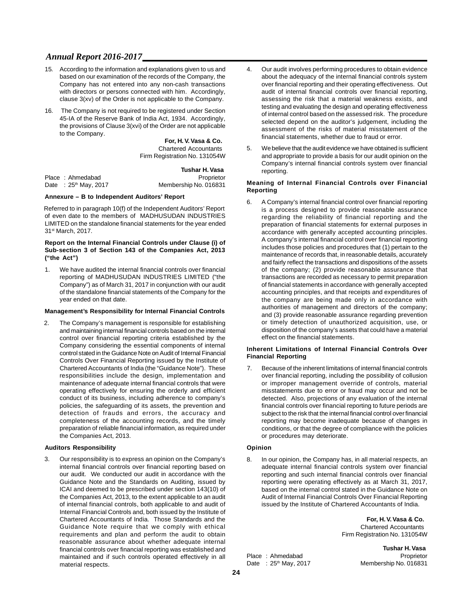- 15. According to the information and explanations given to us and based on our examination of the records of the Company, the Company has not entered into any non-cash transactions with directors or persons connected with him. Accordingly, clause 3(xv) of the Order is not applicable to the Company.
- 16. The Company is not required to be registered under Section 45-IA of the Reserve Bank of India Act, 1934. Accordingly, the provisions of Clause 3(xvi) of the Order are not applicable to the Company.

**For, H.V.Vasa & Co.** Chartered Accountants Firm Registration No. 131054W

|                           | Tushar H. Vasa        |
|---------------------------|-----------------------|
| Place: Ahmedabad          | Proprietor            |
| Date: $25^{th}$ May, 2017 | Membership No. 016831 |

#### **Annexure – B to Independent Auditors' Report**

Referred to in paragraph 10(f) of the Independent Auditors' Report of even date to the members of MADHUSUDAN INDUSTRIES LIMITED on the standalone financial statements for the year ended 31<sup>st</sup> March, 2017.

#### **Report on the Internal Financial Controls under Clause (i) of Sub-section 3 of Section 143 of the Companies Act, 2013 ("the Act")**

1. We have audited the internal financial controls over financial reporting of MADHUSUDAN INDUSTRIES LIMITED ("the Company") as of March 31, 2017 in conjunction with our audit of the standalone financial statements of the Company for the year ended on that date.

#### **Management's Responsibility for Internal Financial Controls**

2. The Company's management is responsible for establishing and maintaining internal financial controls based on the internal control over financial reporting criteria established by the Company considering the essential components of internal control stated in the Guidance Note on Audit of Internal Financial Controls Over Financial Reporting issued by the Institute of Chartered Accountants of India (the "Guidance Note"). These responsibilities include the design, implementation and maintenance of adequate internal financial controls that were operating effectively for ensuring the orderly and efficient conduct of its business, including adherence to company's policies, the safeguarding of its assets, the prevention and detection of frauds and errors, the accuracy and completeness of the accounting records, and the timely preparation of reliable financial information, as required under the Companies Act, 2013.

#### **Auditors Responsibility**

3. Our responsibility is to express an opinion on the Company's internal financial controls over financial reporting based on our audit. We conducted our audit in accordance with the Guidance Note and the Standards on Auditing, issued by ICAI and deemed to be prescribed under section 143(10) of the Companies Act, 2013, to the extent applicable to an audit of internal financial controls, both applicable to and audit of Internal Financial Controls and, both issued by the Institute of Chartered Accountants of India. Those Standards and the Guidance Note require that we comply with ethical requirements and plan and perform the audit to obtain reasonable assurance about whether adequate internal financial controls over financial reporting was established and maintained and if such controls operated effectively in all material respects.

- 4. Our audit involves performing procedures to obtain evidence about the adequacy of the internal financial controls system over financial reporting and their operating effectiveness. Out audit of internal financial controls over financial reporting, assessing the risk that a material weakness exists, and testing and evaluating the design and operating effectiveness of internal control based on the assessed risk. The procedure selected depend on the auditor's judgement, including the assessment of the risks of material misstatement of the financial statements, whether due to fraud or error.
- 5. Webelieve that the audit evidence we have obtained is sufficient and appropriate to provide a basis for our audit opinion on the Company's internal financial controls system over financial reporting.

#### **Meaning of Internal Financial Controls over Financial Reporting**

6. A Company's internal financial control over financial reporting is a process designed to provide reasonable assurance regarding the reliability of financial reporting and the preparation of financial statements for external purposes in accordance with generally accepted accounting principles. A company's internal financial control over financial reporting includes those policies and procedures that (1) pertain to the maintenance of records that, in reasonable details, accurately and fairly reflect the transactions and dispositions of the assets of the company; (2) provide reasonable assurance that transactions are recorded as necessary to permit preparation of financial statements in accordance with generally accepted accounting principles, and that receipts and expenditures of the company are being made only in accordance with authorities of management and directors of the company; and (3) provide reasonable assurance regarding prevention or timely detection of unauthorized acquisition, use, or disposition of the company's assets that could have a material effect on the financial statements.

#### **Inherent Limitations of Internal Financial Controls Over Financial Reporting**

7. Because of the inherent limitations of internal financial controls over financial reporting, including the possibility of collusion or improper management override of controls, material misstatements due to error or fraud may occur and not be detected. Also, projections of any evaluation of the internal financial controls over financial reporting to future periods are subject to the risk that the internal financial control overfinancial reporting may become inadequate because of changes in conditions, or that the degree of compliance with the policies or procedures may deteriorate.

#### **Opinion**

8. In our opinion, the Company has, in all material respects, an adequate internal financial controls system over financial reporting and such internal financial controls over financial reporting were operating effectively as at March 31, 2017, based on the internal control stated in the Guidance Note on Audit of Internal Financial Controls Over Financial Reporting issued by the Institute of Chartered Accountants of India.

> **For, H.V.Vasa & Co.** Chartered Accountants Firm Registration No. 131054W

Place : Ahmedabad Proprietor

**Tushar H.Vasa** Date :  $25<sup>th</sup>$  May, 2017 Membership No. 016831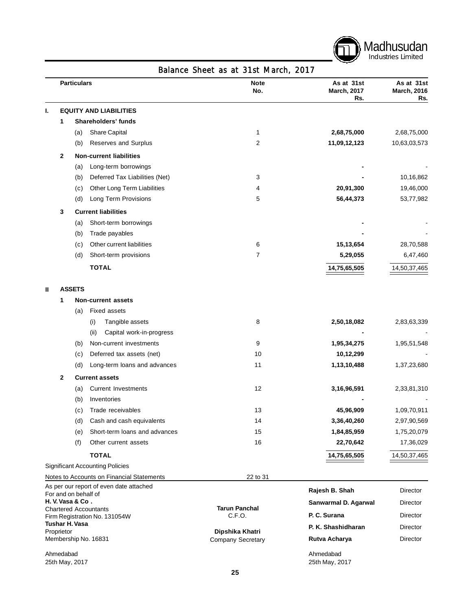

|    |            | <b>Particulars</b> |                                                                 | <b>Note</b><br>No.                          | As at 31st<br><b>March, 2017</b><br>Rs. | As at 31st<br><b>March, 2016</b><br>Rs. |
|----|------------|--------------------|-----------------------------------------------------------------|---------------------------------------------|-----------------------------------------|-----------------------------------------|
| ı. |            |                    | <b>EQUITY AND LIABILITIES</b>                                   |                                             |                                         |                                         |
|    | 1          |                    | Shareholders' funds                                             |                                             |                                         |                                         |
|    |            | (a)                | Share Capital                                                   | 1                                           | 2,68,75,000                             | 2,68,75,000                             |
|    |            | (b)                | Reserves and Surplus                                            | 2                                           | 11,09,12,123                            | 10,63,03,573                            |
|    | 2          |                    | <b>Non-current liabilities</b>                                  |                                             |                                         |                                         |
|    |            | (a)                | Long-term borrowings                                            |                                             |                                         |                                         |
|    |            | (b)                | Deferred Tax Liabilities (Net)                                  | 3                                           |                                         | 10,16,862                               |
|    |            | (c)                | Other Long Term Liabilities                                     | 4                                           | 20,91,300                               | 19,46,000                               |
|    |            | (d)                | Long Term Provisions                                            | 5                                           | 56,44,373                               | 53,77,982                               |
|    | 3          |                    | <b>Current liabilities</b>                                      |                                             |                                         |                                         |
|    |            | (a)                | Short-term borrowings                                           |                                             |                                         |                                         |
|    |            | (b)                | Trade payables                                                  |                                             |                                         |                                         |
|    |            | (c)                | Other current liabilities                                       | 6                                           | 15,13,654                               | 28,70,588                               |
|    |            | (d)                | Short-term provisions                                           | 7                                           | 5,29,055                                | 6,47,460                                |
|    |            |                    | <b>TOTAL</b>                                                    |                                             | 14,75,65,505                            | 14,50,37,465                            |
| Ш  |            | <b>ASSETS</b>      |                                                                 |                                             |                                         |                                         |
|    | 1          |                    | <b>Non-current assets</b>                                       |                                             |                                         |                                         |
|    |            | (a)                | <b>Fixed assets</b>                                             |                                             |                                         |                                         |
|    |            |                    | Tangible assets<br>(i)                                          | 8                                           | 2,50,18,082                             | 2,83,63,339                             |
|    |            |                    | (ii)<br>Capital work-in-progress                                |                                             |                                         |                                         |
|    |            | (b)                | Non-current investments                                         | 9                                           | 1,95,34,275                             | 1,95,51,548                             |
|    |            | (c)                | Deferred tax assets (net)                                       | 10                                          | 10,12,299                               |                                         |
|    |            | (d)                | Long-term loans and advances                                    | 11                                          | 1,13,10,488                             | 1,37,23,680                             |
|    | 2          |                    | <b>Current assets</b>                                           |                                             |                                         |                                         |
|    |            | (a)                | <b>Current Investments</b>                                      | 12                                          | 3,16,96,591                             | 2,33,81,310                             |
|    |            | (b)                | Inventories                                                     |                                             |                                         |                                         |
|    |            | (c)                | Trade receivables                                               | 13                                          | 45,96,909                               | 1,09,70,911                             |
|    |            | (d)                | Cash and cash equivalents                                       | 14                                          | 3,36,40,260                             | 2,97,90,569                             |
|    |            | (e)                | Short-term loans and advances                                   | 15                                          | 1,84,85,959                             | 1,75,20,079                             |
|    |            | (f)                | Other current assets                                            | 16                                          | 22,70,642                               | 17,36,029                               |
|    |            |                    | <b>TOTAL</b>                                                    |                                             | 14,75,65,505                            | 14,50,37,465                            |
|    |            |                    | <b>Significant Accounting Policies</b>                          |                                             |                                         |                                         |
|    |            |                    | Notes to Accounts on Financial Statements                       | 22 to 31                                    |                                         |                                         |
|    |            |                    | As per our report of even date attached<br>For and on behalf of |                                             | Rajesh B. Shah                          | <b>Director</b>                         |
|    |            | H.V.Vasa & Co.     |                                                                 |                                             | Sanwarmal D. Agarwal                    | Director                                |
|    |            |                    | <b>Chartered Accountants</b><br>Firm Registration No. 131054W   | <b>Tarun Panchal</b><br>C.F.O.              | P. C. Surana                            | Director                                |
|    |            | Tushar H. Vasa     |                                                                 |                                             | P. K. Shashidharan                      | Director                                |
|    | Proprietor |                    | Membership No. 16831                                            | Dipshika Khatri<br><b>Company Secretary</b> | Rutva Acharya                           | Director                                |
|    | Ahmedabad  |                    |                                                                 |                                             | Ahmedabad                               |                                         |

Ahmedabad 25th May, 2017

25th May, 2017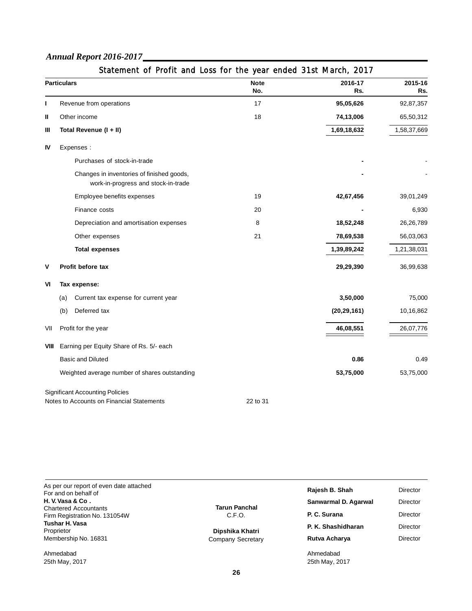|      | <b>Particulars</b>                                                               | <b>Note</b><br>No. | 2016-17<br>Rs. | 2015-16<br>Rs. |
|------|----------------------------------------------------------------------------------|--------------------|----------------|----------------|
| J.   | Revenue from operations                                                          | 17                 | 95,05,626      | 92,87,357      |
| Ш    | Other income                                                                     | 18                 | 74,13,006      | 65,50,312      |
| Ш    | Total Revenue (I + II)                                                           |                    | 1,69,18,632    | 1,58,37,669    |
| IV   | Expenses:                                                                        |                    |                |                |
|      | Purchases of stock-in-trade                                                      |                    |                |                |
|      | Changes in inventories of finished goods,<br>work-in-progress and stock-in-trade |                    |                |                |
|      | Employee benefits expenses                                                       | 19                 | 42,67,456      | 39,01,249      |
|      | Finance costs                                                                    | 20                 |                | 6,930          |
|      | Depreciation and amortisation expenses                                           | 8                  | 18,52,248      | 26,26,789      |
|      | Other expenses                                                                   | 21                 | 78,69,538      | 56,03,063      |
|      | <b>Total expenses</b>                                                            |                    | 1,39,89,242    | 1,21,38,031    |
| V    | Profit before tax                                                                |                    | 29,29,390      | 36,99,638      |
| VI   | Tax expense:                                                                     |                    |                |                |
|      | Current tax expense for current year<br>(a)                                      |                    | 3,50,000       | 75,000         |
|      | Deferred tax<br>(b)                                                              |                    | (20, 29, 161)  | 10,16,862      |
| VII  | Profit for the year                                                              |                    | 46,08,551      | 26,07,776      |
| VIII | Earning per Equity Share of Rs. 5/- each                                         |                    |                |                |
|      | <b>Basic and Diluted</b>                                                         |                    | 0.86           | 0.49           |
|      | Weighted average number of shares outstanding                                    |                    | 53,75,000      | 53,75,000      |
|      | <b>Significant Accounting Policies</b>                                           |                    |                |                |
|      | Notes to Accounts on Financial Statements                                        | 22 to 31           |                |                |

| Statement of Profit and Loss for the year ended 31st March, 2017 |  |  |  |  |  |
|------------------------------------------------------------------|--|--|--|--|--|

| As per our report of even date attached<br>For and on behalf of |                                | Rajesh B. Shah              | <b>Director</b> |
|-----------------------------------------------------------------|--------------------------------|-----------------------------|-----------------|
| H.V. Vasa & Co.                                                 |                                | Sanwarmal D. Agarwal        | Director        |
| <b>Chartered Accountants</b><br>Firm Registration No. 131054W   | <b>Tarun Panchal</b><br>C.F.O. | P. C. Surana                | Director        |
| Tushar H. Vasa<br>Proprietor                                    | Dipshika Khatri                | P. K. Shashidharan          | <b>Director</b> |
| Membership No. 16831                                            | Company Secretary              | Rutva Acharya               | <b>Director</b> |
| Ahmedabad<br>25th May, 2017                                     |                                | Ahmedabad<br>25th May, 2017 |                 |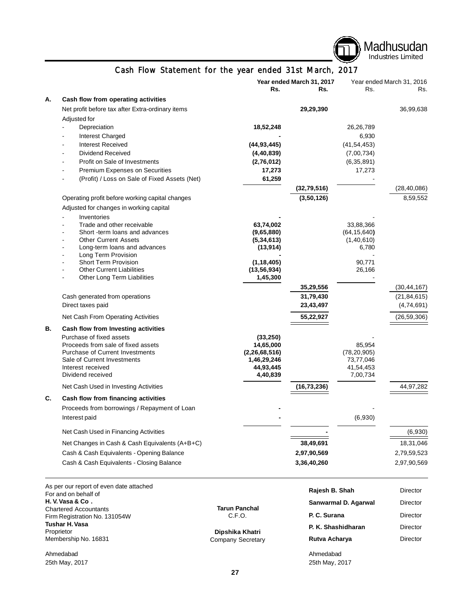

**Rajesh B. Shah** Director **Sanwarmal D. Agarwal Director P. C. Surana** Director **P. K. Shashidharan** Director **Rutva Acharya Director** 

Ahmedabad 25th May, 2017

## Cash Flow Statement for the year ended 31st March, 2017

|           |                                                                               |                                 | Year ended March 31, 2017 |                            | Year ended March 31, 2016 |
|-----------|-------------------------------------------------------------------------------|---------------------------------|---------------------------|----------------------------|---------------------------|
|           |                                                                               | Rs.                             | Rs.                       | Rs.                        | Rs.                       |
| А.        | Cash flow from operating activities                                           |                                 |                           |                            |                           |
|           | Net profit before tax after Extra-ordinary items                              |                                 | 29,29,390                 |                            | 36,99,638                 |
|           | Adjusted for                                                                  |                                 |                           |                            |                           |
|           | Depreciation                                                                  | 18,52,248                       |                           | 26,26,789                  |                           |
|           | Interest Charged                                                              |                                 |                           | 6,930                      |                           |
|           | <b>Interest Received</b>                                                      | (44, 93, 445)                   |                           | (41, 54, 453)              |                           |
|           | <b>Dividend Received</b>                                                      | (4, 40, 839)                    |                           | (7,00,734)                 |                           |
|           | Profit on Sale of Investments<br>L,                                           | (2,76,012)                      |                           | (6, 35, 891)               |                           |
|           | Premium Expenses on Securities                                                | 17,273                          |                           | 17,273                     |                           |
|           | (Profit) / Loss on Sale of Fixed Assets (Net)                                 | 61,259                          |                           |                            |                           |
|           |                                                                               |                                 | (32, 79, 516)             |                            | (28, 40, 086)             |
|           | Operating profit before working capital changes                               |                                 | (3,50,126)                |                            | 8,59,552                  |
|           | Adjusted for changes in working capital                                       |                                 |                           |                            |                           |
|           | Inventories                                                                   |                                 |                           |                            |                           |
|           | Trade and other receivable<br>$\blacksquare$                                  | 63,74,002                       |                           | 33,88,366                  |                           |
|           | Short -term loans and advances                                                | (9,65,880)                      |                           | (64, 15, 640)              |                           |
|           | <b>Other Current Assets</b><br>Long-term loans and advances<br>$\overline{a}$ | (5, 34, 613)<br>(13, 914)       |                           | (1, 40, 610)<br>6,780      |                           |
|           | Long Term Provision<br>$\blacksquare$                                         |                                 |                           |                            |                           |
|           | <b>Short Term Provision</b>                                                   | (1, 18, 405)                    |                           | 90,771                     |                           |
|           | <b>Other Current Liabilities</b>                                              | (13, 56, 934)                   |                           | 26,166                     |                           |
|           | Other Long Term Liabilities                                                   | 1,45,300                        |                           |                            |                           |
|           |                                                                               |                                 | 35,29,556                 |                            | (30, 44, 167)             |
|           | Cash generated from operations                                                |                                 | 31,79,430                 |                            | (21, 84, 615)             |
|           | Direct taxes paid                                                             |                                 | 23,43,497                 |                            | (4,74,691)                |
|           | Net Cash From Operating Activities                                            |                                 | 55,22,927                 |                            | (26, 59, 306)             |
| <b>B.</b> | Cash flow from Investing activities                                           |                                 |                           |                            |                           |
|           | Purchase of fixed assets                                                      | (33, 250)                       |                           |                            |                           |
|           | Proceeds from sale of fixed assets                                            | 14,65,000                       |                           | 85,954                     |                           |
|           | <b>Purchase of Current Investments</b><br>Sale of Current Investments         | (2, 26, 68, 516)<br>1,46,29,246 |                           | (78, 20, 905)<br>73,77,046 |                           |
|           | Interest received                                                             | 44,93,445                       |                           | 41,54,453                  |                           |
|           | Dividend received                                                             | 4,40,839                        |                           | 7,00,734                   |                           |
|           | Net Cash Used in Investing Activities                                         |                                 | (16, 73, 236)             |                            | 44,97,282                 |
| C.        | Cash flow from financing activities                                           |                                 |                           |                            |                           |
|           | Proceeds from borrowings / Repayment of Loan                                  |                                 |                           |                            |                           |
|           | Interest paid                                                                 |                                 |                           | (6,930)                    |                           |
|           |                                                                               |                                 |                           |                            |                           |
|           | Net Cash Used in Financing Activities                                         |                                 |                           |                            | (6,930)                   |
|           | Net Changes in Cash & Cash Equivalents (A+B+C)                                |                                 | 38,49,691                 |                            | 18,31,046                 |
|           | Cash & Cash Equivalents - Opening Balance                                     |                                 | 2,97,90,569               |                            | 2,79,59,523               |
|           | Cash & Cash Equivalents - Closing Balance                                     |                                 | 3,36,40,260               |                            | 2,97,90,569               |
|           |                                                                               |                                 |                           |                            |                           |

As per our report of even date attached For and on behalf of **H. V.Vasa & Co .** Chartered Accountants Firm Registration No. 131054W **Tushar H.Vasa** Proprietor Membership No. 16831

Ahmedabad 25th May, 2017 **Tarun Panchal** C.F.O.

**Dipshika Khatri** Company Secretary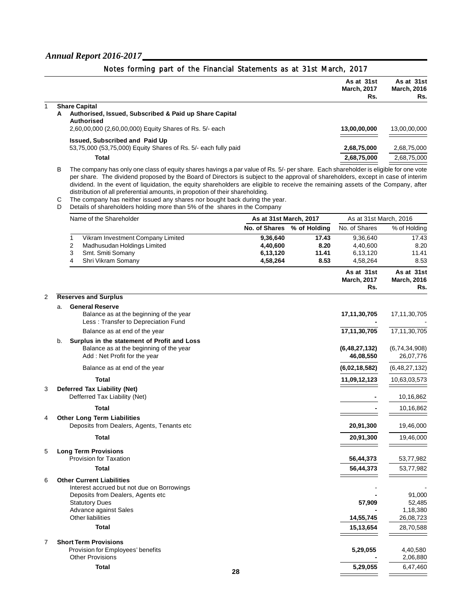|                                                                | As at 31st<br><b>March, 2017</b><br>Rs. | As at 31st<br><b>March, 2016</b><br>Rs. |
|----------------------------------------------------------------|-----------------------------------------|-----------------------------------------|
| <b>Share Capital</b>                                           |                                         |                                         |
| Authorised, Issued, Subscribed & Paid up Share Capital<br>A    |                                         |                                         |
| <b>Authorised</b>                                              |                                         |                                         |
| 2,60,00,000 (2,60,00,000) Equity Shares of Rs. 5/- each        | 13,00,00,000                            | 13,00,00,000                            |
| Issued, Subscribed and Paid Up                                 |                                         |                                         |
| 53,75,000 (53,75,000) Equity Shares of Rs. 5/- each fully paid | 2,68,75,000                             | 2,68,75,000                             |
| Total                                                          | 2,68,75,000                             | 2,68,75,000                             |
|                                                                |                                         |                                         |

Notes forming part of the Financial Statements as at 31st March, 2017

B The company has only one class of equity shares havings a par value of Rs. 5/- per share. Each shareholder is eligible for one vote per share. The dividend proposed by the Board of Directors is subject to the approval of shareholders, except in case of interim dividend. In the event of liquidation, the equity shareholders are eligible to receive the remaining assets of the Company, after distribution of all preferential amounts, in propotion of their shareholding.

C The company has neither issued any shares nor bought back during the year.

D Details of shareholders holding more than 5% of the shares in the Company

|   | Name of the Shareholder                                                                                                                       | As at 31st March, 2017 |              | As at 31st March, 2016                  |                                         |
|---|-----------------------------------------------------------------------------------------------------------------------------------------------|------------------------|--------------|-----------------------------------------|-----------------------------------------|
|   |                                                                                                                                               | No. of Shares          | % of Holding | No. of Shares                           | % of Holding                            |
|   | 1<br>Vikram Investment Company Limited                                                                                                        | 9,36,640               | 17.43        | 9,36,640                                | 17.43                                   |
|   | $\overline{2}$<br>Madhusudan Holdings Limited                                                                                                 | 4,40,600               | 8.20         | 4,40,600                                | 8.20                                    |
|   | 3<br>Smt. Smiti Somany                                                                                                                        | 6,13,120               | 11.41        | 6,13,120                                | 11.41                                   |
|   | Shri Vikram Somany<br>4                                                                                                                       | 4,58,264               | 8.53         | 4,58,264                                | 8.53                                    |
|   |                                                                                                                                               |                        |              | As at 31st<br><b>March, 2017</b><br>Rs. | As at 31st<br><b>March, 2016</b><br>Rs. |
| 2 | <b>Reserves and Surplus</b>                                                                                                                   |                        |              |                                         |                                         |
|   | <b>General Reserve</b><br>a.<br>Balance as at the beginning of the year<br>Less: Transfer to Depreciation Fund                                |                        |              | 17,11,30,705                            | 17, 11, 30, 705                         |
|   | Balance as at end of the year                                                                                                                 |                        |              | 17,11,30,705                            | 17, 11, 30, 705                         |
|   | Surplus in the statement of Profit and Loss<br>b.<br>Balance as at the beginning of the year<br>Add: Net Profit for the year                  |                        |              | (6, 48, 27, 132)<br>46,08,550           | (6,74,34,908)<br>26,07,776              |
|   | Balance as at end of the year                                                                                                                 |                        |              | (6,02,18,582)                           | (6,48,27,132)                           |
|   | Total                                                                                                                                         |                        |              | 11,09,12,123                            | 10,63,03,573                            |
| 3 | Deferred Tax Liability (Net)<br>Defferred Tax Liability (Net)                                                                                 |                        |              |                                         | 10,16,862                               |
|   | <b>Total</b>                                                                                                                                  |                        |              |                                         | 10,16,862                               |
| 4 | <b>Other Long Term Liabilities</b><br>Deposits from Dealers, Agents, Tenants etc                                                              |                        |              | 20,91,300                               | 19,46,000                               |
|   | <b>Total</b>                                                                                                                                  |                        |              | 20,91,300                               | 19,46,000                               |
| 5 | <b>Long Term Provisions</b>                                                                                                                   |                        |              |                                         |                                         |
|   | Provision for Taxation                                                                                                                        |                        |              | 56,44,373                               | 53,77,982                               |
|   | <b>Total</b>                                                                                                                                  |                        |              | 56,44,373                               | 53,77,982                               |
| 6 | <b>Other Current Liabilities</b><br>Interest accrued but not due on Borrowings<br>Deposits from Dealers, Agents etc.<br><b>Statutory Dues</b> |                        |              | 57,909                                  | 91,000<br>52,485                        |
|   | Advance against Sales                                                                                                                         |                        |              |                                         | 1,18,380                                |
|   | Other liabilities                                                                                                                             |                        |              | 14,55,745                               | 26,08,723                               |
|   | Total                                                                                                                                         |                        |              | 15,13,654                               | 28,70,588                               |
| 7 | <b>Short Term Provisions</b><br>Provision for Employees' benefits<br><b>Other Provisions</b>                                                  |                        |              | 5,29,055                                | 4,40,580<br>2,06,880                    |
|   | <b>Total</b>                                                                                                                                  | 28                     |              | 5,29,055                                | 6,47,460                                |
|   |                                                                                                                                               |                        |              |                                         |                                         |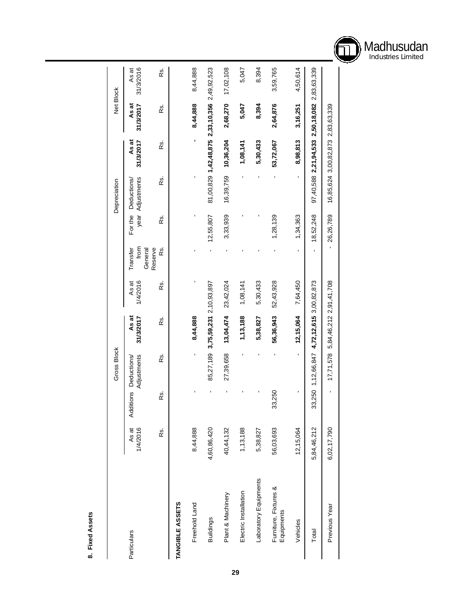

|                                     |                   |                  | Gross Block                                |                               |                   |                             |           | Depreciation                   |                                                 |                    | Net Block          |
|-------------------------------------|-------------------|------------------|--------------------------------------------|-------------------------------|-------------------|-----------------------------|-----------|--------------------------------|-------------------------------------------------|--------------------|--------------------|
| Particulars                         | 1/4/2016<br>As at | <b>Additions</b> | Adjustments<br>Deductions/                 | As at<br>31/3/2017            | 1/4/2016<br>As at | from<br>General<br>Transfer | For the   | year Adjustments<br>Deductions | As at<br>31/3/2017                              | As at<br>31/3/2017 | 31/3/2016<br>As at |
|                                     | κs.               | œ.               | œ.                                         | Rs.                           | œ.                | Reserve<br>œ.               | Rs.       | Rs.                            | Rs.                                             | Rs.                | œ.                 |
| TANGIBLE ASSETS                     |                   |                  |                                            |                               |                   |                             |           |                                |                                                 |                    |                    |
| Freehold Land                       | 8,44,888          |                  |                                            | 8,44,888                      |                   |                             |           |                                |                                                 | 8,44,888           | 8,44,888           |
| <b>Buildings</b>                    | 4,60,86,420       |                  | 85,27,189                                  | 3,75,59,231 2,10,93,897       |                   |                             | 12,55,807 |                                | 81,00,829 1,42,48,875 2,33,10,356 2,49,92,523   |                    |                    |
| Plant & Machinery                   | 40,44,132         |                  | 27,39,658                                  | 13,04,474                     | 23,42,024         |                             | 3,33,939  | 16,39,759                      | 10,36,204                                       | 2,68,270           | 17,02,108          |
| Electric Installation               | 1,13,188          |                  |                                            | 1,13,188                      | 1,08,141          |                             |           |                                | 1,08,141                                        | 5,047              | 5,047              |
| Laboratory Equipments               | 5,38,827          |                  |                                            | 5,38,827                      | 5,30,433          |                             |           |                                | 5,30,433                                        | 8,394              | 8,394              |
| Furniture, Fixtures &<br>Equipments | 56,03,693         | 33,250           |                                            | 56,36,943                     | 52,43,928         |                             | 1,28,139  |                                | 53,72,067                                       | 2,64,876           | 3,59,765           |
| Vehicles                            | 12,15,064         | $\blacksquare$   | $\mathbf{r}$                               | 12,15,064                     | 7,64,450          | ı                           | 1,34,363  | ı                              | 8,98,813                                        | 3,16,251           | 4,50,614           |
| Total                               | 5,84,46,212       |                  | 33,250 1,12,66,847 4,72,12,615 3,00,82,873 |                               |                   |                             | 18,52,248 |                                | $97,40,588$ 2,21,94,533 2,50,18,082 2,83,63,339 |                    |                    |
| Previous Year                       | 6,02,17,790       |                  | 17,71,578                                  | 5, 84, 46, 212 2, 91, 41, 708 |                   |                             | 26,26,789 |                                | 16,85,624 3,00,82,873 2,83,63,339               |                    |                    |

8. Fixed Assets **8. Fixed Assets**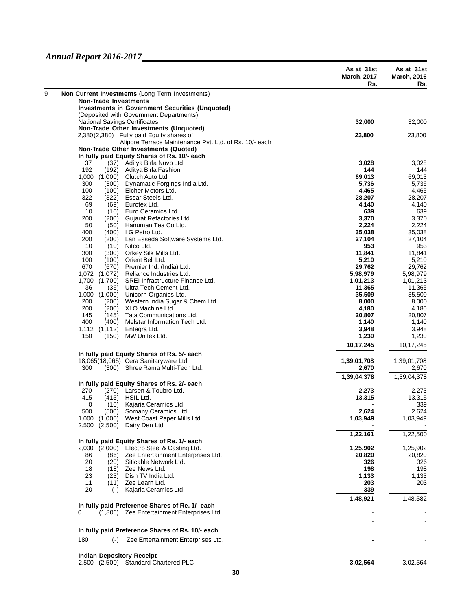|                                                                                           | As at 31st<br><b>March, 2017</b><br>Rs. | As at 31st<br><b>March, 2016</b><br>Rs. |
|-------------------------------------------------------------------------------------------|-----------------------------------------|-----------------------------------------|
| Non Current Investments (Long Term Investments)                                           |                                         |                                         |
| <b>Non-Trade Investments</b>                                                              |                                         |                                         |
| <b>Investments in Government Securities (Unquoted)</b>                                    |                                         |                                         |
| (Deposited with Government Departments)<br><b>National Savings Certificates</b>           | 32,000                                  | 32,000                                  |
| Non-Trade Other Investments (Unquoted)                                                    |                                         |                                         |
| 2,380(2,380) Fully paid Equity shares of                                                  | 23,800                                  | 23,800                                  |
| Alipore Terrace Maintenance Pvt. Ltd. of Rs. 10/- each                                    |                                         |                                         |
| Non-Trade Other Investments (Quoted)                                                      |                                         |                                         |
| In fully paid Equity Shares of Rs. 10/- each<br>(37) Aditya Birla Nuvo Ltd.               | 3,028                                   |                                         |
| 37<br>192<br>Aditya Birla Fashion<br>(192)                                                | 144                                     | 3,028<br>144                            |
| 1,000 (1,000)<br>Clutch Auto Ltd.                                                         | 69,013                                  | 69,013                                  |
| Dynamatic Forgings India Ltd.<br>300<br>(300)                                             | 5,736                                   | 5,736                                   |
| Eicher Motors Ltd.<br>100<br>(100)                                                        | 4,465                                   | 4,465                                   |
| 322<br>(322)<br>Essar Steels Ltd.                                                         | 28,207                                  | 28,207                                  |
| 69<br>Eurotex Ltd.<br>(69)                                                                | 4,140                                   | 4,140                                   |
| 10<br>Euro Ceramics Ltd.<br>(10)<br>Gujarat Refactories Ltd.<br>200<br>(200)              | 639<br>3,370                            | 639<br>3,370                            |
| 50<br>(50)<br>Hanuman Tea Co Ltd.                                                         | 2,224                                   | 2,224                                   |
| 400<br>(400)<br>I G Petro Ltd.                                                            | 35,038                                  | 35,038                                  |
| 200<br>(200)<br>Lan Esseda Software Systems Ltd.                                          | 27,104                                  | 27,104                                  |
| 10<br>(10)<br>Nitco Ltd.                                                                  | 953                                     | 953                                     |
| Orkey Silk Mills Ltd.<br>300<br>(300)                                                     | 11,841                                  | 11,841                                  |
| 100<br>(100)<br>Orient Bell Ltd.                                                          | 5,210                                   | 5,210<br>29.762                         |
| 670<br>(670)<br>Premier Ind. (India) Ltd.<br>1,072<br>(1,072)<br>Reliance Industries Ltd. | 29,762<br>5,98,979                      | 5,98,979                                |
| 1,700<br>SREI Infrastructure Finance Ltd.<br>(1,700)                                      | 1,01,213                                | 1,01,213                                |
| 36<br>Ultra Tech Cement Ltd.<br>(36)                                                      | 11,365                                  | 11,365                                  |
| 1,000<br>(1,000)<br>Unicorn Organics Ltd.                                                 | 35,509                                  | 35,509                                  |
| Western India Sugar & Chem Ltd.<br>200<br>(200)                                           | 8,000                                   | 8,000                                   |
| 200<br>XLO Machine Ltd.<br>(200)                                                          | 4,180                                   | 4,180                                   |
| Tata Communications Ltd.<br>145<br>(145)<br>400<br>(400)<br>Melstar Information Tech Ltd. | 20,807<br>1,140                         | 20,807<br>1,140                         |
| Entegra Ltd.<br>1,112 (1,112)                                                             | 3,948                                   | 3,948                                   |
| MW Unitex Ltd.<br>150<br>(150)                                                            | 1,230                                   | 1,230                                   |
|                                                                                           | 10,17,245                               | 10,17,245                               |
| In fully paid Equity Shares of Rs. 5/- each                                               |                                         |                                         |
| 18,065(18,065) Cera Sanitaryware Ltd.                                                     | 1,39,01,708                             | 1,39,01,708                             |
| 300<br>(300) Shree Rama Multi-Tech Ltd.                                                   | 2,670                                   | 2,670                                   |
|                                                                                           | 1,39,04,378                             | 1,39,04,378                             |
| In fully paid Equity Shares of Rs. 2/- each                                               |                                         |                                         |
| (270) Larsen & Toubro Ltd.<br>270                                                         | 2,273                                   | 2,273                                   |
| 415<br>(415)<br>HSIL Ltd.                                                                 | 13,315                                  | 13,315                                  |
| 0<br>(10)<br>Kajaria Ceramics Ltd.                                                        |                                         | 339                                     |
| 500<br>(500)<br>Somany Ceramics Ltd.<br>West Coast Paper Mills Ltd.<br>1,000<br>(1,000)   | 2,624<br>1,03,949                       | 2,624<br>1,03,949                       |
| (2,500)<br>Dairy Den Ltd<br>2.500                                                         |                                         |                                         |
|                                                                                           | 1,22,161                                | 1,22,500                                |
| In fully paid Equity Shares of Re. 1/- each                                               |                                         |                                         |
| 2,000 (2,000) Electro Steel & Casting Ltd.                                                | 1,25,902                                | 1,25,902                                |
| Zee Entertainment Enterprises Ltd.<br>86<br>(86)                                          | 20,820                                  | 20,820                                  |
| 20<br>Siticable Network Ltd.<br>(20)                                                      | 326                                     | 326                                     |
| 18<br>Zee News Ltd.<br>(18)                                                               | 198                                     | 198                                     |
| 23<br>(23)<br>Dish TV India Ltd.<br>Zee Learn Ltd.                                        | 1,133                                   | 1,133                                   |
| 11<br>(11)<br>20<br>Kajaria Ceramics Ltd.<br>$(-)$                                        | 203<br>339                              | 203                                     |
|                                                                                           |                                         |                                         |
| In fully paid Preference Shares of Re. 1/- each                                           | 1,48,921                                | 1,48,582                                |
| (1,806) Zee Entertainment Enterprises Ltd.<br>0                                           |                                         |                                         |
|                                                                                           |                                         |                                         |
| In fully paid Preference Shares of Rs. 10/- each                                          |                                         |                                         |
| 180<br>Zee Entertainment Enterprises Ltd.<br>$(-)$                                        |                                         |                                         |
| <b>Indian Depository Receipt</b>                                                          |                                         |                                         |
| 2,500 (2,500) Standard Chartered PLC                                                      | 3,02,564                                | 3,02,564                                |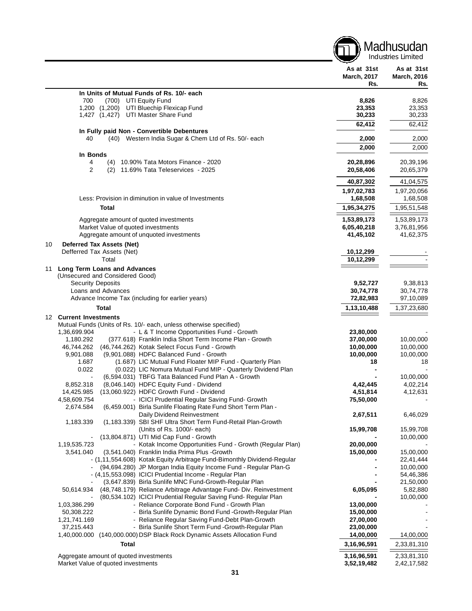|    |                                                                                                                                     |                                         | Industries Limited                      |
|----|-------------------------------------------------------------------------------------------------------------------------------------|-----------------------------------------|-----------------------------------------|
|    |                                                                                                                                     | As at 31st<br><b>March, 2017</b><br>Rs. | As at 31st<br><b>March, 2016</b><br>Rs. |
|    | In Units of Mutual Funds of Rs. 10/- each                                                                                           |                                         |                                         |
|    | 700<br>(700) UTI Equity Fund                                                                                                        | 8,826                                   | 8,826                                   |
|    | 1,200 (1,200)<br>UTI Bluechip Flexicap Fund                                                                                         | 23,353                                  | 23,353                                  |
|    | 1,427 (1,427) UTI Master Share Fund                                                                                                 | 30,233                                  | 30,233                                  |
|    | In Fully paid Non - Convertible Debentures                                                                                          | 62,412                                  | 62,412                                  |
|    | (40) Western India Sugar & Chem Ltd of Rs. 50/- each<br>40                                                                          | 2,000                                   | 2,000                                   |
|    |                                                                                                                                     | 2,000                                   | 2,000                                   |
|    | In Bonds                                                                                                                            |                                         |                                         |
|    | (4) 10.90% Tata Motors Finance - 2020<br>4                                                                                          | 20,28,896                               | 20,39,196                               |
|    | 2<br>11.69% Tata Teleservices - 2025<br>(2)                                                                                         | 20,58,406                               | 20,65,379                               |
|    |                                                                                                                                     | 40,87,302                               | 41,04,575                               |
|    |                                                                                                                                     | 1,97,02,783                             | 1,97,20,056                             |
|    | Less: Provision in diminution in value of Investments                                                                               | 1,68,508                                | 1,68,508                                |
|    | Total                                                                                                                               | 1,95,34,275                             | 1,95,51,548                             |
|    |                                                                                                                                     |                                         |                                         |
|    | Aggregate amount of quoted investments                                                                                              | 1,53,89,173                             | 1,53,89,173                             |
|    | Market Value of quoted investments<br>Aggregate amount of unquoted investments                                                      | 6,05,40,218<br>41,45,102                | 3,76,81,956<br>41,62,375                |
|    |                                                                                                                                     |                                         |                                         |
| 10 | Deferred Tax Assets (Net)<br>Defferred Tax Assets (Net)                                                                             | 10,12,299                               |                                         |
|    | Total                                                                                                                               | 10,12,299                               |                                         |
| 11 | Long Term Loans and Advances                                                                                                        |                                         |                                         |
|    | (Unsecured and Considered Good)                                                                                                     |                                         |                                         |
|    | <b>Security Deposits</b>                                                                                                            | 9,52,727                                | 9,38,813                                |
|    | Loans and Advances                                                                                                                  | 30,74,778                               | 30,74,778                               |
|    | Advance Income Tax (including for earlier years)                                                                                    | 72,82,983                               | 97,10,089                               |
|    | Total                                                                                                                               | 1,13,10,488                             | 1,37,23,680                             |
|    | 12 Current Investments                                                                                                              |                                         |                                         |
|    | Mutual Funds (Units of Rs. 10/- each, unless otherwise specified)                                                                   |                                         |                                         |
|    | - L & T Income Opportunities Fund - Growth<br>1,36,699.904<br>1,180.292<br>(377.618) Franklin India Short Term Income Plan - Growth | 23,80,000<br>37,00,000                  | 10,00,000                               |
|    | 46,744.262<br>(46,744.262) Kotak Select Focus Fund - Growth                                                                         | 10,00,000                               | 10,00,000                               |
|    | 9,901.088<br>(9,901.088) HDFC Balanced Fund - Growth                                                                                | 10,00,000                               | 10,00,000                               |
|    | 1.687<br>(1.687) LIC Mutual Fund Floater MIP Fund - Quarterly Plan                                                                  | 18                                      | 18                                      |
|    | 0.022<br>(0.022) LIC Nomura Mutual Fund MIP - Quarterly Dividend Plan                                                               |                                         |                                         |
|    | (6,594.031) TBFG Tata Balanced Fund Plan A - Growth                                                                                 |                                         | 10,00,000                               |
|    | 8,852.318<br>(8,046.140) HDFC Equity Fund - Dividend<br>14,425.985<br>(13,060.922) HDFC Growth Fund - Dividend                      | 4,42,445<br>4,51,814                    | 4,02,214<br>4,12,631                    |
|    | 4,58,609.754<br>- ICICI Prudential Regular Saving Fund- Growth                                                                      | 75,50,000                               |                                         |
|    | 2,674.584<br>(6,459.001) Birla Sunlife Floating Rate Fund Short Term Plan -                                                         |                                         |                                         |
|    | Daily Dividend Reinvestment                                                                                                         | 2,67,511                                | 6,46,029                                |
|    | (1,183.339) SBI SHF Ultra Short Term Fund-Retail Plan-Growth<br>1,183.339                                                           |                                         |                                         |
|    | (Units of Rs. 1000/- each)                                                                                                          | 15,99,708                               | 15,99,708                               |
|    | (13,804.871) UTI Mid Cap Fund - Growth<br>1,19,535.723                                                                              |                                         | 10,00,000                               |
|    | - Kotak Income Opportunities Fund - Growth (Regular Plan)<br>3,541.040<br>(3,541.040) Franklin India Prima Plus - Growth            | 20,00,000<br>15,00,000                  | 15,00,000                               |
|    | - (1,11,554.608) Kotak Equity Arbitrage Fund-Bimonthly Dividend-Regular                                                             |                                         | 22,41,444                               |
|    | (94,694.280) JP Morgan India Equity Income Fund - Regular Plan-G                                                                    |                                         | 10,00,000                               |
|    | - (4,15,553.098) ICICI Prudential Income - Regular Plan                                                                             |                                         | 54,46,386                               |
|    | (3,647.839) Birla Sunlife MNC Fund-Growth-Regular Plan                                                                              |                                         | 21,50,000                               |
|    | (48,748.179) Reliance Arbitrage Advantage Fund- Div. Reinvestment<br>50,614.934                                                     | 6,05,095                                | 5,82,880                                |
|    | (80,534.102) ICICI Prudential Regular Saving Fund- Regular Plan<br>1,03,386.299<br>- Reliance Corporate Bond Fund - Growth Plan     | 13,00,000                               | 10,00,000                               |
|    | - Birla Sunlife Dynamic Bond Fund - Growth-Regular Plan<br>50,308.222                                                               | 15,00,000                               |                                         |
|    | - Reliance Regular Saving Fund-Debt Plan-Growth<br>1,21,741.169                                                                     | 27,00,000                               |                                         |
|    | 37,215.443<br>- Birla Sunlife Short Term Fund - Growth-Regular Plan                                                                 | 23,00,000                               |                                         |
|    | 1,40,000.000 (140,000.000) DSP Black Rock Dynamic Assets Allocation Fund                                                            | 14,00,000                               | 14,00,000                               |
|    | Total                                                                                                                               | 3,16,96,591                             | 2,33,81,310                             |
|    | Aggregate amount of quoted investments                                                                                              | 3,16,96,591                             | 2,33,81,310                             |
|    | Market Value of quoted investments                                                                                                  | 3,52,19,482                             | 2,42,17,582                             |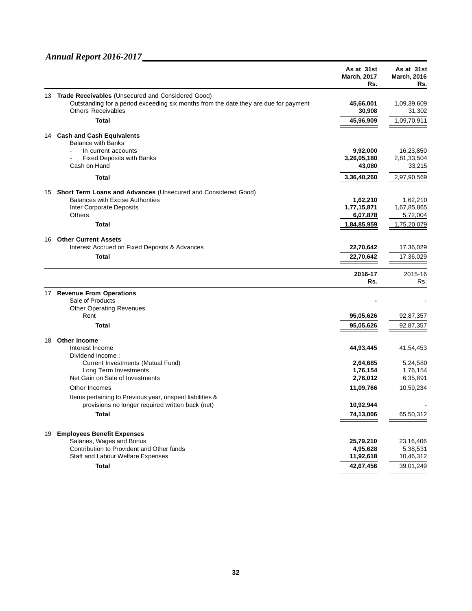|    |                                                                                                                   | As at 31st<br><b>March, 2017</b><br>Rs. | As at 31st<br><b>March, 2016</b><br>Rs. |
|----|-------------------------------------------------------------------------------------------------------------------|-----------------------------------------|-----------------------------------------|
|    | 13 Trade Receivables (Unsecured and Considered Good)                                                              |                                         |                                         |
|    | Outstanding for a period exceeding six months from the date they are due for payment<br><b>Others Receivables</b> | 45,66,001<br>30,908                     | 1,09,39,609<br>31,302                   |
|    | <b>Total</b>                                                                                                      | 45,96,909                               | 1,09,70,911                             |
|    | 14 Cash and Cash Equivalents<br><b>Balance with Banks</b>                                                         |                                         |                                         |
|    | In current accounts                                                                                               | 9,92,000                                | 16,23,850                               |
|    | <b>Fixed Deposits with Banks</b>                                                                                  | 3,26,05,180                             | 2,81,33,504                             |
|    | Cash on Hand                                                                                                      | 43,080                                  | 33,215                                  |
|    | Total                                                                                                             | 3,36,40,260                             | 2,97,90,569                             |
| 15 | Short Term Loans and Advances (Unsecured and Considered Good)                                                     |                                         |                                         |
|    | <b>Balances with Excise Authorities</b>                                                                           | 1,62,210                                | 1,62,210                                |
|    | Inter Corporate Deposits                                                                                          | 1,77,15,871                             | 1,67,85,865                             |
|    | <b>Others</b>                                                                                                     | 6,07,878                                | 5,72,004                                |
|    | Total                                                                                                             | 1,84,85,959                             | 1,75,20,079                             |
| 16 | <b>Other Current Assets</b>                                                                                       |                                         |                                         |
|    | Interest Accrued on Fixed Deposits & Advances                                                                     | 22,70,642                               | 17,36,029                               |
|    | Total                                                                                                             | 22,70,642                               | 17,36,029                               |
|    |                                                                                                                   |                                         |                                         |
|    |                                                                                                                   | 2016-17                                 | 2015-16                                 |
|    |                                                                                                                   | Rs.                                     | Rs.                                     |
|    | 17 Revenue From Operations                                                                                        |                                         |                                         |
|    | Sale of Products<br><b>Other Operating Revenues</b>                                                               |                                         |                                         |
|    | Rent                                                                                                              | 95,05,626                               | 92,87,357                               |
|    | Total                                                                                                             | 95,05,626                               | 92,87,357                               |
|    |                                                                                                                   |                                         |                                         |
| 18 | <b>Other Income</b>                                                                                               |                                         |                                         |
|    | Interest Income<br>Dividend Income:                                                                               | 44,93,445                               | 41,54,453                               |
|    | Current Investments (Mutual Fund)                                                                                 | 2,64,685                                | 5,24,580                                |
|    | Long Term Investments                                                                                             | 1,76,154                                | 1,76,154                                |
|    | Net Gain on Sale of Investments                                                                                   | 2,76,012                                | 6,35,891                                |
|    | Other Incomes                                                                                                     | 11,09,766                               | 10,59,234                               |
|    | Items pertaining to Previous year, unspent liabilities &                                                          |                                         |                                         |
|    | provisions no longer required written back (net)                                                                  | 10,92,944                               |                                         |
|    | <b>Total</b>                                                                                                      | 74,13,006                               | 65,50,312                               |
|    |                                                                                                                   |                                         |                                         |
| 19 | <b>Employees Benefit Expenses</b>                                                                                 |                                         |                                         |
|    | Salaries, Wages and Bonus                                                                                         | 25,79,210                               | 23,16,406                               |
|    | Contribution to Provident and Other funds                                                                         | 4,95,628                                | 5,38,531                                |
|    | Staff and Labour Welfare Expenses                                                                                 | 11,92,618                               | 10,46,312                               |
|    | <b>Total</b>                                                                                                      | 42,67,456                               | 39,01,249                               |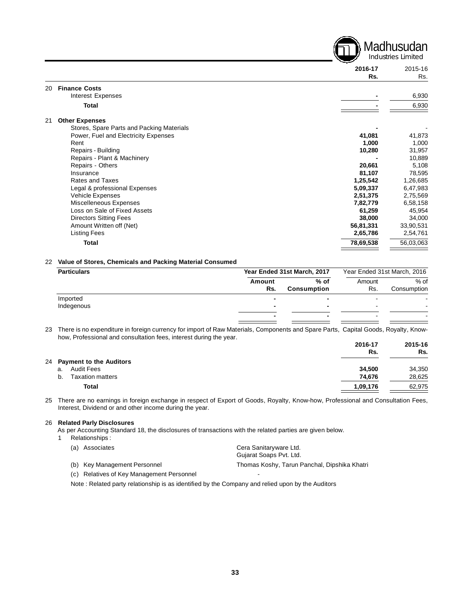Industries Limited **2016-17** 2015-16 **Rs.** Rs. 20 **Finance Costs** Interest Expenses **-** 6,930 **Total -** 6,930 21 **Other Expenses** Stores, Spare Parts and Packing Materials **-** - Power, Fuel and Electricity Expenses **41,081 41,081 41,081 41,081 41,081** Rent **1,000** 1,000 Repairs - Building **10,280** 31,957 Repairs - Plant & Machinery **10,889**<br>Repairs - Others **10,889**<br>Repairs - Others **108,000** Repairs - Others **20,661** 5,108<br>
Insurance **20,661** 5,108<br>
Insurance **20,661** 5,108 Insurance **81,107** 78,595 Rates and Taxes **1,25,542** 1,26,685 Legal & professional Expenses **5,09,337** 6,47,983 Vehicle Expenses **2,51,375** 2,75,569 Miscelleneous Expenses **7,82,779** 6,58,158 Loss on Sale of Fixed Assets **61,259** 45,954 Directors Sitting Fees **38,000** 34,000 Amount Written off (Net) **56,81,331** 33,90,531 Listing Fees **2,65,786** 2,54,761

Madhusudan

#### 22 **Value of Stores, Chemicals and Packing Material Consumed**

| <b>Particulars</b> |        | Year Ended 31st March, 2017 |        | Year Ended 31st March, 2016 |
|--------------------|--------|-----------------------------|--------|-----------------------------|
|                    | Amount | % of                        | Amount | $%$ of                      |
|                    | Rs.    | <b>Consumption</b>          | Rs.    | Consumption                 |
| Imported           |        |                             |        |                             |
| Indegenous         |        |                             | -      |                             |
|                    |        | -                           | -      |                             |
|                    |        |                             |        |                             |

**Total 78,69,538** 56,03,063

23 There is no expenditure in foreign currency for import of Raw Materials, Components and Spare Parts, Capital Goods, Royalty, Knowhow, Professional and consultation fees, interest during the year.

|                               | 2016-17<br>Rs. | 2015-16<br>Rs. |
|-------------------------------|----------------|----------------|
| 24 Payment to the Auditors    |                |                |
| <b>Audit Fees</b><br>a.       | 34.500         | 34,350         |
| <b>Taxation matters</b><br>b. | 74.676         | 28,625         |
| Total                         | 1,09,176       | 62,975         |
|                               |                |                |

25 There are no earnings in foreign exchange in respect of Export of Goods, Royalty, Know-how, Professional and Consultation Fees, Interest, Dividend or and other income during the year.

#### 26 **Related Parly Disclosures**

As per Accounting Standard 18, the disclosures of transactions with the related parties are given below.

1 Relationships :

| (a) Associates                            | Cera Sanitaryware Ltd.                       |
|-------------------------------------------|----------------------------------------------|
|                                           | Gujarat Soaps Pvt. Ltd.                      |
| (b) Key Management Personnel              | Thomas Koshy, Tarun Panchal, Dipshika Khatri |
| (c) Relatives of Key Management Personnel | -                                            |

Note : Related party relationship is as identified by the Company and relied upon by the Auditors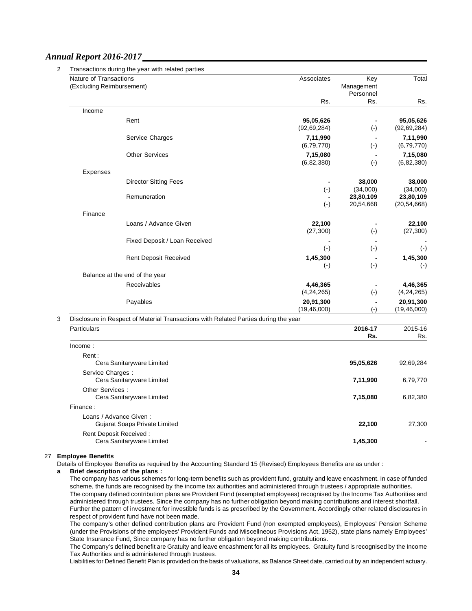| Total                                                                               | Key              | Associates                |                                                         | Nature of Transactions    |  |  |
|-------------------------------------------------------------------------------------|------------------|---------------------------|---------------------------------------------------------|---------------------------|--|--|
|                                                                                     | Management       |                           |                                                         | (Excluding Reimbursement) |  |  |
| Rs.                                                                                 | Personnel<br>Rs. | Rs.                       |                                                         |                           |  |  |
|                                                                                     |                  |                           |                                                         | Income                    |  |  |
| 95,05,626                                                                           | $\blacksquare$   | 95,05,626                 | Rent                                                    |                           |  |  |
| (92, 69, 284)                                                                       | $(\cdot)$        | (92, 69, 284)             |                                                         |                           |  |  |
| 7,11,990                                                                            |                  | 7,11,990                  | Service Charges                                         |                           |  |  |
| (6, 79, 770)                                                                        | $(-)$            | (6, 79, 770)              |                                                         |                           |  |  |
| 7,15,080<br>(6, 82, 380)                                                            | $(-)$            | 7,15,080<br>(6, 82, 380)  | <b>Other Services</b>                                   |                           |  |  |
|                                                                                     |                  |                           |                                                         | Expenses                  |  |  |
| 38,000                                                                              | 38,000           |                           | <b>Director Sitting Fees</b>                            |                           |  |  |
| (34,000)                                                                            | (34,000)         | $(-)$                     |                                                         |                           |  |  |
| 23,80,109                                                                           | 23,80,109        |                           | Remuneration                                            |                           |  |  |
| (20, 54, 668)                                                                       | 20,54,668        | $(-)$                     |                                                         |                           |  |  |
|                                                                                     |                  |                           |                                                         | Finance                   |  |  |
| 22,100<br>(27, 300)                                                                 | $(-)$            | 22,100<br>(27, 300)       | Loans / Advance Given                                   |                           |  |  |
|                                                                                     |                  |                           | Fixed Deposit / Loan Received                           |                           |  |  |
| $(\cdot)$                                                                           | $(-)$            | $(-)$                     |                                                         |                           |  |  |
| 1,45,300                                                                            |                  | 1,45,300                  | <b>Rent Deposit Received</b>                            |                           |  |  |
| $(-)$                                                                               | $(-)$            | $(\cdot)$                 |                                                         |                           |  |  |
|                                                                                     |                  |                           | Balance at the end of the year                          |                           |  |  |
| 4,46,365                                                                            |                  | 4,46,365                  | <b>Receivables</b>                                      |                           |  |  |
| (4, 24, 265)<br>20,91,300                                                           | $(\cdot)$        | (4, 24, 265)<br>20,91,300 | Payables                                                |                           |  |  |
| (19, 46, 000)                                                                       | $(-)$            | (19, 46, 000)             |                                                         |                           |  |  |
| Disclosure in Respect of Material Transactions with Related Parties during the year |                  |                           |                                                         |                           |  |  |
| 2015-16                                                                             | 2016-17          |                           |                                                         | Particulars               |  |  |
| Rs.                                                                                 | Rs.              |                           |                                                         |                           |  |  |
|                                                                                     |                  |                           |                                                         | Income:                   |  |  |
| 92,69,284                                                                           | 95,05,626        |                           | Cera Sanitaryware Limited                               | Rent:                     |  |  |
|                                                                                     |                  |                           |                                                         | Service Charges:          |  |  |
| 6,79,770                                                                            | 7,11,990         |                           | Cera Sanitaryware Limited                               |                           |  |  |
|                                                                                     |                  |                           |                                                         | Other Services :          |  |  |
| 6,82,380                                                                            | 7,15,080         |                           | Cera Sanitaryware Limited                               |                           |  |  |
|                                                                                     |                  |                           |                                                         | Finance:                  |  |  |
| 27,300                                                                              | 22,100           |                           | Loans / Advance Given:<br>Gujarat Soaps Private Limited |                           |  |  |
|                                                                                     |                  |                           | Rent Deposit Received:                                  |                           |  |  |
|                                                                                     | 1,45,300         |                           |                                                         |                           |  |  |

#### 27 **Employee Benefits**

Details of Employee Benefits as required by the Accounting Standard 15 (Revised) Employees Benefits are as under :

#### **a Brief description of the plans :**

The company has various schemes for long-term benefits such as provident fund, gratuity and leave encashment. In case of funded scheme, the funds are recognised by the income tax authorities and administered through trustees / appropriate authorities. The company defined contribution plans are Provident Fund (exempted employees) recognised by the Income Tax Authorities and administered through trustees. Since the company has no further obligation beyond making contributions and interest shortfall. Further the pattern of investment for investible funds is as prescribed by the Government. Accordingly other related disclosures in respect of provident fund have not been made.

The company's other defined contribution plans are Provident Fund (non exempted employees), Employees' Pension Scheme (under the Provisions of the employees' Provident Funds and Miscellneous Provisions Act, 1952), state plans namely Employees' State Insurance Fund, Since company has no further obligation beyond making contributions.

The Company's defined benefit are Gratuity and leave encashment for all its employees. Gratuity fund is recognised by the Income Tax Authorities and is administered through trustees.

Liabilities for Defined Benefit Plan is provided on the basis of valuations, as Balance Sheet date, carried out by an independent actuary.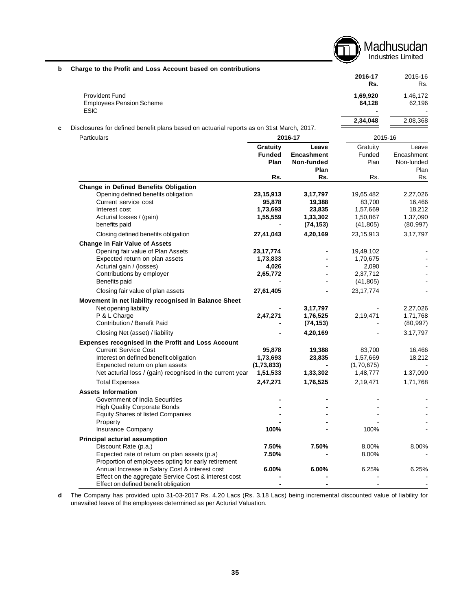Madhusudan Industries Limited

| b Charge to the Profit and Loss Account based on contributions |  |  |  |  |  |  |
|----------------------------------------------------------------|--|--|--|--|--|--|
|----------------------------------------------------------------|--|--|--|--|--|--|

|   |                                                                                          |         | 2016-17<br>Rs. | 2015-16<br>Rs. |
|---|------------------------------------------------------------------------------------------|---------|----------------|----------------|
|   | <b>Provident Fund</b>                                                                    |         | 1,69,920       | 1,46,172       |
|   | <b>Employees Pension Scheme</b>                                                          |         | 64.128         | 62.196         |
|   | <b>ESIC</b>                                                                              |         | $\blacksquare$ | ٠              |
|   |                                                                                          |         | 2.34.048       | 2,08,368       |
| c | Disclosures for defined benefit plans based on actuarial reports as on 31st March, 2017. |         |                |                |
|   | <b>Particulars</b>                                                                       | 2016-17 | 2015-16        |                |

|                                                                                                     | Gratuity      | Leave             | Gratuity    | Leave      |
|-----------------------------------------------------------------------------------------------------|---------------|-------------------|-------------|------------|
|                                                                                                     | <b>Funded</b> | <b>Encashment</b> | Funded      | Encashment |
|                                                                                                     | Plan          | Non-funded        | Plan        | Non-funded |
|                                                                                                     |               | Plan              |             | Plan       |
|                                                                                                     | Rs.           | Rs.               | Rs.         | Rs.        |
| <b>Change in Defined Benefits Obligation</b>                                                        |               |                   |             |            |
| Opening defined benefits obligation                                                                 | 23,15,913     | 3,17,797          | 19,65,482   | 2,27,026   |
| Current service cost                                                                                | 95,878        | 19,388            | 83,700      | 16,466     |
| Interest cost                                                                                       | 1,73,693      | 23,835            | 1,57,669    | 18,212     |
| Acturial losses / (gain)                                                                            | 1,55,559      | 1,33,302          | 1,50,867    | 1,37,090   |
| benefits paid                                                                                       |               | (74, 153)         | (41, 805)   | (80, 997)  |
| Closing defined benefits obligation                                                                 | 27,41,043     | 4,20,169          | 23,15,913   | 3,17,797   |
| <b>Change in Fair Value of Assets</b>                                                               |               |                   |             |            |
| Opening fair value of Plan Assets                                                                   | 23, 17, 774   |                   | 19,49,102   |            |
| Expected return on plan assets                                                                      | 1,73,833      |                   | 1,70,675    |            |
| Acturial gain / (losses)                                                                            | 4,026         |                   | 2,090       |            |
| Contributions by employer                                                                           | 2,65,772      |                   | 2,37,712    |            |
| Benefits paid                                                                                       |               |                   | (41, 805)   |            |
| Closing fair value of plan assets                                                                   | 27,61,405     |                   | 23, 17, 774 |            |
| Movement in net liability recognised in Balance Sheet                                               |               |                   |             |            |
| Net opening liability                                                                               |               | 3,17,797          |             | 2,27,026   |
| P & L Charge                                                                                        | 2,47,271      | 1,76,525          | 2,19,471    | 1,71,768   |
| Contribution / Benefit Paid                                                                         |               | (74, 153)         |             | (80, 997)  |
| Closing Net (asset) / liability                                                                     |               | 4,20,169          |             | 3,17,797   |
| Expenses recognised in the Profit and Loss Account                                                  |               |                   |             |            |
| <b>Current Service Cost</b>                                                                         | 95,878        | 19,388            | 83,700      | 16,466     |
| Interest on defined benefit obligation                                                              | 1,73,693      | 23,835            | 1,57,669    | 18,212     |
| Expencted return on plan assets                                                                     | (1,73,833)    |                   | (1,70,675)  |            |
| Net acturial loss / (gain) recognised in the current year                                           | 1,51,533      | 1,33,302          | 1,48,777    | 1,37,090   |
| <b>Total Expenses</b>                                                                               | 2,47,271      | 1,76,525          | 2,19,471    | 1,71,768   |
| <b>Assets Information</b>                                                                           |               |                   |             |            |
| Government of India Securities                                                                      |               |                   |             |            |
| <b>High Quality Corporate Bonds</b>                                                                 |               |                   |             |            |
| <b>Equity Shares of listed Companies</b>                                                            |               |                   |             |            |
| Property                                                                                            |               |                   |             |            |
| Insurance Company                                                                                   | 100%          |                   | 100%        |            |
| Principal acturial assumption                                                                       |               |                   |             |            |
| Discount Rate (p.a.)                                                                                | 7.50%         | 7.50%             | 8.00%       | 8.00%      |
| Expected rate of return on plan assets (p.a)<br>Proportion of employees opting for early retirement | 7.50%         |                   | 8.00%       |            |
| Annual Increase in Salary Cost & interest cost                                                      | 6.00%         | 6.00%             | 6.25%       | 6.25%      |
| Effect on the aggregate Service Cost & interest cost                                                |               |                   |             |            |
| Effect on defined benefit obligation                                                                |               |                   |             |            |
|                                                                                                     |               |                   |             |            |

**d** The Company has provided upto 31-03-2017 Rs. 4.20 Lacs (Rs. 3.18 Lacs) being incremental discounted value of liability for unavailed leave of the employees determined as per Acturial Valuation.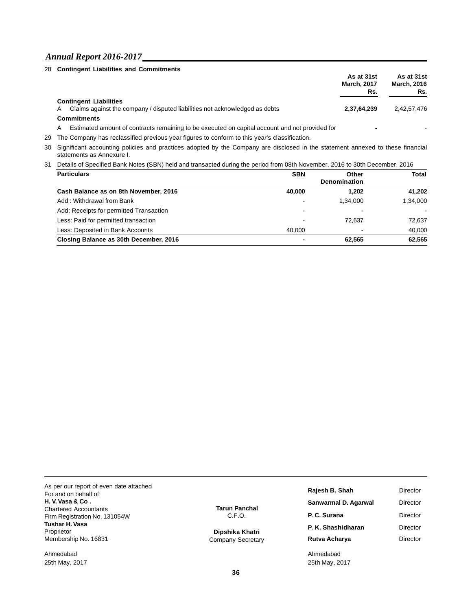|   | 28 Contingent Liabilities and Commitments                                                      |                    |                    |
|---|------------------------------------------------------------------------------------------------|--------------------|--------------------|
|   |                                                                                                | As at 31st         | As at 31st         |
|   |                                                                                                | <b>March, 2017</b> | <b>March, 2016</b> |
|   |                                                                                                | Rs.                | Rs.                |
|   | <b>Contingent Liabilities</b>                                                                  |                    |                    |
| A | Claims against the company / disputed liabilities not acknowledged as debts                    | 2.37.64.239        | 2.42.57.476        |
|   | <b>Commitments</b>                                                                             |                    |                    |
| А | Estimated amount of contracts remaining to be executed on capital account and not provided for |                    |                    |

29 The Company has reclassified previous year figures to conform to this year's classification.

30 Significant accounting policies and practices adopted by the Company are disclosed in the statement annexed to these financial statements as Annexure I.

31 Details of Specified Bank Notes (SBN) held and transacted during the period from 08th November, 2016 to 30th December, 2016

| <b>Particulars</b>                      | <b>SBN</b> | Other        | Total          |
|-----------------------------------------|------------|--------------|----------------|
|                                         |            | Denomination |                |
| Cash Balance as on 8th November, 2016   | 40,000     | 1.202        | 41,202         |
| Add: Withdrawal from Bank               |            | 1.34.000     | 1,34,000       |
| Add: Receipts for permitted Transaction | -          |              | $\blacksquare$ |
| Less: Paid for permitted transaction    |            | 72.637       | 72.637         |
| Less: Deposited in Bank Accounts        | 40.000     |              | 40.000         |
| Closing Balance as 30th December, 2016  |            | 62.565       | 62,565         |

As per our report of even date attached For and on behalf of **H. V.Vasa & Co .** Chartered Accountants Firm Registration No. 131054W **Tushar H.Vasa** Proprietor Membership No. 16831

Ahmedabad 25th May, 2017 **Tarun Panchal** C.F.O.

**Dipshika Khatri** Company Secretary

| Rajesh B. Shah       | Director        |
|----------------------|-----------------|
| Sanwarmal D. Agarwal | Director        |
| P. C. Surana         | Director        |
| P. K. Shashidharan   | Director        |
| Rutva Acharya        | <b>Director</b> |
|                      |                 |

Ahmedabad 25th May, 2017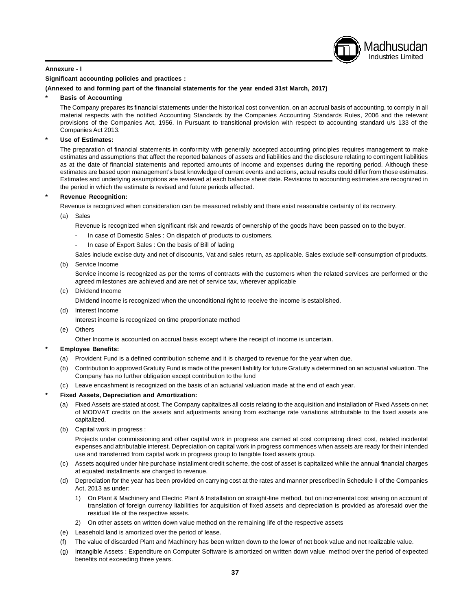#### **Annexure - I**

#### **Significant accounting policies and practices :**

**(Annexed to and forming part of the financial statements for the year ended 31st March, 2017)**

#### **\* Basis of Accounting**

The Company prepares its financial statements under the historical cost convention, on an accrual basis of accounting, to comply in all material respects with the notified Accounting Standards by the Companies Accounting Standards Rules, 2006 and the relevant provisions of the Companies Act, 1956. In Pursuant to transitional provision with respect to accounting standard u/s 133 of the Companies Act 2013.

Madhusudan Industries Limited

#### **\* Use of Estimates:**

The preparation of financial statements in conformity with generally accepted accounting principles requires management to make estimates and assumptions that affect the reported balances of assets and liabilities and the disclosure relating to contingent liabilities as at the date of financial statements and reported amounts of income and expenses during the reporting period. Although these estimates are based upon management's best knowledge of current events and actions, actual results could differ from those estimates. Estimates and underlying assumptions are reviewed at each balance sheet date. Revisions to accounting estimates are recognized in the period in which the estimate is revised and future periods affected.

#### **\* Revenue Recognition:**

Revenue is recognized when consideration can be measured reliably and there exist reasonable certainty of its recovery.

- (a) Sales
	- Revenue is recognized when significant risk and rewards of ownership of the goods have been passed on to the buyer.
	- In case of Domestic Sales : On dispatch of products to customers.
	- In case of Export Sales : On the basis of Bill of lading

Sales include excise duty and net of discounts, Vat and sales return, as applicable. Sales exclude self-consumption of products.

#### (b) Service Income

Service income is recognized as per the terms of contracts with the customers when the related services are performed or the agreed milestones are achieved and are net of service tax, wherever applicable

#### (c) Dividend Income

Dividend income is recognized when the unconditional right to receive the income is established.

(d) Interest Income

Interest income is recognized on time proportionate method

(e) Others

Other Income is accounted on accrual basis except where the receipt of income is uncertain.

#### **\* Employee Benefits:**

- (a) Provident Fund is a defined contribution scheme and it is charged to revenue for the year when due.
- (b) Contribution to approved Gratuity Fund is made of the present liability for future Gratuity a determined on an actuarial valuation. The Company has no further obligation except contribution to the fund
- (c) Leave encashment is recognized on the basis of an actuarial valuation made at the end of each year.

#### **\* Fixed Assets, Depreciation and Amortization:**

- (a) Fixed Assets are stated at cost. The Company capitalizes all costs relating to the acquisition and installation of Fixed Assets on net of MODVAT credits on the assets and adjustments arising from exchange rate variations attributable to the fixed assets are capitalized.
- (b) Capital work in progress :

Projects under commissioning and other capital work in progress are carried at cost comprising direct cost, related incidental expenses and attributable interest. Depreciation on capital work in progress commences when assets are ready for their intended use and transferred from capital work in progress group to tangible fixed assets group.

- (c) Assets acquired under hire purchase installment credit scheme, the cost of asset is capitalized while the annual financial charges at equated installments are charged to revenue.
- (d) Depreciation for the year has been provided on carrying cost at the rates and manner prescribed in Schedule II of the Companies Act, 2013 as under:
	- 1) On Plant & Machinery and Electric Plant & Installation on straight-line method, but on incremental cost arising on account of translation of foreign currency liabilities for acquisition of fixed assets and depreciation is provided as aforesaid over the residual life of the respective assets.
	- 2) On other assets on written down value method on the remaining life of the respective assets
- (e) Leasehold land is amortized over the period of lease.
- (f) The value of discarded Plant and Machinery has been written down to the lower of net book value and net realizable value.
- (g) Intangible Assets : Expenditure on Computer Software is amortized on written down value method over the period of expected benefits not exceeding three years.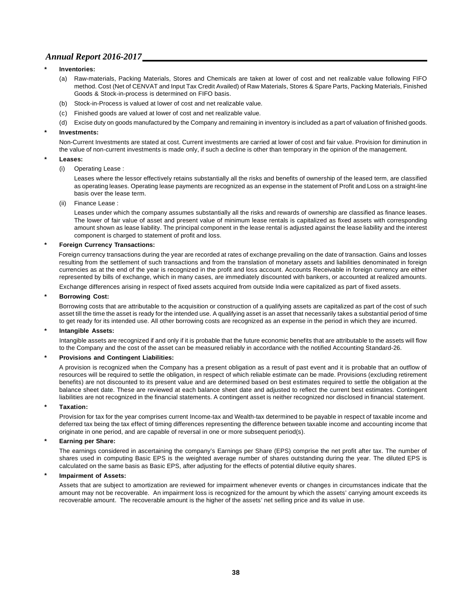#### **\* Inventories:**

- (a) Raw-materials, Packing Materials, Stores and Chemicals are taken at lower of cost and net realizable value following FIFO method. Cost (Net of CENVAT and Input Tax Credit Availed) of Raw Materials, Stores & Spare Parts, Packing Materials, Finished Goods & Stock-in-process is determined on FIFO basis.
- (b) Stock-in-Process is valued at lower of cost and net realizable value.
- (c) Finished goods are valued at lower of cost and net realizable value.
- (d) Excise duty on goods manufactured by the Company and remaining in inventory is included as a part of valuation of finished goods.

#### **\* Investments:**

Non-Current Investments are stated at cost. Current investments are carried at lower of cost and fair value. Provision for diminution in the value of non-current investments is made only, if such a decline is other than temporary in the opinion of the management.

#### **\* Leases:**

#### (i) Operating Lease :

Leases where the lessor effectively retains substantially all the risks and benefits of ownership of the leased term, are classified as operating leases. Operating lease payments are recognized as an expense in the statement of Profit and Loss on a straight-line basis over the lease term.

(ii) Finance Lease :

Leases under which the company assumes substantially all the risks and rewards of ownership are classified as finance leases. The lower of fair value of asset and present value of minimum lease rentals is capitalized as fixed assets with corresponding amount shown as lease liability. The principal component in the lease rental is adjusted against the lease liability and the interest component is charged to statement of profit and loss.

#### **\* Foreign Currency Transactions:**

Foreign currency transactions during the year are recorded at rates of exchange prevailing on the date of transaction. Gains and losses resulting from the settlement of such transactions and from the translation of monetary assets and liabilities denominated in foreign currencies as at the end of the year is recognized in the profit and loss account. Accounts Receivable in foreign currency are either represented by bills of exchange, which in many cases, are immediately discounted with bankers, or accounted at realized amounts.

Exchange differences arising in respect of fixed assets acquired from outside India were capitalized as part of fixed assets.

#### **\* Borrowing Cost:**

Borrowing costs that are attributable to the acquisition or construction of a qualifying assets are capitalized as part of the cost of such asset till the time the asset is ready for the intended use. A qualifying asset is an asset that necessarily takes a substantial period of time to get ready for its intended use. All other borrowing costs are recognized as an expense in the period in which they are incurred.

#### **\* Intangible Assets:**

Intangible assets are recognized if and only if it is probable that the future economic benefits that are attributable to the assets will flow to the Company and the cost of the asset can be measured reliably in accordance with the notified Accounting Standard-26.

#### **\* Provisions and Contingent Liabilities:**

A provision is recognized when the Company has a present obligation as a result of past event and it is probable that an outflow of resources will be required to settle the obligation, in respect of which reliable estimate can be made. Provisions (excluding retirement benefits) are not discounted to its present value and are determined based on best estimates required to settle the obligation at the balance sheet date. These are reviewed at each balance sheet date and adjusted to reflect the current best estimates. Contingent liabilities are not recognized in the financial statements. A contingent asset is neither recognized nor disclosed in financial statement.

#### **\* Taxation:**

Provision for tax for the year comprises current Income-tax and Wealth-tax determined to be payable in respect of taxable income and deferred tax being the tax effect of timing differences representing the difference between taxable income and accounting income that originate in one period, and are capable of reversal in one or more subsequent period(s).

#### **\* Earning per Share:**

The earnings considered in ascertaining the company's Earnings per Share (EPS) comprise the net profit after tax. The number of shares used in computing Basic EPS is the weighted average number of shares outstanding during the year. The diluted EPS is calculated on the same basis as Basic EPS, after adjusting for the effects of potential dilutive equity shares.

#### **\* Impairment of Assets:**

Assets that are subject to amortization are reviewed for impairment whenever events or changes in circumstances indicate that the amount may not be recoverable. An impairment loss is recognized for the amount by which the assets' carrying amount exceeds its recoverable amount. The recoverable amount is the higher of the assets' net selling price and its value in use.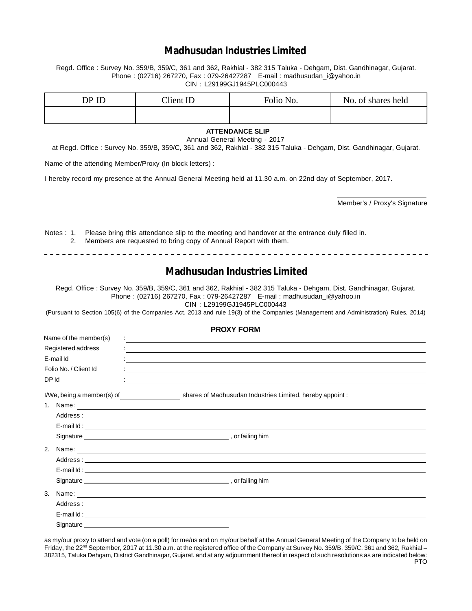## **Madhusudan Industries Limited**

Regd. Office : Survey No. 359/B, 359/C, 361 and 362, Rakhial - 382 315 Taluka - Dehgam, Dist. Gandhinagar, Gujarat. Phone : (02716) 267270, Fax : 079-26427287 E-mail : madhusudan\_i@yahoo.in CIN : L29199GJ1945PLC000443

| DP ID | Client ID | Folio No. | No. of shares held |
|-------|-----------|-----------|--------------------|
|       |           |           |                    |

## **ATTENDANCE SLIP**

Annual General Meeting - 2017

at Regd. Office : Survey No. 359/B, 359/C, 361 and 362, Rakhial - 382 315 Taluka - Dehgam, Dist. Gandhinagar, Gujarat.

Name of the attending Member/Proxy (In block letters) :

I hereby record my presence at the Annual General Meeting held at 11.30 a.m. on 22nd day of September, 2017.

Member's / Proxy's Signature

Notes : 1. Please bring this attendance slip to the meeting and handover at the entrance duly filled in. 2. Members are requested to bring copy of Annual Report with them.

#### 

## **Madhusudan Industries Limited**

Regd. Office : Survey No. 359/B, 359/C, 361 and 362, Rakhial - 382 315 Taluka - Dehgam, Dist. Gandhinagar, Gujarat. Phone : (02716) 267270, Fax : 079-26427287 E-mail : madhusudan\_i@yahoo.in

CIN : L29199GJ1945PLC000443

(Pursuant to Section 105(6) of the Companies Act, 2013 and rule 19(3) of the Companies (Management and Administration) Rules, 2014)

**PROXY FORM**

|           | Name of the member(s)                                |                                                                                                                                                                                                      |
|-----------|------------------------------------------------------|------------------------------------------------------------------------------------------------------------------------------------------------------------------------------------------------------|
|           | Registered address                                   | <u> 1989 - Andrea Andrea Andrea Andrea Andrea Andrea Andrea Andrea Andrea Andrea Andrea Andrea Andrea Andrea And</u>                                                                                 |
| E-mail Id |                                                      |                                                                                                                                                                                                      |
|           | Folio No. / Client Id                                |                                                                                                                                                                                                      |
| DP Id     |                                                      |                                                                                                                                                                                                      |
|           | $I/We$ , being a member(s) of $\qquad \qquad \qquad$ | shares of Madhusudan Industries Limited, hereby appoint:                                                                                                                                             |
| 1.        |                                                      | Name: $\frac{1}{2}$                                                                                                                                                                                  |
|           |                                                      |                                                                                                                                                                                                      |
|           |                                                      | E-mail Id: <b>E-mail Id: E-mail Id: E-mail Id: E-mail Id: E-mail Id: E-mail Id: E-mail Id: E-mail Id: E-mail Id: E-mail Id: E-mail Id: E-mail Id: E-mail Id: E-mail Id: E-mail Id: E-mail Id: E-</b> |
|           |                                                      |                                                                                                                                                                                                      |
| 2.        |                                                      |                                                                                                                                                                                                      |
|           |                                                      |                                                                                                                                                                                                      |
|           |                                                      |                                                                                                                                                                                                      |
|           |                                                      |                                                                                                                                                                                                      |
| 3.        |                                                      |                                                                                                                                                                                                      |
|           |                                                      |                                                                                                                                                                                                      |
|           |                                                      |                                                                                                                                                                                                      |
|           | Signature                                            |                                                                                                                                                                                                      |

as my/our proxy to attend and vote (on a poll) for me/us and on my/our behalf at the Annual General Meeting of the Company to be held on Friday, the 22<sup>nd</sup> September, 2017 at 11.30 a.m. at the registered office of the Company at Survey No. 359/B, 359/C, 361 and 362, Rakhial – 382315, Taluka Dehgam, District Gandhinagar, Gujarat. and at any adjournment thereof in respect of such resolutions as are indicated below: **PTO**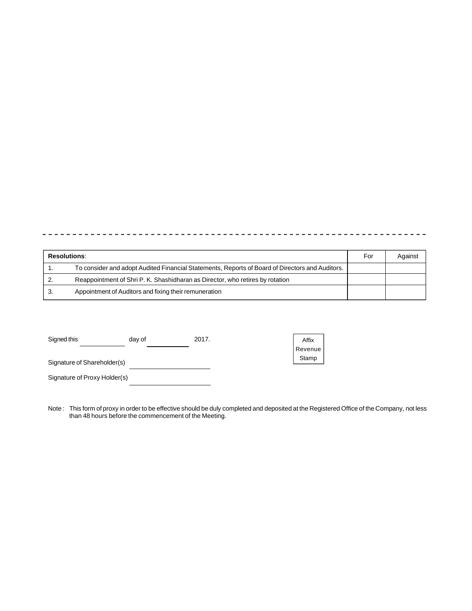| <b>Resolutions:</b> | For                                                                                             | Against |  |
|---------------------|-------------------------------------------------------------------------------------------------|---------|--|
|                     | To consider and adopt Audited Financial Statements, Reports of Board of Directors and Auditors. |         |  |
| <u>.</u>            | Reappointment of Shri P. K. Shashidharan as Director, who retires by rotation                   |         |  |
| J.                  | Appointment of Auditors and fixing their remuneration                                           |         |  |

| Signed this                 | dav of | 2017. |
|-----------------------------|--------|-------|
|                             |        |       |
| Signature of Shareholder(s) |        |       |

Signature of Proxy Holder(s)

| Affix   |
|---------|
| Revenue |
| Stamp   |

Note : This form of proxy in order to be effective should be duly completed and deposited at the Registered Office of the Company, not less than 48 hours before the commencement of the Meeting.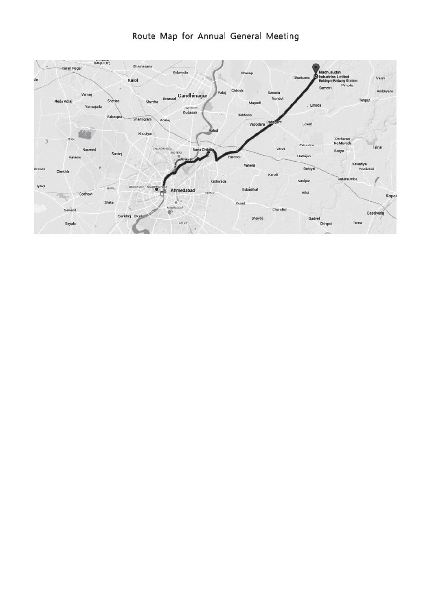